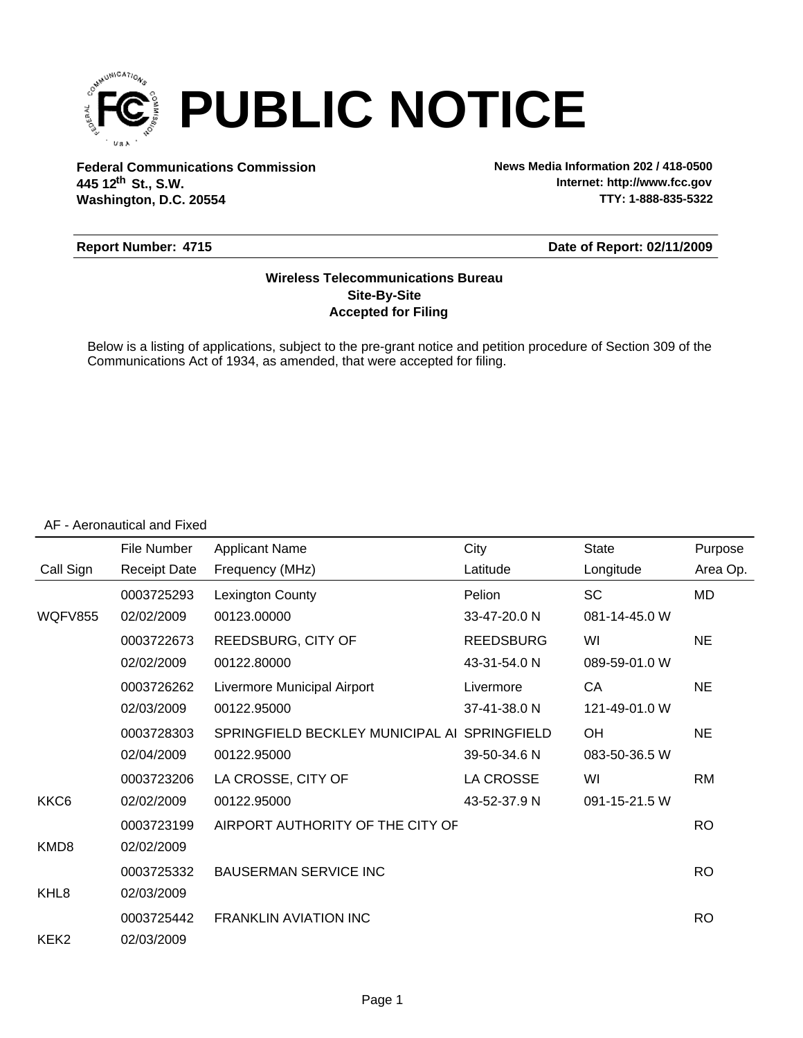

**Federal Communications Commission News Media Information 202 / 418-0500 Washington, D.C. 20554 th 445 12 St., S.W.**

**Internet: http://www.fcc.gov TTY: 1-888-835-5322**

#### **Report Number: 4715**

#### **Date of Report: 02/11/2009**

### **Accepted for Filing Site-By-Site Wireless Telecommunications Bureau**

Below is a listing of applications, subject to the pre-grant notice and petition procedure of Section 309 of the Communications Act of 1934, as amended, that were accepted for filing.

#### AF - Aeronautical and Fixed

|                  | File Number         | <b>Applicant Name</b>                        | City             | <b>State</b>  | Purpose   |
|------------------|---------------------|----------------------------------------------|------------------|---------------|-----------|
| Call Sign        | <b>Receipt Date</b> | Frequency (MHz)                              | Latitude         | Longitude     | Area Op.  |
|                  | 0003725293          | <b>Lexington County</b>                      | Pelion           | SC            | MD        |
| <b>WQFV855</b>   | 02/02/2009          | 00123.00000                                  | 33-47-20.0 N     | 081-14-45.0 W |           |
|                  | 0003722673          | REEDSBURG, CITY OF                           | <b>REEDSBURG</b> | WI            | <b>NE</b> |
|                  | 02/02/2009          | 00122.80000                                  | 43-31-54.0 N     | 089-59-01.0 W |           |
|                  | 0003726262          | Livermore Municipal Airport                  | Livermore        | СA            | <b>NE</b> |
|                  | 02/03/2009          | 00122.95000                                  | 37-41-38.0 N     | 121-49-01.0 W |           |
|                  | 0003728303          | SPRINGFIELD BECKLEY MUNICIPAL AI SPRINGFIELD |                  | <b>OH</b>     | <b>NE</b> |
|                  | 02/04/2009          | 00122.95000                                  | 39-50-34.6 N     | 083-50-36.5 W |           |
|                  | 0003723206          | LA CROSSE, CITY OF                           | <b>LA CROSSE</b> | WI            | <b>RM</b> |
| KKC6             | 02/02/2009          | 00122.95000                                  | 43-52-37.9 N     | 091-15-21.5 W |           |
|                  | 0003723199          | AIRPORT AUTHORITY OF THE CITY OF             |                  |               | <b>RO</b> |
| KMD8             | 02/02/2009          |                                              |                  |               |           |
|                  | 0003725332          | <b>BAUSERMAN SERVICE INC</b>                 |                  |               | <b>RO</b> |
| KHL8             | 02/03/2009          |                                              |                  |               |           |
|                  | 0003725442          | <b>FRANKLIN AVIATION INC</b>                 |                  |               | <b>RO</b> |
| KEK <sub>2</sub> | 02/03/2009          |                                              |                  |               |           |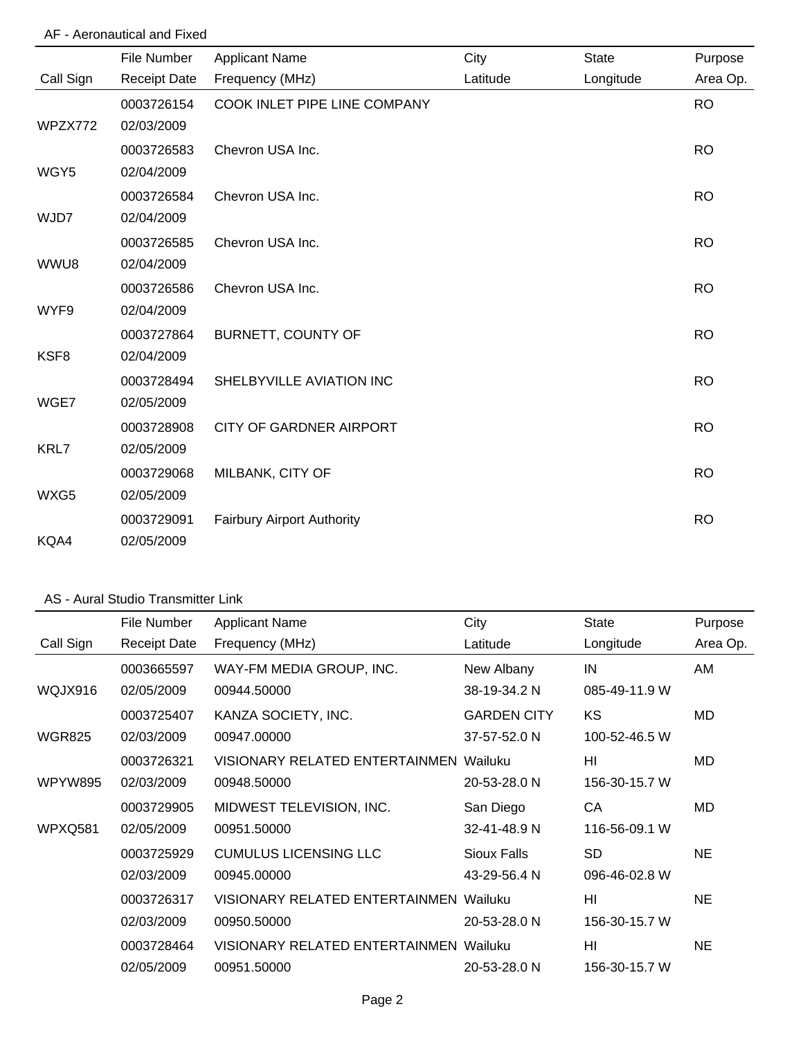## AF - Aeronautical and Fixed

|           | File Number              | <b>Applicant Name</b>             | City     | <b>State</b> | Purpose   |
|-----------|--------------------------|-----------------------------------|----------|--------------|-----------|
| Call Sign | <b>Receipt Date</b>      | Frequency (MHz)                   | Latitude | Longitude    | Area Op.  |
| WPZX772   | 0003726154<br>02/03/2009 | COOK INLET PIPE LINE COMPANY      |          |              | <b>RO</b> |
| WGY5      | 0003726583<br>02/04/2009 | Chevron USA Inc.                  |          |              | <b>RO</b> |
| WJD7      | 0003726584<br>02/04/2009 | Chevron USA Inc.                  |          |              | <b>RO</b> |
| WWU8      | 0003726585<br>02/04/2009 | Chevron USA Inc.                  |          |              | <b>RO</b> |
| WYF9      | 0003726586<br>02/04/2009 | Chevron USA Inc.                  |          |              | <b>RO</b> |
| KSF8      | 0003727864<br>02/04/2009 | BURNETT, COUNTY OF                |          |              | <b>RO</b> |
| WGE7      | 0003728494<br>02/05/2009 | SHELBYVILLE AVIATION INC          |          |              | <b>RO</b> |
| KRL7      | 0003728908<br>02/05/2009 | <b>CITY OF GARDNER AIRPORT</b>    |          |              | <b>RO</b> |
| WXG5      | 0003729068<br>02/05/2009 | MILBANK, CITY OF                  |          |              | <b>RO</b> |
| KQA4      | 0003729091<br>02/05/2009 | <b>Fairbury Airport Authority</b> |          |              | <b>RO</b> |

### AS - Aural Studio Transmitter Link

|                | File Number         | <b>Applicant Name</b>                         | City               | <b>State</b>   | Purpose   |
|----------------|---------------------|-----------------------------------------------|--------------------|----------------|-----------|
| Call Sign      | <b>Receipt Date</b> | Frequency (MHz)                               | Latitude           | Longitude      | Area Op.  |
|                | 0003665597          | WAY-FM MEDIA GROUP, INC.                      | New Albany         | IN             | AM        |
| WQJX916        | 02/05/2009          | 00944.50000                                   | 38-19-34.2 N       | 085-49-11.9 W  |           |
|                | 0003725407          | KANZA SOCIETY, INC.                           | <b>GARDEN CITY</b> | KS             | MD        |
| <b>WGR825</b>  | 02/03/2009          | 00947.00000                                   | 37-57-52.0 N       | 100-52-46.5 W  |           |
|                | 0003726321          | VISIONARY RELATED ENTERTAINMEN                | Wailuku            | HI             | MD.       |
| <b>WPYW895</b> | 02/03/2009          | 00948.50000                                   | 20-53-28.0 N       | 156-30-15.7 W  |           |
|                | 0003729905          | MIDWEST TELEVISION, INC.                      | San Diego          | CA             | <b>MD</b> |
| WPXQ581        | 02/05/2009          | 00951.50000                                   | 32-41-48.9 N       | 116-56-09.1 W  |           |
|                | 0003725929          | <b>CUMULUS LICENSING LLC</b>                  | Sioux Falls        | <b>SD</b>      | <b>NE</b> |
|                | 02/03/2009          | 00945.00000                                   | 43-29-56.4 N       | 096-46-02.8 W  |           |
|                | 0003726317          | VISIONARY RELATED ENTERTAINMEN Wailuku        |                    | H <sub>l</sub> | <b>NE</b> |
|                | 02/03/2009          | 00950.50000                                   | 20-53-28.0 N       | 156-30-15.7 W  |           |
|                | 0003728464          | <b>VISIONARY RELATED ENTERTAINMEN Wailuku</b> |                    | H <sub>l</sub> | <b>NE</b> |
|                | 02/05/2009          | 00951.50000                                   | 20-53-28.0 N       | 156-30-15.7 W  |           |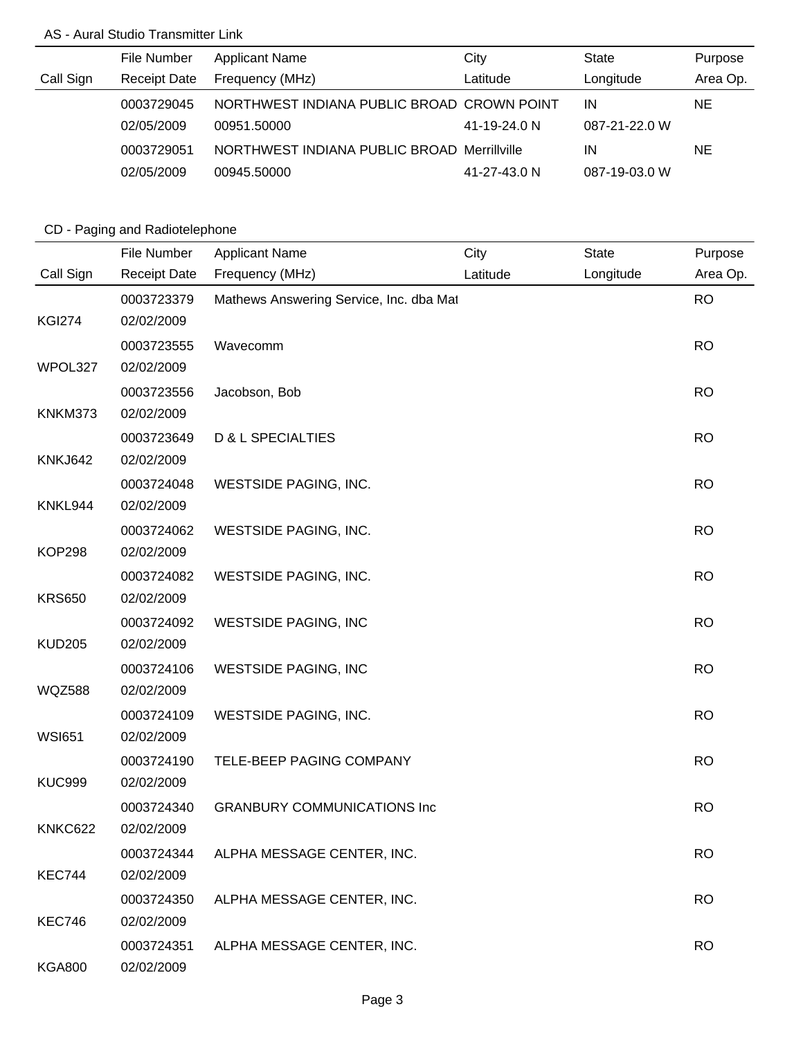## AS - Aural Studio Transmitter Link

|           | File Number         | <b>Applicant Name</b>                       | City         | <b>State</b>  | Purpose  |
|-----------|---------------------|---------------------------------------------|--------------|---------------|----------|
| Call Sign | <b>Receipt Date</b> | Frequency (MHz)                             | Latitude     | Longitude     | Area Op. |
|           | 0003729045          | NORTHWEST INDIANA PUBLIC BROAD CROWN POINT  |              | ΙN            | ΝE       |
|           | 02/05/2009          | 00951.50000                                 | 41-19-24.0 N | 087-21-22.0 W |          |
|           | 0003729051          | NORTHWEST INDIANA PUBLIC BROAD Merrillville |              | ΙN            | NE.      |
|           | 02/05/2009          | 00945.50000                                 | 41-27-43.0 N | 087-19-03.0 W |          |

## CD - Paging and Radiotelephone

|               | File Number         | <b>Applicant Name</b>                   | City     | <b>State</b> | Purpose   |
|---------------|---------------------|-----------------------------------------|----------|--------------|-----------|
| Call Sign     | <b>Receipt Date</b> | Frequency (MHz)                         | Latitude | Longitude    | Area Op.  |
|               | 0003723379          | Mathews Answering Service, Inc. dba Mat |          |              | <b>RO</b> |
| <b>KGI274</b> | 02/02/2009          |                                         |          |              |           |
|               | 0003723555          | Wavecomm                                |          |              | <b>RO</b> |
| WPOL327       | 02/02/2009          |                                         |          |              |           |
|               | 0003723556          | Jacobson, Bob                           |          |              | <b>RO</b> |
| KNKM373       | 02/02/2009          |                                         |          |              |           |
|               | 0003723649          | D & L SPECIALTIES                       |          |              | <b>RO</b> |
| KNKJ642       | 02/02/2009          |                                         |          |              |           |
|               | 0003724048          | WESTSIDE PAGING, INC.                   |          |              | <b>RO</b> |
| KNKL944       | 02/02/2009          |                                         |          |              |           |
|               | 0003724062          | WESTSIDE PAGING, INC.                   |          |              | <b>RO</b> |
| <b>KOP298</b> | 02/02/2009          |                                         |          |              |           |
|               | 0003724082          | WESTSIDE PAGING, INC.                   |          |              | <b>RO</b> |
| <b>KRS650</b> | 02/02/2009          |                                         |          |              |           |
|               | 0003724092          | <b>WESTSIDE PAGING, INC</b>             |          |              | <b>RO</b> |
| <b>KUD205</b> | 02/02/2009          |                                         |          |              |           |
|               | 0003724106          | <b>WESTSIDE PAGING, INC</b>             |          |              | <b>RO</b> |
| <b>WQZ588</b> | 02/02/2009          |                                         |          |              |           |
|               | 0003724109          | WESTSIDE PAGING, INC.                   |          |              | <b>RO</b> |
| <b>WSI651</b> | 02/02/2009          |                                         |          |              |           |
|               | 0003724190          | TELE-BEEP PAGING COMPANY                |          |              | <b>RO</b> |
| <b>KUC999</b> | 02/02/2009          |                                         |          |              |           |
|               | 0003724340          | <b>GRANBURY COMMUNICATIONS Inc</b>      |          |              | <b>RO</b> |
| KNKC622       | 02/02/2009          |                                         |          |              |           |
|               | 0003724344          | ALPHA MESSAGE CENTER, INC.              |          |              | <b>RO</b> |
| <b>KEC744</b> | 02/02/2009          |                                         |          |              |           |
|               | 0003724350          | ALPHA MESSAGE CENTER, INC.              |          |              | <b>RO</b> |
| KEC746        | 02/02/2009          |                                         |          |              |           |
|               | 0003724351          | ALPHA MESSAGE CENTER, INC.              |          |              | <b>RO</b> |
| <b>KGA800</b> | 02/02/2009          |                                         |          |              |           |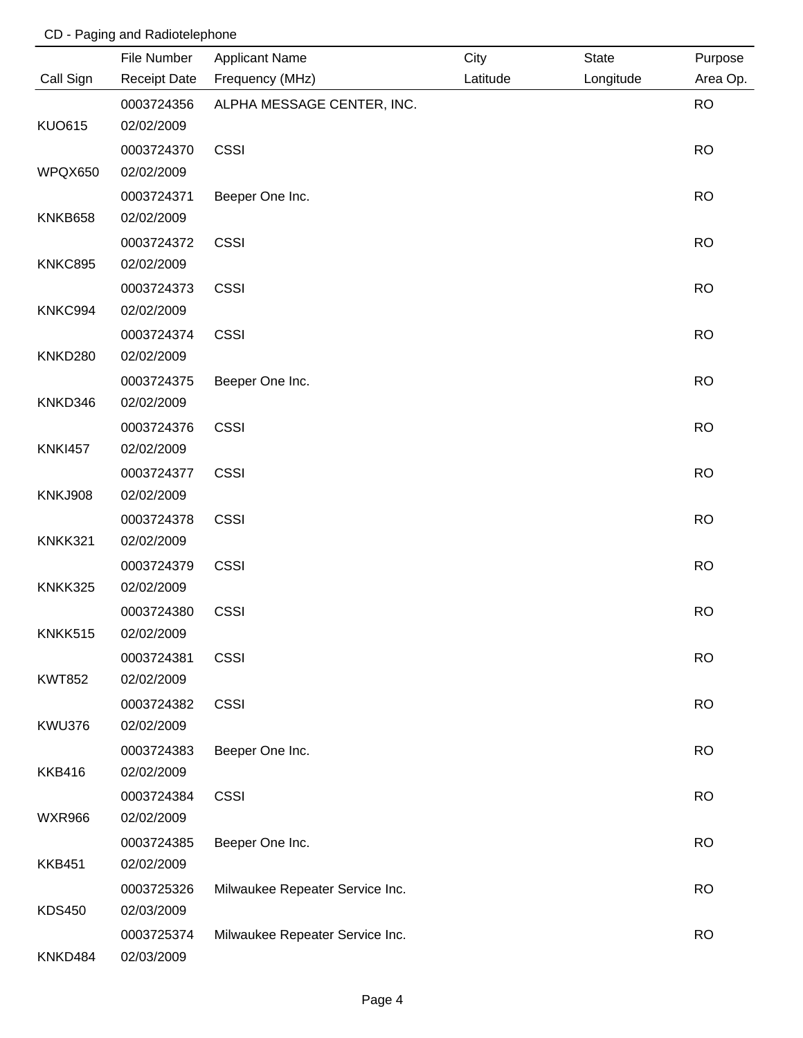# CD - Paging and Radiotelephone

|                | File Number         | <b>Applicant Name</b>           | City     | State     | Purpose   |
|----------------|---------------------|---------------------------------|----------|-----------|-----------|
| Call Sign      | <b>Receipt Date</b> | Frequency (MHz)                 | Latitude | Longitude | Area Op.  |
|                | 0003724356          | ALPHA MESSAGE CENTER, INC.      |          |           | <b>RO</b> |
| <b>KUO615</b>  | 02/02/2009          |                                 |          |           |           |
|                | 0003724370          | <b>CSSI</b>                     |          |           | <b>RO</b> |
| WPQX650        | 02/02/2009          |                                 |          |           |           |
|                | 0003724371          | Beeper One Inc.                 |          |           | <b>RO</b> |
| KNKB658        | 02/02/2009          |                                 |          |           |           |
|                | 0003724372          | <b>CSSI</b>                     |          |           | <b>RO</b> |
| <b>KNKC895</b> | 02/02/2009          |                                 |          |           |           |
|                | 0003724373          | <b>CSSI</b>                     |          |           | <b>RO</b> |
| KNKC994        | 02/02/2009          |                                 |          |           |           |
|                | 0003724374          | <b>CSSI</b>                     |          |           | <b>RO</b> |
| KNKD280        | 02/02/2009          |                                 |          |           |           |
|                | 0003724375          | Beeper One Inc.                 |          |           | <b>RO</b> |
| KNKD346        | 02/02/2009          |                                 |          |           |           |
|                | 0003724376          | <b>CSSI</b>                     |          |           | <b>RO</b> |
| <b>KNKI457</b> | 02/02/2009          |                                 |          |           |           |
|                | 0003724377          | <b>CSSI</b>                     |          |           | <b>RO</b> |
| <b>KNKJ908</b> | 02/02/2009          |                                 |          |           |           |
|                | 0003724378          | <b>CSSI</b>                     |          |           | <b>RO</b> |
| <b>KNKK321</b> | 02/02/2009          |                                 |          |           |           |
|                | 0003724379          | <b>CSSI</b>                     |          |           | <b>RO</b> |
| KNKK325        | 02/02/2009          |                                 |          |           |           |
|                | 0003724380          | <b>CSSI</b>                     |          |           | <b>RO</b> |
| <b>KNKK515</b> | 02/02/2009          |                                 |          |           |           |
|                | 0003724381          | <b>CSSI</b>                     |          |           | <b>RO</b> |
| <b>KWT852</b>  | 02/02/2009          |                                 |          |           |           |
|                | 0003724382          | <b>CSSI</b>                     |          |           | <b>RO</b> |
| <b>KWU376</b>  | 02/02/2009          |                                 |          |           |           |
|                | 0003724383          | Beeper One Inc.                 |          |           | <b>RO</b> |
| <b>KKB416</b>  | 02/02/2009          |                                 |          |           |           |
|                | 0003724384          | <b>CSSI</b>                     |          |           | <b>RO</b> |
| <b>WXR966</b>  | 02/02/2009          |                                 |          |           |           |
|                | 0003724385          | Beeper One Inc.                 |          |           | <b>RO</b> |
| <b>KKB451</b>  | 02/02/2009          |                                 |          |           |           |
|                | 0003725326          | Milwaukee Repeater Service Inc. |          |           | <b>RO</b> |
| <b>KDS450</b>  | 02/03/2009          |                                 |          |           |           |
|                | 0003725374          | Milwaukee Repeater Service Inc. |          |           | <b>RO</b> |
| KNKD484        | 02/03/2009          |                                 |          |           |           |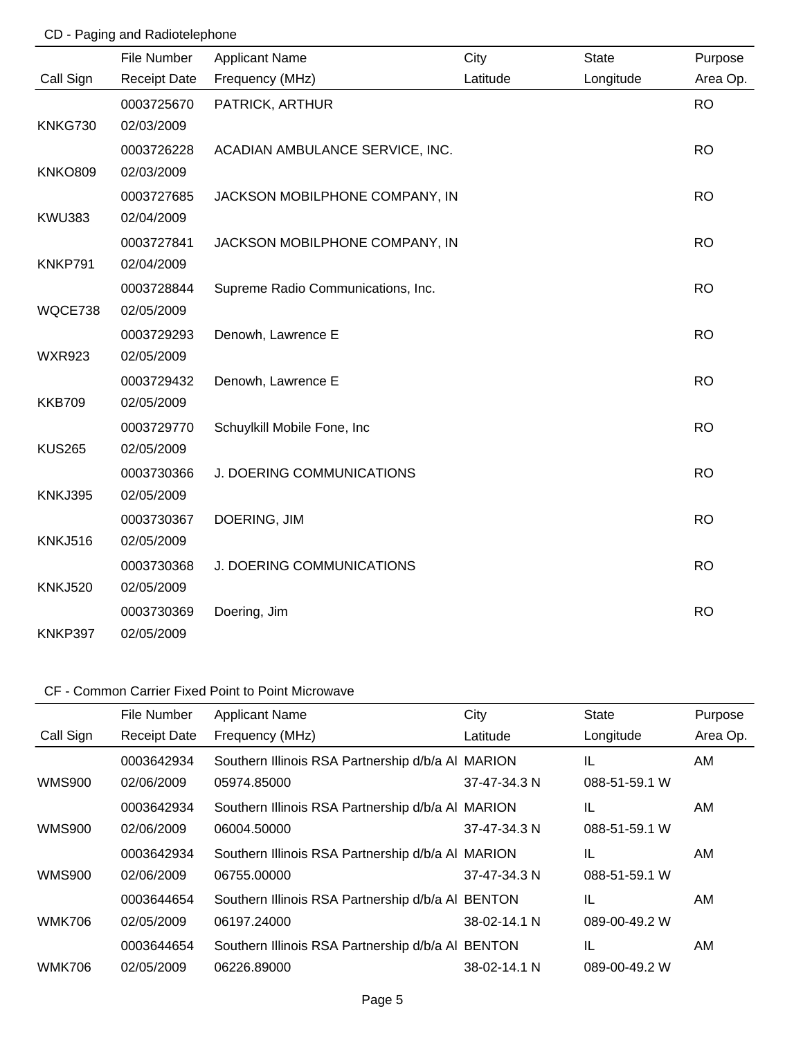## CD - Paging and Radiotelephone

|                | File Number         | <b>Applicant Name</b>              | City     | <b>State</b> | Purpose   |
|----------------|---------------------|------------------------------------|----------|--------------|-----------|
| Call Sign      | <b>Receipt Date</b> | Frequency (MHz)                    | Latitude | Longitude    | Area Op.  |
|                | 0003725670          | PATRICK, ARTHUR                    |          |              | <b>RO</b> |
| KNKG730        | 02/03/2009          |                                    |          |              |           |
|                | 0003726228          | ACADIAN AMBULANCE SERVICE, INC.    |          |              | <b>RO</b> |
| <b>KNKO809</b> | 02/03/2009          |                                    |          |              |           |
|                | 0003727685          | JACKSON MOBILPHONE COMPANY, IN     |          |              | <b>RO</b> |
| <b>KWU383</b>  | 02/04/2009          |                                    |          |              |           |
|                | 0003727841          | JACKSON MOBILPHONE COMPANY, IN     |          |              | <b>RO</b> |
| KNKP791        | 02/04/2009          |                                    |          |              |           |
|                | 0003728844          | Supreme Radio Communications, Inc. |          |              | <b>RO</b> |
| WQCE738        | 02/05/2009          |                                    |          |              |           |
|                | 0003729293          | Denowh, Lawrence E                 |          |              | <b>RO</b> |
| <b>WXR923</b>  | 02/05/2009          |                                    |          |              |           |
|                | 0003729432          | Denowh, Lawrence E                 |          |              | <b>RO</b> |
| <b>KKB709</b>  | 02/05/2009          |                                    |          |              |           |
|                | 0003729770          | Schuylkill Mobile Fone, Inc        |          |              | <b>RO</b> |
| <b>KUS265</b>  | 02/05/2009          |                                    |          |              |           |
|                | 0003730366          | <b>J. DOERING COMMUNICATIONS</b>   |          |              | <b>RO</b> |
| <b>KNKJ395</b> | 02/05/2009          |                                    |          |              |           |
|                | 0003730367          | DOERING, JIM                       |          |              | <b>RO</b> |
| <b>KNKJ516</b> | 02/05/2009          |                                    |          |              |           |
|                | 0003730368          | <b>J. DOERING COMMUNICATIONS</b>   |          |              | <b>RO</b> |
| <b>KNKJ520</b> | 02/05/2009          |                                    |          |              |           |
|                | 0003730369          | Doering, Jim                       |          |              | <b>RO</b> |
| KNKP397        | 02/05/2009          |                                    |          |              |           |

|               | File Number         | <b>Applicant Name</b>                             | City         | <b>State</b>  | Purpose  |
|---------------|---------------------|---------------------------------------------------|--------------|---------------|----------|
| Call Sign     | <b>Receipt Date</b> | Frequency (MHz)                                   | Latitude     | Longitude     | Area Op. |
|               | 0003642934          | Southern Illinois RSA Partnership d/b/a AI MARION |              | IL            | AM       |
| <b>WMS900</b> | 02/06/2009          | 05974.85000                                       | 37-47-34.3 N | 088-51-59.1 W |          |
|               | 0003642934          | Southern Illinois RSA Partnership d/b/a AI MARION |              | IL            | AM.      |
| <b>WMS900</b> | 02/06/2009          | 06004.50000                                       | 37-47-34.3 N | 088-51-59.1 W |          |
|               | 0003642934          | Southern Illinois RSA Partnership d/b/a AI MARION |              | IL            | AM       |
| <b>WMS900</b> | 02/06/2009          | 06755.00000                                       | 37-47-34.3 N | 088-51-59.1 W |          |
|               | 0003644654          | Southern Illinois RSA Partnership d/b/a AI BENTON |              | IL            | AM.      |
| <b>WMK706</b> | 02/05/2009          | 06197.24000                                       | 38-02-14.1 N | 089-00-49.2 W |          |
|               | 0003644654          | Southern Illinois RSA Partnership d/b/a AI BENTON |              | IL            | AM.      |
| <b>WMK706</b> | 02/05/2009          | 06226.89000                                       | 38-02-14.1 N | 089-00-49.2 W |          |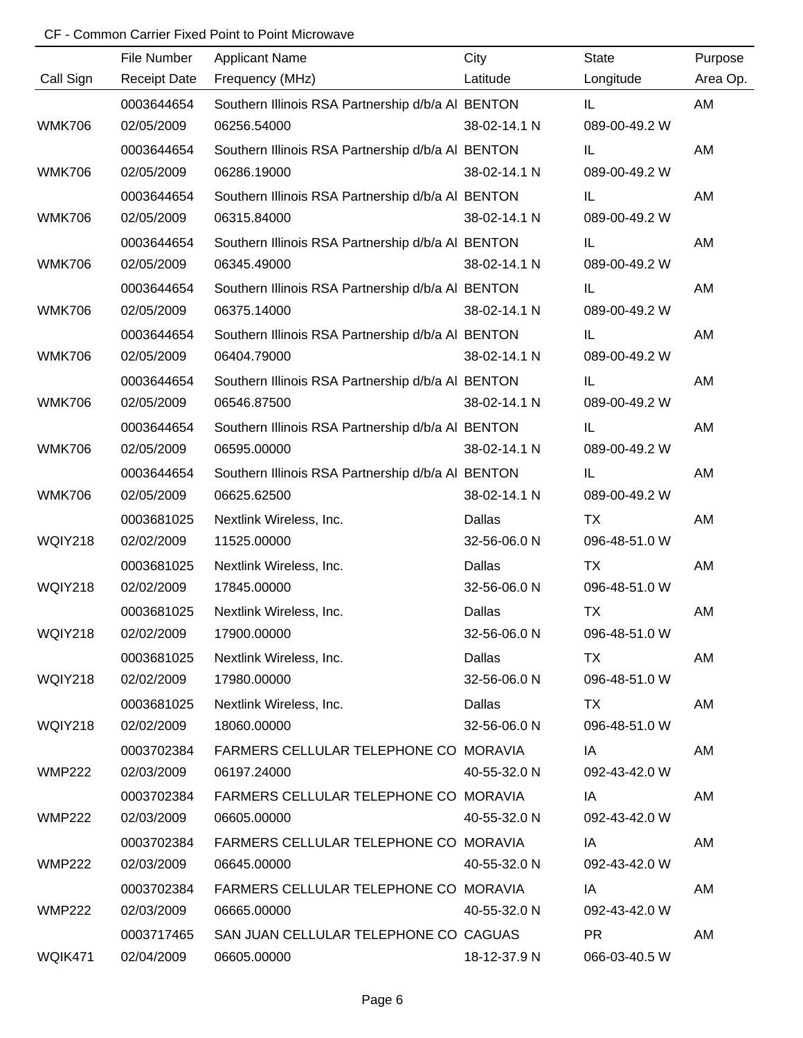|                | File Number         | <b>Applicant Name</b>                             | City         | <b>State</b>  | Purpose  |
|----------------|---------------------|---------------------------------------------------|--------------|---------------|----------|
| Call Sign      | <b>Receipt Date</b> | Frequency (MHz)                                   | Latitude     | Longitude     | Area Op. |
|                | 0003644654          | Southern Illinois RSA Partnership d/b/a AI BENTON |              | IL            | AM       |
| <b>WMK706</b>  | 02/05/2009          | 06256.54000                                       | 38-02-14.1 N | 089-00-49.2 W |          |
|                | 0003644654          | Southern Illinois RSA Partnership d/b/a AI BENTON |              | IL            | AM       |
| <b>WMK706</b>  | 02/05/2009          | 06286.19000                                       | 38-02-14.1 N | 089-00-49.2 W |          |
|                | 0003644654          | Southern Illinois RSA Partnership d/b/a AI BENTON |              | IL            | AM       |
| <b>WMK706</b>  | 02/05/2009          | 06315.84000                                       | 38-02-14.1 N | 089-00-49.2 W |          |
|                | 0003644654          | Southern Illinois RSA Partnership d/b/a AI BENTON |              | IL            | AM       |
| <b>WMK706</b>  | 02/05/2009          | 06345.49000                                       | 38-02-14.1 N | 089-00-49.2 W |          |
|                | 0003644654          | Southern Illinois RSA Partnership d/b/a AI BENTON |              | IL            | AM       |
| <b>WMK706</b>  | 02/05/2009          | 06375.14000                                       | 38-02-14.1 N | 089-00-49.2 W |          |
|                | 0003644654          | Southern Illinois RSA Partnership d/b/a AI BENTON |              | IL.           | AM       |
| <b>WMK706</b>  | 02/05/2009          | 06404.79000                                       | 38-02-14.1 N | 089-00-49.2 W |          |
|                | 0003644654          | Southern Illinois RSA Partnership d/b/a AI BENTON |              | IL            | AM       |
| <b>WMK706</b>  | 02/05/2009          | 06546.87500                                       | 38-02-14.1 N | 089-00-49.2 W |          |
|                | 0003644654          | Southern Illinois RSA Partnership d/b/a AI BENTON |              | IL            | AM       |
| <b>WMK706</b>  | 02/05/2009          | 06595.00000                                       | 38-02-14.1 N | 089-00-49.2 W |          |
|                | 0003644654          | Southern Illinois RSA Partnership d/b/a AI BENTON |              | IL            | AM       |
| <b>WMK706</b>  | 02/05/2009          | 06625.62500                                       | 38-02-14.1 N | 089-00-49.2 W |          |
|                | 0003681025          | Nextlink Wireless, Inc.                           | Dallas       | <b>TX</b>     | AM       |
| WQIY218        | 02/02/2009          | 11525.00000                                       | 32-56-06.0 N | 096-48-51.0 W |          |
|                | 0003681025          | Nextlink Wireless, Inc.                           | Dallas       | <b>TX</b>     | AM       |
| WQIY218        | 02/02/2009          | 17845.00000                                       | 32-56-06.0 N | 096-48-51.0 W |          |
|                | 0003681025          | Nextlink Wireless, Inc.                           | Dallas       | <b>TX</b>     | AM       |
| <b>WQIY218</b> | 02/02/2009          | 17900.00000                                       | 32-56-06.0 N | 096-48-51.0 W |          |
|                | 0003681025          | Nextlink Wireless, Inc.                           | Dallas       | TX.           | AM       |
| <b>WQIY218</b> | 02/02/2009          | 17980.00000                                       | 32-56-06.0 N | 096-48-51.0 W |          |
|                | 0003681025          | Nextlink Wireless, Inc.                           | Dallas       | TX            | AM       |
| WQIY218        | 02/02/2009          | 18060.00000                                       | 32-56-06.0 N | 096-48-51.0 W |          |
|                | 0003702384          | FARMERS CELLULAR TELEPHONE CO MORAVIA             |              | IA            | AM       |
| <b>WMP222</b>  | 02/03/2009          | 06197.24000                                       | 40-55-32.0 N | 092-43-42.0 W |          |
|                | 0003702384          | FARMERS CELLULAR TELEPHONE CO MORAVIA             |              | IA            | AM       |
| <b>WMP222</b>  | 02/03/2009          | 06605.00000                                       | 40-55-32.0 N | 092-43-42.0 W |          |
|                | 0003702384          | FARMERS CELLULAR TELEPHONE CO MORAVIA             |              | IA            | AM       |
| <b>WMP222</b>  | 02/03/2009          | 06645.00000                                       | 40-55-32.0 N | 092-43-42.0 W |          |
|                | 0003702384          | FARMERS CELLULAR TELEPHONE CO MORAVIA             |              | IA            | AM       |
| <b>WMP222</b>  | 02/03/2009          | 06665.00000                                       | 40-55-32.0 N | 092-43-42.0 W |          |
|                | 0003717465          | SAN JUAN CELLULAR TELEPHONE CO CAGUAS             |              | <b>PR</b>     | AM       |
| WQIK471        | 02/04/2009          | 06605.00000                                       | 18-12-37.9 N | 066-03-40.5 W |          |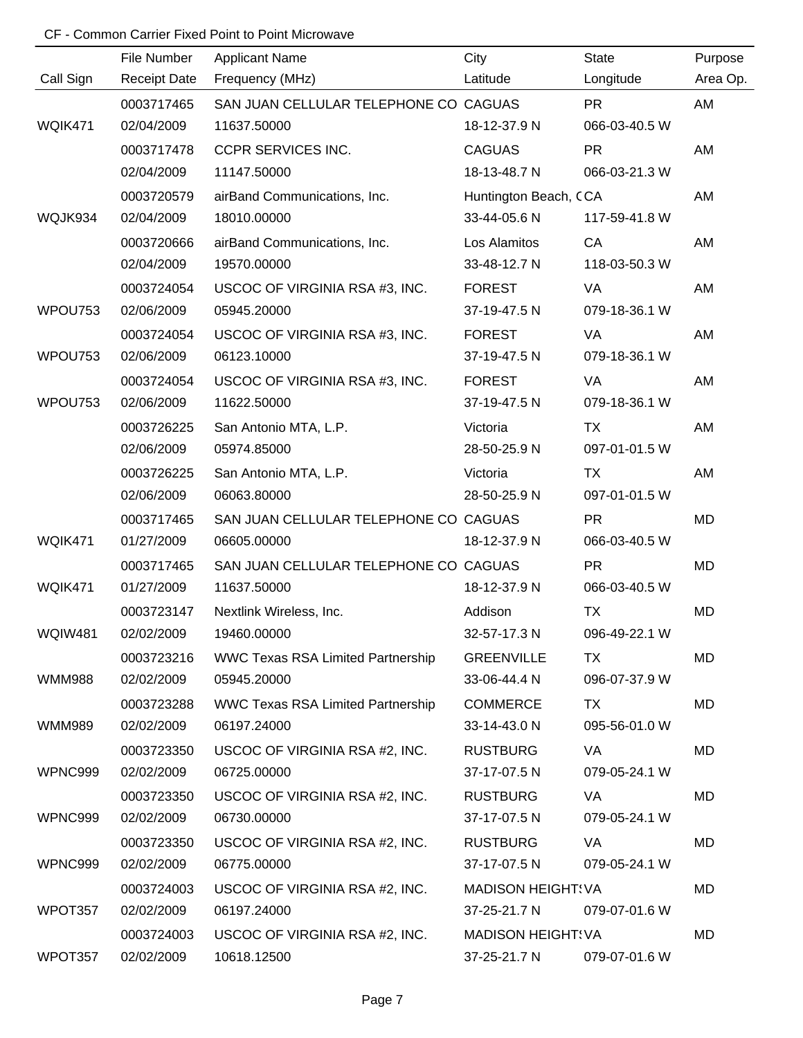|                | File Number         | <b>Applicant Name</b>                    | City                      | <b>State</b>  | Purpose   |
|----------------|---------------------|------------------------------------------|---------------------------|---------------|-----------|
| Call Sign      | <b>Receipt Date</b> | Frequency (MHz)                          | Latitude                  | Longitude     | Area Op.  |
|                | 0003717465          | SAN JUAN CELLULAR TELEPHONE CO CAGUAS    |                           | <b>PR</b>     | AM        |
| WQIK471        | 02/04/2009          | 11637.50000                              | 18-12-37.9 N              | 066-03-40.5 W |           |
|                | 0003717478          | <b>CCPR SERVICES INC.</b>                | <b>CAGUAS</b>             | <b>PR</b>     | AM        |
|                | 02/04/2009          | 11147.50000                              | 18-13-48.7 N              | 066-03-21.3 W |           |
|                | 0003720579          | airBand Communications, Inc.             | Huntington Beach, CCA     |               | AM        |
| WQJK934        | 02/04/2009          | 18010.00000                              | 33-44-05.6 N              | 117-59-41.8 W |           |
|                | 0003720666          | airBand Communications, Inc.             | Los Alamitos              | CA            | AM        |
|                | 02/04/2009          | 19570.00000                              | 33-48-12.7 N              | 118-03-50.3 W |           |
|                | 0003724054          | USCOC OF VIRGINIA RSA #3, INC.           | <b>FOREST</b>             | VA            | AM        |
| WPOU753        | 02/06/2009          | 05945.20000                              | 37-19-47.5 N              | 079-18-36.1 W |           |
|                | 0003724054          | USCOC OF VIRGINIA RSA #3, INC.           | <b>FOREST</b>             | VA            | AM        |
| WPOU753        | 02/06/2009          | 06123.10000                              | 37-19-47.5 N              | 079-18-36.1 W |           |
|                | 0003724054          | USCOC OF VIRGINIA RSA #3, INC.           | <b>FOREST</b>             | VA            | AM        |
| WPOU753        | 02/06/2009          | 11622.50000                              | 37-19-47.5 N              | 079-18-36.1 W |           |
|                | 0003726225          | San Antonio MTA, L.P.                    | Victoria                  | TX            | AM        |
|                | 02/06/2009          | 05974.85000                              | 28-50-25.9 N              | 097-01-01.5 W |           |
|                | 0003726225          | San Antonio MTA, L.P.                    | Victoria                  | TX            | AM        |
|                | 02/06/2009          | 06063.80000                              | 28-50-25.9 N              | 097-01-01.5 W |           |
|                | 0003717465          | SAN JUAN CELLULAR TELEPHONE CO CAGUAS    |                           | <b>PR</b>     | MD        |
| WQIK471        | 01/27/2009          | 06605.00000                              | 18-12-37.9 N              | 066-03-40.5 W |           |
|                | 0003717465          | SAN JUAN CELLULAR TELEPHONE CO CAGUAS    |                           | <b>PR</b>     | MD        |
| WQIK471        | 01/27/2009          | 11637.50000                              | 18-12-37.9 N              | 066-03-40.5 W |           |
|                | 0003723147          | Nextlink Wireless, Inc.                  | Addison                   | <b>TX</b>     | <b>MD</b> |
| <b>WQIW481</b> | 02/02/2009          | 19460.00000                              | 32-57-17.3 N              | 096-49-22.1 W |           |
|                | 0003723216          | <b>WWC Texas RSA Limited Partnership</b> | <b>GREENVILLE</b>         | TX            | MD        |
| <b>WMM988</b>  | 02/02/2009          | 05945.20000                              | 33-06-44.4 N              | 096-07-37.9 W |           |
|                | 0003723288          | <b>WWC Texas RSA Limited Partnership</b> | <b>COMMERCE</b>           | TX            | MD        |
| <b>WMM989</b>  | 02/02/2009          | 06197.24000                              | 33-14-43.0 N              | 095-56-01.0 W |           |
|                | 0003723350          | USCOC OF VIRGINIA RSA #2, INC.           | <b>RUSTBURG</b>           | VA            | MD        |
| WPNC999        | 02/02/2009          | 06725.00000                              | 37-17-07.5 N              | 079-05-24.1 W |           |
|                | 0003723350          | USCOC OF VIRGINIA RSA #2, INC.           | <b>RUSTBURG</b>           | VA            | MD        |
| WPNC999        | 02/02/2009          | 06730.00000                              | 37-17-07.5 N              | 079-05-24.1 W |           |
|                | 0003723350          | USCOC OF VIRGINIA RSA #2, INC.           | <b>RUSTBURG</b>           | VA            | MD        |
| WPNC999        | 02/02/2009          | 06775.00000                              | 37-17-07.5 N              | 079-05-24.1 W |           |
|                | 0003724003          | USCOC OF VIRGINIA RSA #2, INC.           | <b>MADISON HEIGHT: VA</b> |               | MD        |
| WPOT357        | 02/02/2009          | 06197.24000                              | 37-25-21.7 N              | 079-07-01.6 W |           |
|                | 0003724003          | USCOC OF VIRGINIA RSA #2, INC.           | <b>MADISON HEIGHT: VA</b> |               | MD        |
| WPOT357        | 02/02/2009          | 10618.12500                              | 37-25-21.7 N              | 079-07-01.6 W |           |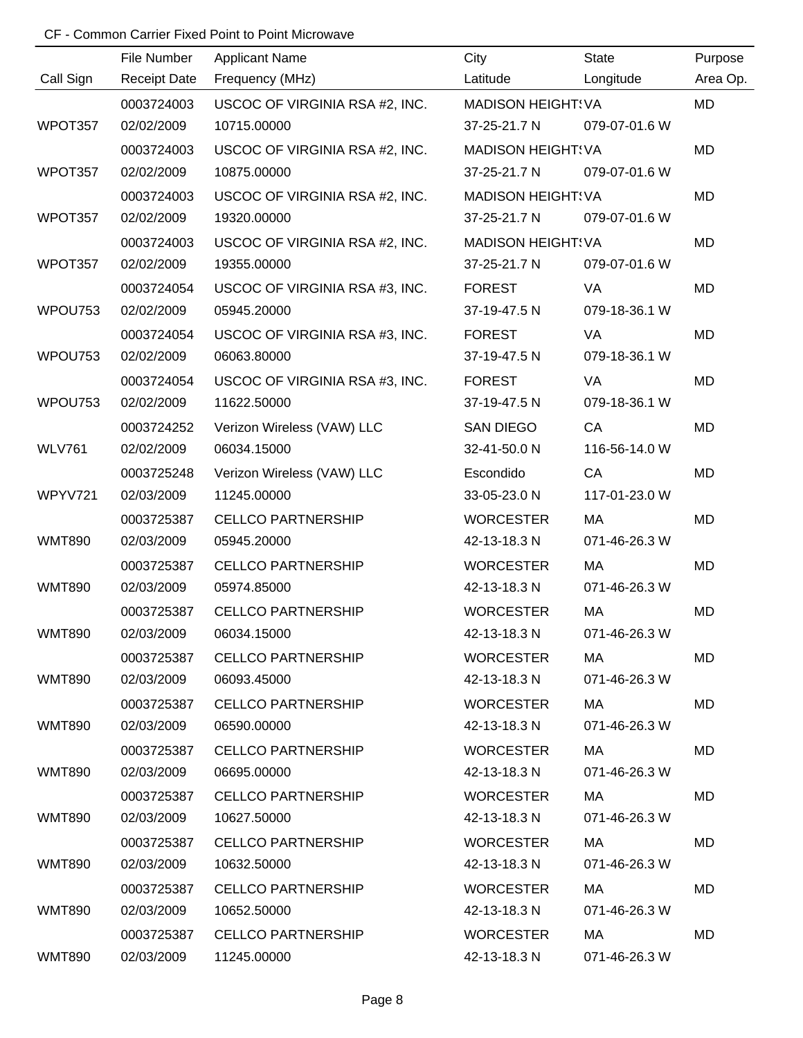|                | File Number         | <b>Applicant Name</b>          | City                      | <b>State</b>  | Purpose   |
|----------------|---------------------|--------------------------------|---------------------------|---------------|-----------|
| Call Sign      | <b>Receipt Date</b> | Frequency (MHz)                | Latitude                  | Longitude     | Area Op.  |
|                | 0003724003          | USCOC OF VIRGINIA RSA #2, INC. | <b>MADISON HEIGHT: VA</b> |               | MD        |
| WPOT357        | 02/02/2009          | 10715.00000                    | 37-25-21.7 N              | 079-07-01.6 W |           |
|                | 0003724003          | USCOC OF VIRGINIA RSA #2, INC. | <b>MADISON HEIGHT: VA</b> |               | MD        |
| WPOT357        | 02/02/2009          | 10875.00000                    | 37-25-21.7 N              | 079-07-01.6 W |           |
|                | 0003724003          | USCOC OF VIRGINIA RSA #2, INC. | <b>MADISON HEIGHT: VA</b> |               | MD        |
| WPOT357        | 02/02/2009          | 19320.00000                    | 37-25-21.7 N              | 079-07-01.6 W |           |
|                | 0003724003          | USCOC OF VIRGINIA RSA #2, INC. | <b>MADISON HEIGHT: VA</b> |               | <b>MD</b> |
| WPOT357        | 02/02/2009          | 19355.00000                    | 37-25-21.7 N              | 079-07-01.6 W |           |
|                | 0003724054          | USCOC OF VIRGINIA RSA #3, INC. | <b>FOREST</b>             | VA            | <b>MD</b> |
| WPOU753        | 02/02/2009          | 05945.20000                    | 37-19-47.5 N              | 079-18-36.1 W |           |
|                | 0003724054          | USCOC OF VIRGINIA RSA #3, INC. | <b>FOREST</b>             | VA            | <b>MD</b> |
| WPOU753        | 02/02/2009          | 06063.80000                    | 37-19-47.5 N              | 079-18-36.1 W |           |
|                | 0003724054          | USCOC OF VIRGINIA RSA #3, INC. | <b>FOREST</b>             | VA            | <b>MD</b> |
| WPOU753        | 02/02/2009          | 11622.50000                    | 37-19-47.5 N              | 079-18-36.1 W |           |
|                | 0003724252          | Verizon Wireless (VAW) LLC     | <b>SAN DIEGO</b>          | CA            | <b>MD</b> |
| <b>WLV761</b>  | 02/02/2009          | 06034.15000                    | 32-41-50.0 N              | 116-56-14.0 W |           |
|                | 0003725248          | Verizon Wireless (VAW) LLC     | Escondido                 | CA            | <b>MD</b> |
| <b>WPYV721</b> | 02/03/2009          | 11245.00000                    | 33-05-23.0 N              | 117-01-23.0 W |           |
|                | 0003725387          | <b>CELLCO PARTNERSHIP</b>      | <b>WORCESTER</b>          | MA            | <b>MD</b> |
| <b>WMT890</b>  | 02/03/2009          | 05945.20000                    | 42-13-18.3 N              | 071-46-26.3 W |           |
|                | 0003725387          | <b>CELLCO PARTNERSHIP</b>      | <b>WORCESTER</b>          | MA            | <b>MD</b> |
| <b>WMT890</b>  | 02/03/2009          | 05974.85000                    | 42-13-18.3 N              | 071-46-26.3 W |           |
|                | 0003725387          | <b>CELLCO PARTNERSHIP</b>      | <b>WORCESTER</b>          | MA            | <b>MD</b> |
| WMT890         | 02/03/2009          | 06034.15000                    | 42-13-18.3 N              | 071-46-26.3 W |           |
|                | 0003725387          | <b>CELLCO PARTNERSHIP</b>      | <b>WORCESTER</b>          | МA            | MD        |
| <b>WMT890</b>  | 02/03/2009          | 06093.45000                    | 42-13-18.3 N              | 071-46-26.3 W |           |
|                | 0003725387          | <b>CELLCO PARTNERSHIP</b>      | <b>WORCESTER</b>          | MA            | MD        |
| <b>WMT890</b>  | 02/03/2009          | 06590.00000                    | 42-13-18.3 N              | 071-46-26.3 W |           |
|                | 0003725387          | <b>CELLCO PARTNERSHIP</b>      | <b>WORCESTER</b>          | MA            | MD        |
| <b>WMT890</b>  | 02/03/2009          | 06695.00000                    | 42-13-18.3 N              | 071-46-26.3 W |           |
|                | 0003725387          | <b>CELLCO PARTNERSHIP</b>      | <b>WORCESTER</b>          | МA            | MD        |
| <b>WMT890</b>  | 02/03/2009          | 10627.50000                    | 42-13-18.3 N              | 071-46-26.3 W |           |
|                | 0003725387          | <b>CELLCO PARTNERSHIP</b>      | <b>WORCESTER</b>          | МA            | MD        |
| <b>WMT890</b>  | 02/03/2009          | 10632.50000                    | 42-13-18.3 N              | 071-46-26.3 W |           |
|                | 0003725387          | <b>CELLCO PARTNERSHIP</b>      | <b>WORCESTER</b>          | МA            | MD.       |
| <b>WMT890</b>  | 02/03/2009          | 10652.50000                    | 42-13-18.3 N              | 071-46-26.3 W |           |
|                | 0003725387          | <b>CELLCO PARTNERSHIP</b>      | <b>WORCESTER</b>          | МA            | MD        |
| <b>WMT890</b>  | 02/03/2009          | 11245.00000                    | 42-13-18.3 N              | 071-46-26.3 W |           |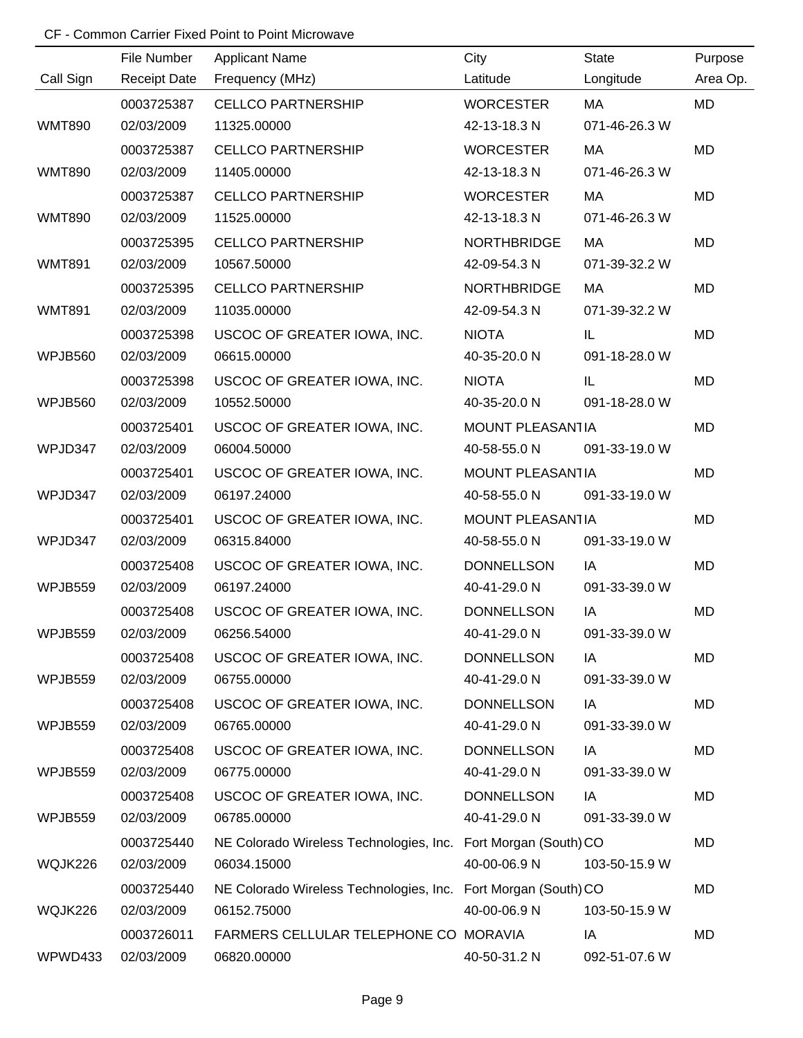|               | File Number         | <b>Applicant Name</b>                                          | City               | State         | Purpose   |
|---------------|---------------------|----------------------------------------------------------------|--------------------|---------------|-----------|
| Call Sign     | <b>Receipt Date</b> | Frequency (MHz)                                                | Latitude           | Longitude     | Area Op.  |
|               | 0003725387          | <b>CELLCO PARTNERSHIP</b>                                      | <b>WORCESTER</b>   | МA            | <b>MD</b> |
| <b>WMT890</b> | 02/03/2009          | 11325.00000                                                    | 42-13-18.3 N       | 071-46-26.3 W |           |
|               | 0003725387          | <b>CELLCO PARTNERSHIP</b>                                      | <b>WORCESTER</b>   | МA            | <b>MD</b> |
| <b>WMT890</b> | 02/03/2009          | 11405.00000                                                    | 42-13-18.3 N       | 071-46-26.3 W |           |
|               | 0003725387          | <b>CELLCO PARTNERSHIP</b>                                      | <b>WORCESTER</b>   | МA            | <b>MD</b> |
| <b>WMT890</b> | 02/03/2009          | 11525.00000                                                    | 42-13-18.3 N       | 071-46-26.3 W |           |
|               | 0003725395          | <b>CELLCO PARTNERSHIP</b>                                      | <b>NORTHBRIDGE</b> | МA            | <b>MD</b> |
| <b>WMT891</b> | 02/03/2009          | 10567.50000                                                    | 42-09-54.3 N       | 071-39-32.2 W |           |
|               | 0003725395          | <b>CELLCO PARTNERSHIP</b>                                      | <b>NORTHBRIDGE</b> | МA            | MD        |
| <b>WMT891</b> | 02/03/2009          | 11035.00000                                                    | 42-09-54.3 N       | 071-39-32.2 W |           |
|               | 0003725398          | USCOC OF GREATER IOWA, INC.                                    | <b>NIOTA</b>       | IL.           | MD        |
| WPJB560       | 02/03/2009          | 06615.00000                                                    | 40-35-20.0 N       | 091-18-28.0 W |           |
|               | 0003725398          | USCOC OF GREATER IOWA, INC.                                    | <b>NIOTA</b>       | IL            | MD        |
| WPJB560       | 02/03/2009          | 10552.50000                                                    | 40-35-20.0 N       | 091-18-28.0 W |           |
|               | 0003725401          | USCOC OF GREATER IOWA, INC.                                    | MOUNT PLEASAN1IA   |               | <b>MD</b> |
| WPJD347       | 02/03/2009          | 06004.50000                                                    | 40-58-55.0 N       | 091-33-19.0 W |           |
|               | 0003725401          | USCOC OF GREATER IOWA, INC.                                    | MOUNT PLEASAN1IA   |               | MD        |
| WPJD347       | 02/03/2009          | 06197.24000                                                    | 40-58-55.0 N       | 091-33-19.0 W |           |
|               | 0003725401          | USCOC OF GREATER IOWA, INC.                                    | MOUNT PLEASAN1IA   |               | MD        |
| WPJD347       | 02/03/2009          | 06315.84000                                                    | 40-58-55.0 N       | 091-33-19.0 W |           |
|               | 0003725408          | USCOC OF GREATER IOWA, INC.                                    | <b>DONNELLSON</b>  | IA            | MD        |
| WPJB559       | 02/03/2009          | 06197.24000                                                    | 40-41-29.0 N       | 091-33-39.0 W |           |
|               | 0003725408          | USCOC OF GREATER IOWA, INC.                                    | <b>DONNELLSON</b>  | IA            | MD        |
| WPJB559       | 02/03/2009          | 06256.54000                                                    | 40-41-29.0 N       | 091-33-39.0 W |           |
|               | 0003725408          | USCOC OF GREATER IOWA, INC.                                    | <b>DONNELLSON</b>  | IA            | MD        |
| WPJB559       | 02/03/2009          | 06755.00000                                                    | 40-41-29.0 N       | 091-33-39.0 W |           |
|               | 0003725408          | USCOC OF GREATER IOWA, INC.                                    | <b>DONNELLSON</b>  | IA            | MD        |
| WPJB559       | 02/03/2009          | 06765.00000                                                    | 40-41-29.0 N       | 091-33-39.0 W |           |
|               | 0003725408          | USCOC OF GREATER IOWA, INC.                                    | <b>DONNELLSON</b>  | IA            | MD        |
| WPJB559       | 02/03/2009          | 06775.00000                                                    | 40-41-29.0 N       | 091-33-39.0 W |           |
|               | 0003725408          | USCOC OF GREATER IOWA, INC.                                    | <b>DONNELLSON</b>  | IA            | MD        |
| WPJB559       | 02/03/2009          | 06785.00000                                                    | 40-41-29.0 N       | 091-33-39.0 W |           |
|               | 0003725440          | NE Colorado Wireless Technologies, Inc. Fort Morgan (South) CO |                    |               | MD        |
| WQJK226       | 02/03/2009          | 06034.15000                                                    | 40-00-06.9 N       | 103-50-15.9 W |           |
|               | 0003725440          | NE Colorado Wireless Technologies, Inc. Fort Morgan (South) CO |                    |               | MD        |
| WQJK226       | 02/03/2009          | 06152.75000                                                    | 40-00-06.9 N       | 103-50-15.9 W |           |
|               | 0003726011          | FARMERS CELLULAR TELEPHONE CO MORAVIA                          |                    | IA            | MD        |
| WPWD433       | 02/03/2009          | 06820.00000                                                    | 40-50-31.2 N       | 092-51-07.6 W |           |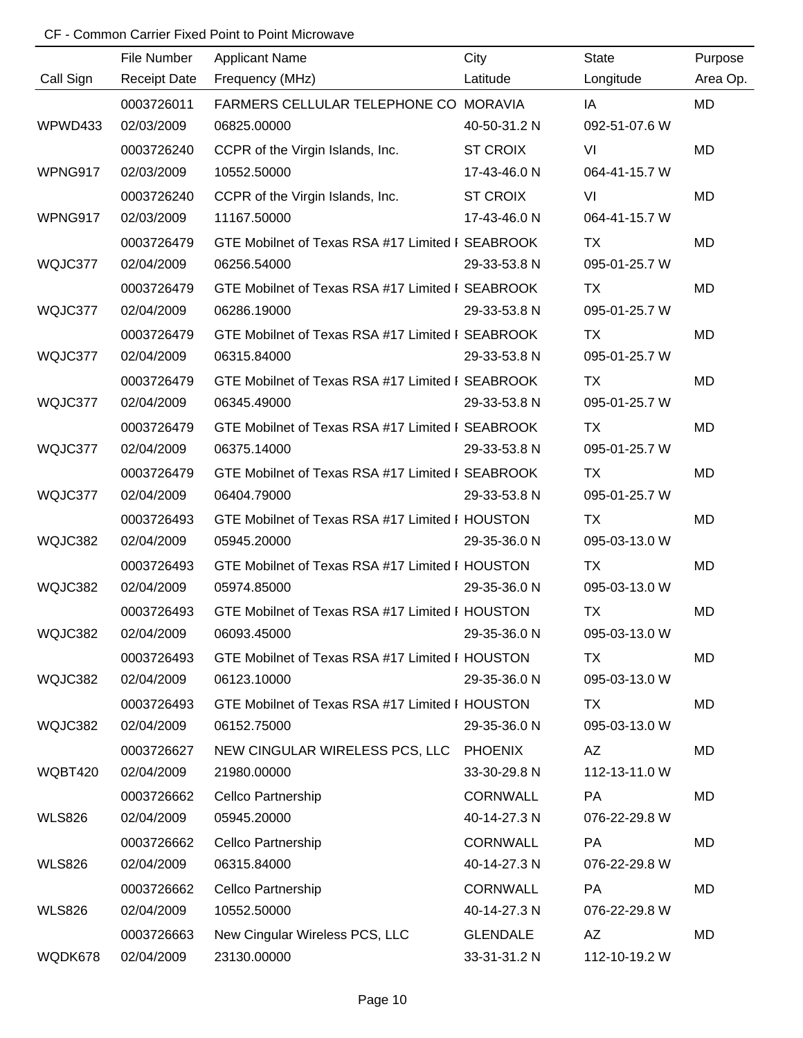|               | File Number         | <b>Applicant Name</b>                            | City            | <b>State</b>  | Purpose   |
|---------------|---------------------|--------------------------------------------------|-----------------|---------------|-----------|
| Call Sign     | <b>Receipt Date</b> | Frequency (MHz)                                  | Latitude        | Longitude     | Area Op.  |
|               | 0003726011          | FARMERS CELLULAR TELEPHONE CO MORAVIA            |                 | IA            | MD        |
| WPWD433       | 02/03/2009          | 06825.00000                                      | 40-50-31.2 N    | 092-51-07.6 W |           |
|               | 0003726240          | CCPR of the Virgin Islands, Inc.                 | <b>ST CROIX</b> | VI            | <b>MD</b> |
| WPNG917       | 02/03/2009          | 10552.50000                                      | 17-43-46.0 N    | 064-41-15.7 W |           |
|               | 0003726240          | CCPR of the Virgin Islands, Inc.                 | <b>ST CROIX</b> | VI            | MD        |
| WPNG917       | 02/03/2009          | 11167.50000                                      | 17-43-46.0 N    | 064-41-15.7 W |           |
|               | 0003726479          | GTE Mobilnet of Texas RSA #17 Limited I SEABROOK |                 | TX            | <b>MD</b> |
| WQJC377       | 02/04/2009          | 06256.54000                                      | 29-33-53.8 N    | 095-01-25.7 W |           |
|               | 0003726479          | GTE Mobilnet of Texas RSA #17 Limited I SEABROOK |                 | TX            | MD        |
| WQJC377       | 02/04/2009          | 06286.19000                                      | 29-33-53.8 N    | 095-01-25.7 W |           |
|               | 0003726479          | GTE Mobilnet of Texas RSA #17 Limited I SEABROOK |                 | TX            | MD        |
| WQJC377       | 02/04/2009          | 06315.84000                                      | 29-33-53.8 N    | 095-01-25.7 W |           |
|               | 0003726479          | GTE Mobilnet of Texas RSA #17 Limited I SEABROOK |                 | TX            | MD        |
| WQJC377       | 02/04/2009          | 06345.49000                                      | 29-33-53.8 N    | 095-01-25.7 W |           |
|               | 0003726479          | GTE Mobilnet of Texas RSA #17 Limited I SEABROOK |                 | <b>TX</b>     | <b>MD</b> |
| WQJC377       | 02/04/2009          | 06375.14000                                      | 29-33-53.8 N    | 095-01-25.7 W |           |
|               | 0003726479          | GTE Mobilnet of Texas RSA #17 Limited I SEABROOK |                 | <b>TX</b>     | MD        |
| WQJC377       | 02/04/2009          | 06404.79000                                      | 29-33-53.8 N    | 095-01-25.7 W |           |
|               | 0003726493          | GTE Mobilnet of Texas RSA #17 Limited I HOUSTON  |                 | <b>TX</b>     | MD        |
| WQJC382       | 02/04/2009          | 05945.20000                                      | 29-35-36.0 N    | 095-03-13.0 W |           |
|               | 0003726493          | GTE Mobilnet of Texas RSA #17 Limited I HOUSTON  |                 | <b>TX</b>     | MD        |
| WQJC382       | 02/04/2009          | 05974.85000                                      | 29-35-36.0 N    | 095-03-13.0 W |           |
|               | 0003726493          | GTE Mobilnet of Texas RSA #17 Limited I HOUSTON  |                 | <b>TX</b>     | MD        |
| WQJC382       | 02/04/2009          | 06093.45000                                      | 29-35-36.0 N    | 095-03-13.0 W |           |
|               | 0003726493          | GTE Mobilnet of Texas RSA #17 Limited I HOUSTON  |                 | TX            | MD        |
| WQJC382       | 02/04/2009          | 06123.10000                                      | 29-35-36.0 N    | 095-03-13.0 W |           |
|               | 0003726493          | GTE Mobilnet of Texas RSA #17 Limited I HOUSTON  |                 | <b>TX</b>     | MD        |
| WQJC382       | 02/04/2009          | 06152.75000                                      | 29-35-36.0 N    | 095-03-13.0 W |           |
|               | 0003726627          | NEW CINGULAR WIRELESS PCS, LLC                   | <b>PHOENIX</b>  | AZ            | MD        |
| WQBT420       | 02/04/2009          | 21980.00000                                      | 33-30-29.8 N    | 112-13-11.0 W |           |
|               | 0003726662          | Cellco Partnership                               | <b>CORNWALL</b> | PA            | MD        |
| <b>WLS826</b> | 02/04/2009          | 05945.20000                                      | 40-14-27.3 N    | 076-22-29.8 W |           |
|               | 0003726662          | Cellco Partnership                               | <b>CORNWALL</b> | PA            | MD        |
| <b>WLS826</b> | 02/04/2009          | 06315.84000                                      | 40-14-27.3 N    | 076-22-29.8 W |           |
|               | 0003726662          | Cellco Partnership                               | <b>CORNWALL</b> | <b>PA</b>     | MD        |
| <b>WLS826</b> | 02/04/2009          | 10552.50000                                      | 40-14-27.3 N    | 076-22-29.8 W |           |
|               | 0003726663          | New Cingular Wireless PCS, LLC                   | <b>GLENDALE</b> | AZ            | MD        |
| WQDK678       | 02/04/2009          | 23130.00000                                      | 33-31-31.2 N    | 112-10-19.2 W |           |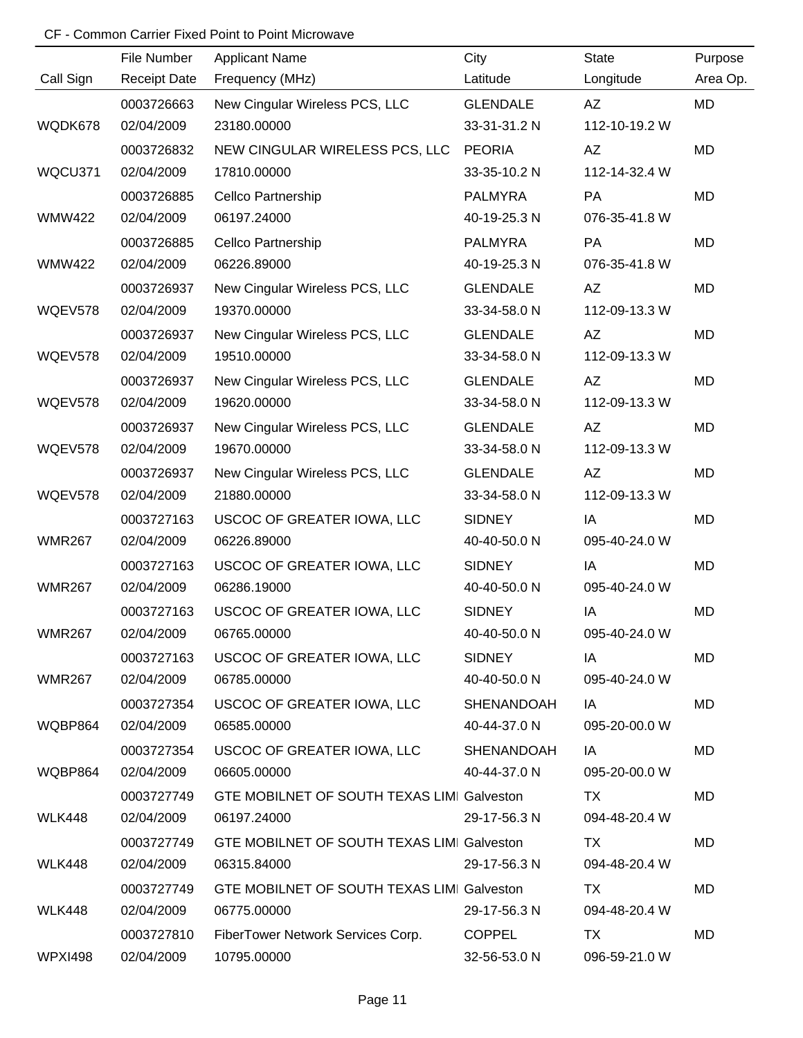|                | File Number         | <b>Applicant Name</b>                      | City            | <b>State</b>  | Purpose   |
|----------------|---------------------|--------------------------------------------|-----------------|---------------|-----------|
| Call Sign      | <b>Receipt Date</b> | Frequency (MHz)                            | Latitude        | Longitude     | Area Op.  |
|                | 0003726663          | New Cingular Wireless PCS, LLC             | <b>GLENDALE</b> | AZ            | <b>MD</b> |
| WQDK678        | 02/04/2009          | 23180.00000                                | 33-31-31.2 N    | 112-10-19.2 W |           |
|                | 0003726832          | NEW CINGULAR WIRELESS PCS, LLC             | <b>PEORIA</b>   | <b>AZ</b>     | <b>MD</b> |
| WQCU371        | 02/04/2009          | 17810.00000                                | 33-35-10.2 N    | 112-14-32.4 W |           |
|                | 0003726885          | Cellco Partnership                         | <b>PALMYRA</b>  | PA            | MD        |
| <b>WMW422</b>  | 02/04/2009          | 06197.24000                                | 40-19-25.3 N    | 076-35-41.8 W |           |
|                | 0003726885          | Cellco Partnership                         | <b>PALMYRA</b>  | PA            | MD        |
| <b>WMW422</b>  | 02/04/2009          | 06226.89000                                | 40-19-25.3 N    | 076-35-41.8 W |           |
|                | 0003726937          | New Cingular Wireless PCS, LLC             | <b>GLENDALE</b> | AZ            | MD        |
| <b>WQEV578</b> | 02/04/2009          | 19370.00000                                | 33-34-58.0 N    | 112-09-13.3 W |           |
|                | 0003726937          | New Cingular Wireless PCS, LLC             | <b>GLENDALE</b> | <b>AZ</b>     | MD        |
| WQEV578        | 02/04/2009          | 19510.00000                                | 33-34-58.0 N    | 112-09-13.3 W |           |
|                | 0003726937          | New Cingular Wireless PCS, LLC             | <b>GLENDALE</b> | AZ            | MD        |
| WQEV578        | 02/04/2009          | 19620.00000                                | 33-34-58.0 N    | 112-09-13.3 W |           |
|                | 0003726937          | New Cingular Wireless PCS, LLC             | <b>GLENDALE</b> | AZ            | MD        |
| WQEV578        | 02/04/2009          | 19670.00000                                | 33-34-58.0 N    | 112-09-13.3 W |           |
|                | 0003726937          | New Cingular Wireless PCS, LLC             | <b>GLENDALE</b> | AZ            | MD        |
| WQEV578        | 02/04/2009          | 21880.00000                                | 33-34-58.0 N    | 112-09-13.3 W |           |
|                | 0003727163          | USCOC OF GREATER IOWA, LLC                 | <b>SIDNEY</b>   | IA            | MD        |
| <b>WMR267</b>  | 02/04/2009          | 06226.89000                                | 40-40-50.0 N    | 095-40-24.0 W |           |
|                | 0003727163          | USCOC OF GREATER IOWA, LLC                 | <b>SIDNEY</b>   | IA            | MD        |
| <b>WMR267</b>  | 02/04/2009          | 06286.19000                                | 40-40-50.0 N    | 095-40-24.0 W |           |
|                | 0003727163          | USCOC OF GREATER IOWA, LLC                 | <b>SIDNEY</b>   | IA            | MD        |
| <b>WMR267</b>  | 02/04/2009          | 06765.00000                                | 40-40-50.0 N    | 095-40-24.0 W |           |
|                | 0003727163          | USCOC OF GREATER IOWA, LLC                 | <b>SIDNEY</b>   | IA            | MD        |
| <b>WMR267</b>  | 02/04/2009          | 06785.00000                                | 40-40-50.0 N    | 095-40-24.0 W |           |
|                | 0003727354          | USCOC OF GREATER IOWA, LLC                 | SHENANDOAH      | IA            | MD        |
| WQBP864        | 02/04/2009          | 06585.00000                                | 40-44-37.0 N    | 095-20-00.0 W |           |
|                | 0003727354          | USCOC OF GREATER IOWA, LLC                 | SHENANDOAH      | IA            | MD        |
| WQBP864        | 02/04/2009          | 06605.00000                                | 40-44-37.0 N    | 095-20-00.0 W |           |
|                | 0003727749          | GTE MOBILNET OF SOUTH TEXAS LIMI Galveston |                 | TX.           | MD        |
| WLK448         | 02/04/2009          | 06197.24000                                | 29-17-56.3 N    | 094-48-20.4 W |           |
|                | 0003727749          | GTE MOBILNET OF SOUTH TEXAS LIMI Galveston |                 | TX            | MD        |
| WLK448         | 02/04/2009          | 06315.84000                                | 29-17-56.3 N    | 094-48-20.4 W |           |
|                | 0003727749          | GTE MOBILNET OF SOUTH TEXAS LIMI Galveston |                 | TX            | MD        |
| WLK448         | 02/04/2009          | 06775.00000                                | 29-17-56.3 N    | 094-48-20.4 W |           |
|                | 0003727810          | FiberTower Network Services Corp.          | <b>COPPEL</b>   | TX            | MD        |
| <b>WPXI498</b> | 02/04/2009          | 10795.00000                                | 32-56-53.0 N    | 096-59-21.0 W |           |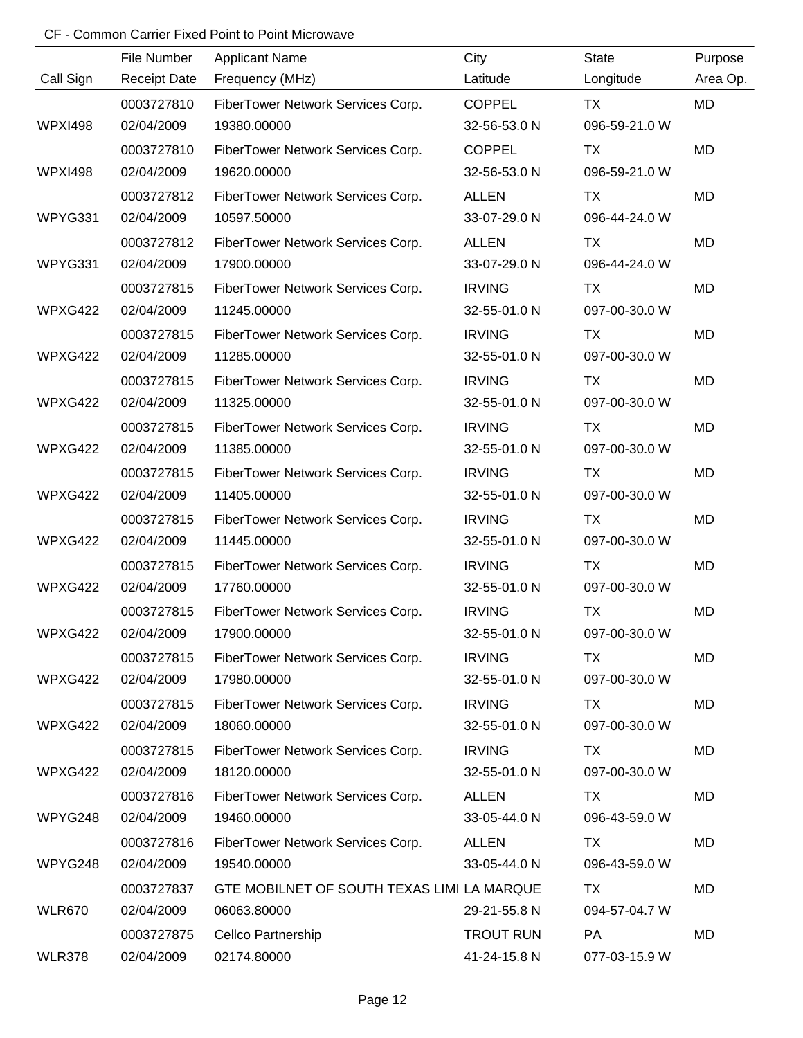|                | File Number         | <b>Applicant Name</b>                      | City             | <b>State</b>  | Purpose   |
|----------------|---------------------|--------------------------------------------|------------------|---------------|-----------|
| Call Sign      | <b>Receipt Date</b> | Frequency (MHz)                            | Latitude         | Longitude     | Area Op.  |
|                | 0003727810          | FiberTower Network Services Corp.          | <b>COPPEL</b>    | <b>TX</b>     | MD        |
| <b>WPXI498</b> | 02/04/2009          | 19380.00000                                | 32-56-53.0 N     | 096-59-21.0 W |           |
|                | 0003727810          | FiberTower Network Services Corp.          | <b>COPPEL</b>    | TX            | <b>MD</b> |
| <b>WPXI498</b> | 02/04/2009          | 19620.00000                                | 32-56-53.0 N     | 096-59-21.0 W |           |
|                | 0003727812          | FiberTower Network Services Corp.          | <b>ALLEN</b>     | <b>TX</b>     | MD        |
| WPYG331        | 02/04/2009          | 10597.50000                                | 33-07-29.0 N     | 096-44-24.0 W |           |
|                | 0003727812          | FiberTower Network Services Corp.          | <b>ALLEN</b>     | TX            | MD        |
| WPYG331        | 02/04/2009          | 17900.00000                                | 33-07-29.0 N     | 096-44-24.0 W |           |
|                | 0003727815          | FiberTower Network Services Corp.          | <b>IRVING</b>    | TX            | MD        |
| WPXG422        | 02/04/2009          | 11245.00000                                | 32-55-01.0 N     | 097-00-30.0 W |           |
|                | 0003727815          | FiberTower Network Services Corp.          | <b>IRVING</b>    | TX            | MD        |
| WPXG422        | 02/04/2009          | 11285.00000                                | 32-55-01.0 N     | 097-00-30.0 W |           |
|                | 0003727815          | FiberTower Network Services Corp.          | <b>IRVING</b>    | <b>TX</b>     | MD        |
| WPXG422        | 02/04/2009          | 11325.00000                                | 32-55-01.0 N     | 097-00-30.0 W |           |
|                | 0003727815          | FiberTower Network Services Corp.          | <b>IRVING</b>    | TX            | MD        |
| WPXG422        | 02/04/2009          | 11385.00000                                | 32-55-01.0 N     | 097-00-30.0 W |           |
|                | 0003727815          | FiberTower Network Services Corp.          | <b>IRVING</b>    | TX            | MD        |
| WPXG422        | 02/04/2009          | 11405.00000                                | 32-55-01.0 N     | 097-00-30.0 W |           |
|                | 0003727815          | FiberTower Network Services Corp.          | <b>IRVING</b>    | <b>TX</b>     | MD        |
| WPXG422        | 02/04/2009          | 11445.00000                                | 32-55-01.0 N     | 097-00-30.0 W |           |
|                | 0003727815          | FiberTower Network Services Corp.          | <b>IRVING</b>    | <b>TX</b>     | <b>MD</b> |
| WPXG422        | 02/04/2009          | 17760.00000                                | 32-55-01.0 N     | 097-00-30.0 W |           |
|                | 0003727815          | FiberTower Network Services Corp.          | <b>IRVING</b>    | <b>TX</b>     | MD        |
| WPXG422        | 02/04/2009          | 17900.00000                                | 32-55-01.0 N     | 097-00-30.0 W |           |
|                | 0003727815          | FiberTower Network Services Corp.          | <b>IRVING</b>    | TX            | MD        |
| WPXG422        | 02/04/2009          | 17980.00000                                | 32-55-01.0 N     | 097-00-30.0 W |           |
|                | 0003727815          | FiberTower Network Services Corp.          | <b>IRVING</b>    | TX            | MD        |
| WPXG422        | 02/04/2009          | 18060.00000                                | 32-55-01.0 N     | 097-00-30.0 W |           |
|                | 0003727815          | FiberTower Network Services Corp.          | <b>IRVING</b>    | TX            | MD        |
| WPXG422        | 02/04/2009          | 18120.00000                                | 32-55-01.0 N     | 097-00-30.0 W |           |
|                | 0003727816          | FiberTower Network Services Corp.          | <b>ALLEN</b>     | TX            | MD        |
| WPYG248        | 02/04/2009          | 19460.00000                                | 33-05-44.0 N     | 096-43-59.0 W |           |
|                | 0003727816          | FiberTower Network Services Corp.          | <b>ALLEN</b>     | TX            | MD        |
| WPYG248        | 02/04/2009          | 19540.00000                                | 33-05-44.0 N     | 096-43-59.0 W |           |
|                | 0003727837          | GTE MOBILNET OF SOUTH TEXAS LIMI LA MARQUE |                  | <b>TX</b>     | MD        |
| <b>WLR670</b>  | 02/04/2009          | 06063.80000                                | 29-21-55.8 N     | 094-57-04.7 W |           |
|                | 0003727875          | Cellco Partnership                         | <b>TROUT RUN</b> | PA            | MD        |
| <b>WLR378</b>  | 02/04/2009          | 02174.80000                                | 41-24-15.8 N     | 077-03-15.9 W |           |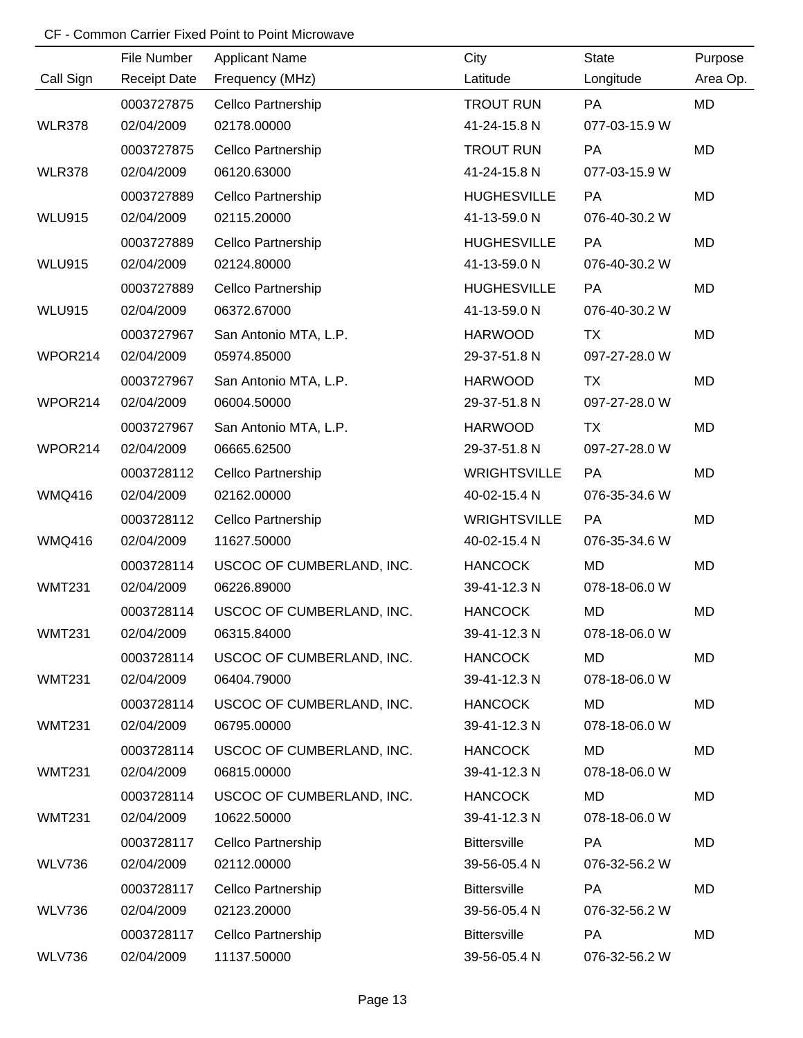|               | File Number         | <b>Applicant Name</b>     | City                | State         | Purpose   |
|---------------|---------------------|---------------------------|---------------------|---------------|-----------|
| Call Sign     | <b>Receipt Date</b> | Frequency (MHz)           | Latitude            | Longitude     | Area Op.  |
|               | 0003727875          | Cellco Partnership        | <b>TROUT RUN</b>    | <b>PA</b>     | MD        |
| <b>WLR378</b> | 02/04/2009          | 02178.00000               | 41-24-15.8 N        | 077-03-15.9 W |           |
|               | 0003727875          | Cellco Partnership        | <b>TROUT RUN</b>    | PA            | MD        |
| <b>WLR378</b> | 02/04/2009          | 06120.63000               | 41-24-15.8 N        | 077-03-15.9 W |           |
|               | 0003727889          | Cellco Partnership        | <b>HUGHESVILLE</b>  | PA            | MD        |
| <b>WLU915</b> | 02/04/2009          | 02115.20000               | 41-13-59.0 N        | 076-40-30.2 W |           |
|               | 0003727889          | Cellco Partnership        | <b>HUGHESVILLE</b>  | PA            | <b>MD</b> |
| <b>WLU915</b> | 02/04/2009          | 02124.80000               | 41-13-59.0 N        | 076-40-30.2 W |           |
|               | 0003727889          | Cellco Partnership        | <b>HUGHESVILLE</b>  | PA            | MD        |
| <b>WLU915</b> | 02/04/2009          | 06372.67000               | 41-13-59.0 N        | 076-40-30.2 W |           |
|               | 0003727967          | San Antonio MTA, L.P.     | <b>HARWOOD</b>      | TX            | MD        |
| WPOR214       | 02/04/2009          | 05974.85000               | 29-37-51.8 N        | 097-27-28.0 W |           |
|               | 0003727967          | San Antonio MTA, L.P.     | <b>HARWOOD</b>      | <b>TX</b>     | MD        |
| WPOR214       | 02/04/2009          | 06004.50000               | 29-37-51.8 N        | 097-27-28.0 W |           |
|               | 0003727967          | San Antonio MTA, L.P.     | <b>HARWOOD</b>      | <b>TX</b>     | MD        |
| WPOR214       | 02/04/2009          | 06665.62500               | 29-37-51.8 N        | 097-27-28.0 W |           |
|               | 0003728112          | Cellco Partnership        | <b>WRIGHTSVILLE</b> | PA            | MD        |
| <b>WMQ416</b> | 02/04/2009          | 02162.00000               | 40-02-15.4 N        | 076-35-34.6 W |           |
|               | 0003728112          | Cellco Partnership        | <b>WRIGHTSVILLE</b> | PA            | MD        |
| <b>WMQ416</b> | 02/04/2009          | 11627.50000               | 40-02-15.4 N        | 076-35-34.6 W |           |
|               | 0003728114          | USCOC OF CUMBERLAND, INC. | <b>HANCOCK</b>      | <b>MD</b>     | MD        |
| <b>WMT231</b> | 02/04/2009          | 06226.89000               | 39-41-12.3 N        | 078-18-06.0 W |           |
|               | 0003728114          | USCOC OF CUMBERLAND, INC. | <b>HANCOCK</b>      | <b>MD</b>     | MD        |
| <b>WMT231</b> | 02/04/2009          | 06315.84000               | 39-41-12.3 N        | 078-18-06.0 W |           |
|               | 0003728114          | USCOC OF CUMBERLAND, INC. | <b>HANCOCK</b>      | MD            | MD        |
| <b>WMT231</b> | 02/04/2009          | 06404.79000               | 39-41-12.3 N        | 078-18-06.0 W |           |
|               | 0003728114          | USCOC OF CUMBERLAND, INC. | <b>HANCOCK</b>      | MD            | MD        |
| <b>WMT231</b> | 02/04/2009          | 06795.00000               | 39-41-12.3 N        | 078-18-06.0 W |           |
|               | 0003728114          | USCOC OF CUMBERLAND, INC. | <b>HANCOCK</b>      | <b>MD</b>     | MD        |
| <b>WMT231</b> | 02/04/2009          | 06815.00000               | 39-41-12.3 N        | 078-18-06.0 W |           |
|               | 0003728114          | USCOC OF CUMBERLAND, INC. | <b>HANCOCK</b>      | <b>MD</b>     | MD        |
| <b>WMT231</b> | 02/04/2009          | 10622.50000               | 39-41-12.3 N        | 078-18-06.0 W |           |
|               | 0003728117          | Cellco Partnership        | <b>Bittersville</b> | <b>PA</b>     | MD        |
| <b>WLV736</b> | 02/04/2009          | 02112.00000               | 39-56-05.4 N        | 076-32-56.2 W |           |
|               | 0003728117          | Cellco Partnership        | <b>Bittersville</b> | <b>PA</b>     | MD        |
| <b>WLV736</b> | 02/04/2009          | 02123.20000               | 39-56-05.4 N        | 076-32-56.2 W |           |
|               | 0003728117          | Cellco Partnership        | <b>Bittersville</b> | <b>PA</b>     | MD        |
| <b>WLV736</b> | 02/04/2009          | 11137.50000               | 39-56-05.4 N        | 076-32-56.2 W |           |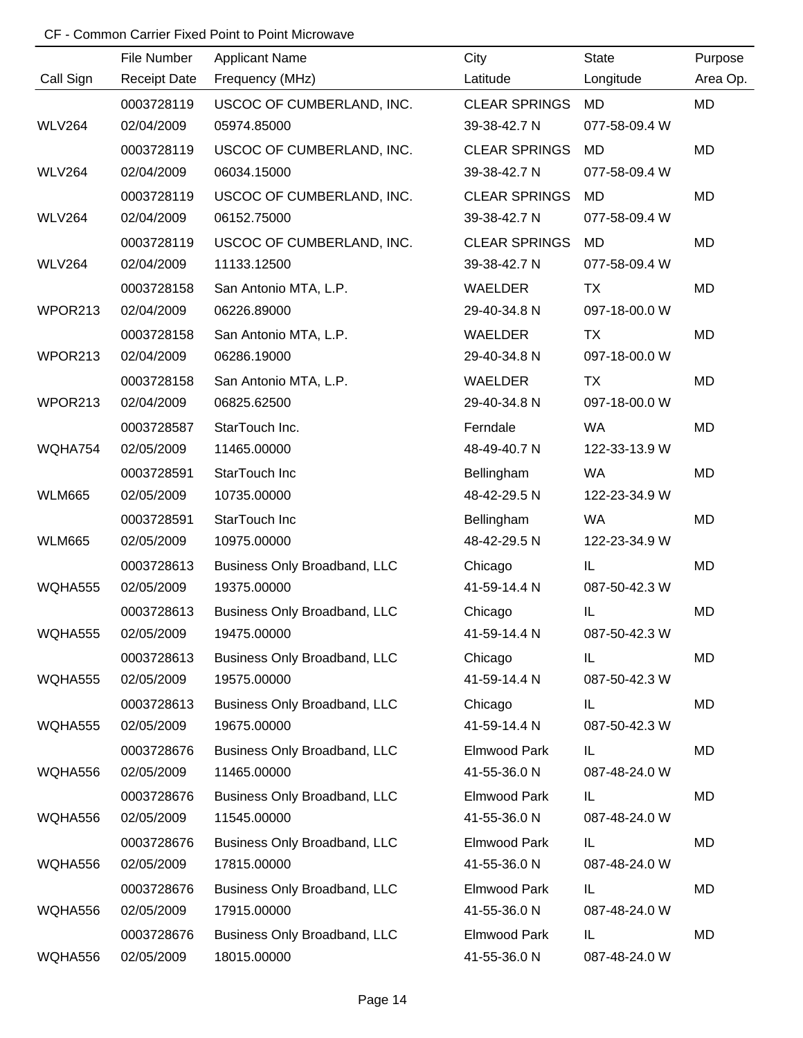|               | File Number         | <b>Applicant Name</b>        | City                 | <b>State</b>  | Purpose  |
|---------------|---------------------|------------------------------|----------------------|---------------|----------|
| Call Sign     | <b>Receipt Date</b> | Frequency (MHz)              | Latitude             | Longitude     | Area Op. |
|               | 0003728119          | USCOC OF CUMBERLAND, INC.    | <b>CLEAR SPRINGS</b> | MD            | MD       |
| <b>WLV264</b> | 02/04/2009          | 05974.85000                  | 39-38-42.7 N         | 077-58-09.4 W |          |
|               | 0003728119          | USCOC OF CUMBERLAND, INC.    | <b>CLEAR SPRINGS</b> | <b>MD</b>     | MD       |
| <b>WLV264</b> | 02/04/2009          | 06034.15000                  | 39-38-42.7 N         | 077-58-09.4 W |          |
|               | 0003728119          | USCOC OF CUMBERLAND, INC.    | <b>CLEAR SPRINGS</b> | MD            | MD       |
| <b>WLV264</b> | 02/04/2009          | 06152.75000                  | 39-38-42.7 N         | 077-58-09.4 W |          |
|               | 0003728119          | USCOC OF CUMBERLAND, INC.    | <b>CLEAR SPRINGS</b> | <b>MD</b>     | MD       |
| <b>WLV264</b> | 02/04/2009          | 11133.12500                  | 39-38-42.7 N         | 077-58-09.4 W |          |
|               | 0003728158          | San Antonio MTA, L.P.        | <b>WAELDER</b>       | <b>TX</b>     | MD       |
| WPOR213       | 02/04/2009          | 06226.89000                  | 29-40-34.8 N         | 097-18-00.0 W |          |
|               | 0003728158          | San Antonio MTA, L.P.        | <b>WAELDER</b>       | TX            | MD       |
| WPOR213       | 02/04/2009          | 06286.19000                  | 29-40-34.8 N         | 097-18-00.0 W |          |
|               | 0003728158          | San Antonio MTA, L.P.        | <b>WAELDER</b>       | TX            | MD       |
| WPOR213       | 02/04/2009          | 06825.62500                  | 29-40-34.8 N         | 097-18-00.0 W |          |
|               | 0003728587          | StarTouch Inc.               | Ferndale             | <b>WA</b>     | MD       |
| WQHA754       | 02/05/2009          | 11465.00000                  | 48-49-40.7 N         | 122-33-13.9 W |          |
|               | 0003728591          | StarTouch Inc                | Bellingham           | WA            | MD       |
| <b>WLM665</b> | 02/05/2009          | 10735.00000                  | 48-42-29.5 N         | 122-23-34.9 W |          |
|               | 0003728591          | StarTouch Inc                | Bellingham           | <b>WA</b>     | MD       |
| <b>WLM665</b> | 02/05/2009          | 10975.00000                  | 48-42-29.5 N         | 122-23-34.9 W |          |
|               | 0003728613          | Business Only Broadband, LLC | Chicago              | IL            | MD       |
| WQHA555       | 02/05/2009          | 19375.00000                  | 41-59-14.4 N         | 087-50-42.3 W |          |
|               | 0003728613          | Business Only Broadband, LLC | Chicago              | IL            | MD       |
| WQHA555       | 02/05/2009          | 19475.00000                  | 41-59-14.4 N         | 087-50-42.3 W |          |
|               | 0003728613          | Business Only Broadband, LLC | Chicago              | IL.           | MD       |
| WQHA555       | 02/05/2009          | 19575.00000                  | 41-59-14.4 N         | 087-50-42.3 W |          |
|               | 0003728613          | Business Only Broadband, LLC | Chicago              | IL.           | MD       |
| WQHA555       | 02/05/2009          | 19675.00000                  | 41-59-14.4 N         | 087-50-42.3 W |          |
|               | 0003728676          | Business Only Broadband, LLC | Elmwood Park         | IL            | MD       |
| WQHA556       | 02/05/2009          | 11465.00000                  | 41-55-36.0 N         | 087-48-24.0 W |          |
|               | 0003728676          | Business Only Broadband, LLC | Elmwood Park         | IL.           | MD       |
| WQHA556       | 02/05/2009          | 11545.00000                  | 41-55-36.0 N         | 087-48-24.0 W |          |
|               | 0003728676          | Business Only Broadband, LLC | Elmwood Park         | IL.           | MD       |
| WQHA556       | 02/05/2009          | 17815.00000                  | 41-55-36.0 N         | 087-48-24.0 W |          |
|               | 0003728676          | Business Only Broadband, LLC | Elmwood Park         | IL            | MD       |
| WQHA556       | 02/05/2009          | 17915.00000                  | 41-55-36.0 N         | 087-48-24.0 W |          |
|               | 0003728676          | Business Only Broadband, LLC | Elmwood Park         | IL            | MD       |
| WQHA556       | 02/05/2009          | 18015.00000                  | 41-55-36.0 N         | 087-48-24.0 W |          |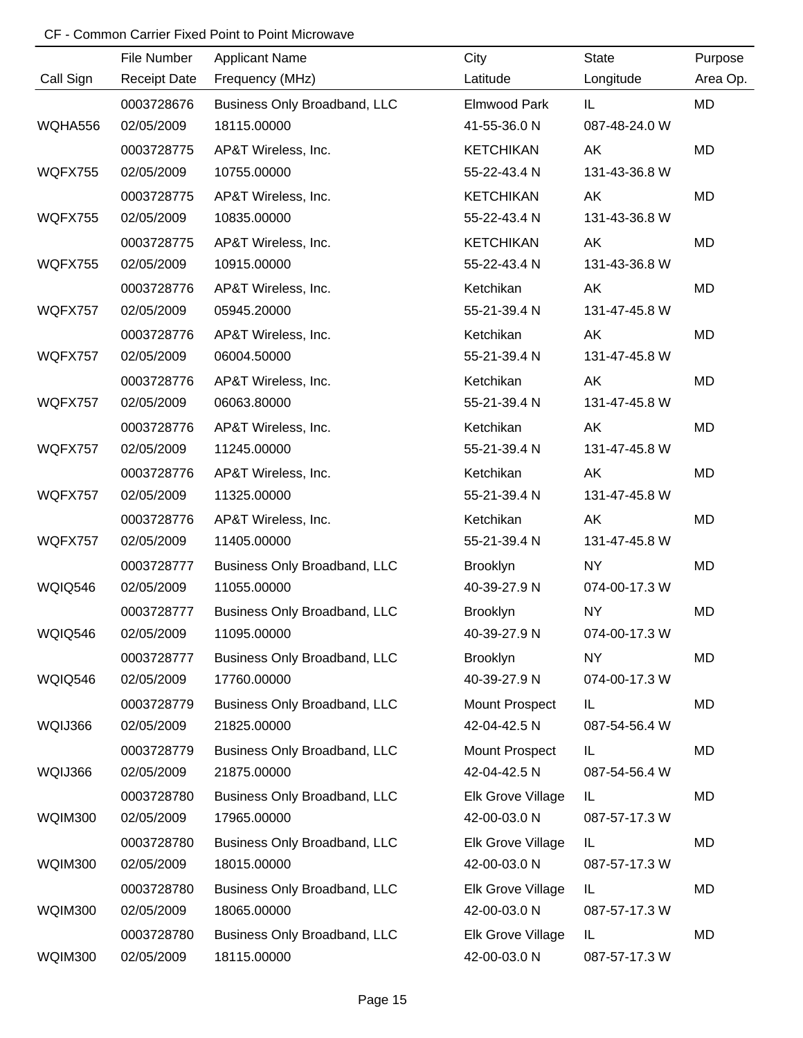|                | File Number         | <b>Applicant Name</b>        | City              | <b>State</b>  | Purpose   |
|----------------|---------------------|------------------------------|-------------------|---------------|-----------|
| Call Sign      | <b>Receipt Date</b> | Frequency (MHz)              | Latitude          | Longitude     | Area Op.  |
|                | 0003728676          | Business Only Broadband, LLC | Elmwood Park      | IL.           | MD        |
| WQHA556        | 02/05/2009          | 18115.00000                  | 41-55-36.0 N      | 087-48-24.0 W |           |
|                | 0003728775          | AP&T Wireless, Inc.          | <b>KETCHIKAN</b>  | AK            | MD        |
| <b>WQFX755</b> | 02/05/2009          | 10755.00000                  | 55-22-43.4 N      | 131-43-36.8 W |           |
|                | 0003728775          | AP&T Wireless, Inc.          | <b>KETCHIKAN</b>  | AK            | MD        |
| <b>WQFX755</b> | 02/05/2009          | 10835.00000                  | 55-22-43.4 N      | 131-43-36.8 W |           |
|                | 0003728775          | AP&T Wireless, Inc.          | <b>KETCHIKAN</b>  | AK            | MD        |
| <b>WQFX755</b> | 02/05/2009          | 10915.00000                  | 55-22-43.4 N      | 131-43-36.8 W |           |
|                | 0003728776          | AP&T Wireless, Inc.          | Ketchikan         | AK            | MD        |
| WQFX757        | 02/05/2009          | 05945.20000                  | 55-21-39.4 N      | 131-47-45.8 W |           |
|                | 0003728776          | AP&T Wireless, Inc.          | Ketchikan         | AK            | MD        |
| WQFX757        | 02/05/2009          | 06004.50000                  | 55-21-39.4 N      | 131-47-45.8 W |           |
|                | 0003728776          | AP&T Wireless, Inc.          | Ketchikan         | AK            | MD        |
| WQFX757        | 02/05/2009          | 06063.80000                  | 55-21-39.4 N      | 131-47-45.8 W |           |
|                | 0003728776          | AP&T Wireless, Inc.          | Ketchikan         | AK            | MD        |
| WQFX757        | 02/05/2009          | 11245.00000                  | 55-21-39.4 N      | 131-47-45.8 W |           |
|                | 0003728776          | AP&T Wireless, Inc.          | Ketchikan         | AK            | MD        |
| WQFX757        | 02/05/2009          | 11325.00000                  | 55-21-39.4 N      | 131-47-45.8 W |           |
|                | 0003728776          | AP&T Wireless, Inc.          | Ketchikan         | AK            | MD        |
| WQFX757        | 02/05/2009          | 11405.00000                  | 55-21-39.4 N      | 131-47-45.8 W |           |
|                | 0003728777          | Business Only Broadband, LLC | Brooklyn          | <b>NY</b>     | MD        |
| <b>WQIQ546</b> | 02/05/2009          | 11055.00000                  | 40-39-27.9 N      | 074-00-17.3 W |           |
|                | 0003728777          | Business Only Broadband, LLC | Brooklyn          | <b>NY</b>     | <b>MD</b> |
| <b>WQIQ546</b> | 02/05/2009          | 11095.00000                  | 40-39-27.9 N      | 074-00-17.3 W |           |
|                | 0003728777          | Business Only Broadband, LLC | <b>Brooklyn</b>   | <b>NY</b>     | MD        |
| <b>WQIQ546</b> | 02/05/2009          | 17760.00000                  | 40-39-27.9 N      | 074-00-17.3 W |           |
|                | 0003728779          | Business Only Broadband, LLC | Mount Prospect    | IL.           | MD        |
| WQIJ366        | 02/05/2009          | 21825.00000                  | 42-04-42.5 N      | 087-54-56.4 W |           |
|                | 0003728779          | Business Only Broadband, LLC | Mount Prospect    | IL.           | MD        |
| WQIJ366        | 02/05/2009          | 21875.00000                  | 42-04-42.5 N      | 087-54-56.4 W |           |
|                | 0003728780          | Business Only Broadband, LLC | Elk Grove Village | IL            | MD        |
| WQIM300        | 02/05/2009          | 17965.00000                  | 42-00-03.0 N      | 087-57-17.3 W |           |
|                | 0003728780          | Business Only Broadband, LLC | Elk Grove Village | IL            | MD        |
| WQIM300        | 02/05/2009          | 18015.00000                  | 42-00-03.0 N      | 087-57-17.3 W |           |
|                | 0003728780          | Business Only Broadband, LLC | Elk Grove Village | IL            | MD        |
| <b>WQIM300</b> | 02/05/2009          | 18065.00000                  | 42-00-03.0 N      | 087-57-17.3 W |           |
|                | 0003728780          | Business Only Broadband, LLC | Elk Grove Village | IL            | MD        |
| <b>WQIM300</b> | 02/05/2009          | 18115.00000                  | 42-00-03.0 N      | 087-57-17.3 W |           |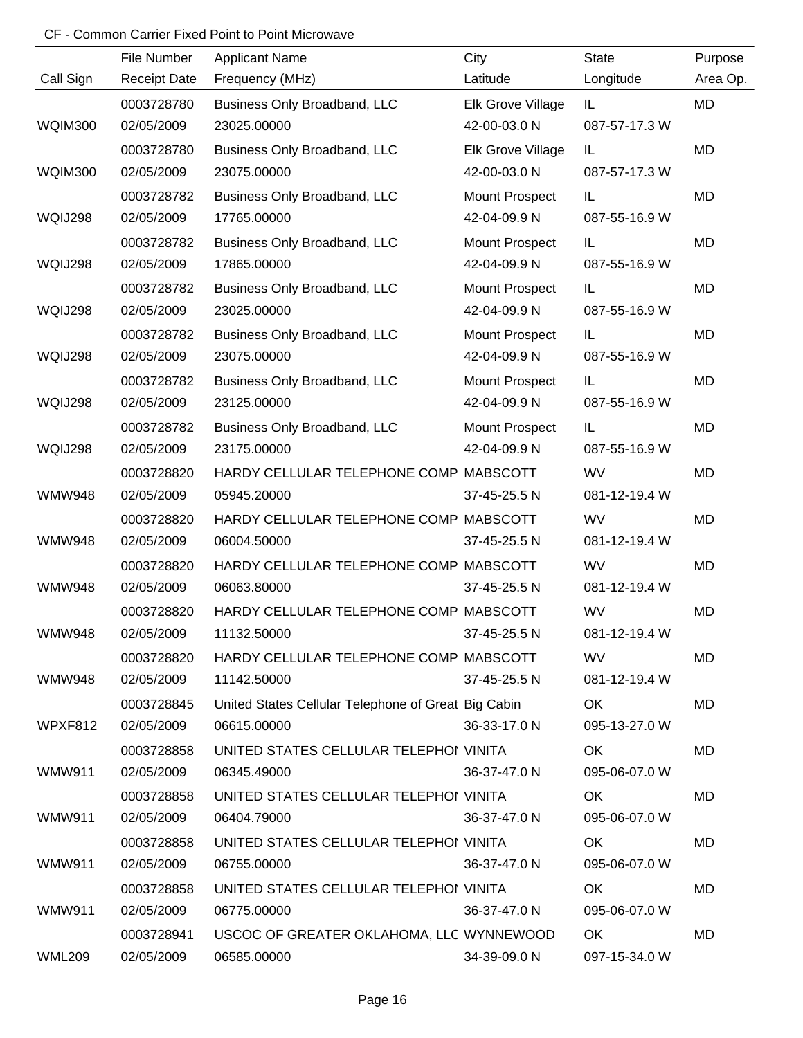|                | File Number         | <b>Applicant Name</b>                               | City              | <b>State</b>  | Purpose   |
|----------------|---------------------|-----------------------------------------------------|-------------------|---------------|-----------|
| Call Sign      | <b>Receipt Date</b> | Frequency (MHz)                                     | Latitude          | Longitude     | Area Op.  |
|                | 0003728780          | Business Only Broadband, LLC                        | Elk Grove Village | IL.           | MD        |
| <b>WQIM300</b> | 02/05/2009          | 23025.00000                                         | 42-00-03.0 N      | 087-57-17.3 W |           |
|                | 0003728780          | Business Only Broadband, LLC                        | Elk Grove Village | IL            | MD        |
| <b>WQIM300</b> | 02/05/2009          | 23075.00000                                         | 42-00-03.0 N      | 087-57-17.3 W |           |
|                | 0003728782          | Business Only Broadband, LLC                        | Mount Prospect    | IL            | MD        |
| WQIJ298        | 02/05/2009          | 17765.00000                                         | 42-04-09.9 N      | 087-55-16.9 W |           |
|                | 0003728782          | Business Only Broadband, LLC                        | Mount Prospect    | IL            | <b>MD</b> |
| WQIJ298        | 02/05/2009          | 17865.00000                                         | 42-04-09.9 N      | 087-55-16.9 W |           |
|                | 0003728782          | Business Only Broadband, LLC                        | Mount Prospect    | IL.           | <b>MD</b> |
| WQIJ298        | 02/05/2009          | 23025.00000                                         | 42-04-09.9 N      | 087-55-16.9 W |           |
|                | 0003728782          | Business Only Broadband, LLC                        | Mount Prospect    | IL.           | <b>MD</b> |
| WQIJ298        | 02/05/2009          | 23075.00000                                         | 42-04-09.9 N      | 087-55-16.9 W |           |
|                | 0003728782          | Business Only Broadband, LLC                        | Mount Prospect    | IL            | <b>MD</b> |
| WQIJ298        | 02/05/2009          | 23125.00000                                         | 42-04-09.9 N      | 087-55-16.9 W |           |
|                | 0003728782          | Business Only Broadband, LLC                        | Mount Prospect    | IL            | <b>MD</b> |
| WQIJ298        | 02/05/2009          | 23175.00000                                         | 42-04-09.9 N      | 087-55-16.9 W |           |
|                | 0003728820          | HARDY CELLULAR TELEPHONE COMP MABSCOTT              |                   | WV            | <b>MD</b> |
| <b>WMW948</b>  | 02/05/2009          | 05945.20000                                         | 37-45-25.5 N      | 081-12-19.4 W |           |
|                | 0003728820          | HARDY CELLULAR TELEPHONE COMP MABSCOTT              |                   | WV            | <b>MD</b> |
| <b>WMW948</b>  | 02/05/2009          | 06004.50000                                         | 37-45-25.5 N      | 081-12-19.4 W |           |
|                | 0003728820          | HARDY CELLULAR TELEPHONE COMP MABSCOTT              |                   | WV            | <b>MD</b> |
| <b>WMW948</b>  | 02/05/2009          | 06063.80000                                         | 37-45-25.5 N      | 081-12-19.4 W |           |
|                | 0003728820          | HARDY CELLULAR TELEPHONE COMP MABSCOTT              |                   | WV            | <b>MD</b> |
| WMW948         | 02/05/2009          | 11132.50000                                         | 37-45-25.5 N      | 081-12-19.4 W |           |
|                | 0003728820          | HARDY CELLULAR TELEPHONE COMP MABSCOTT              |                   | <b>WV</b>     | MD        |
| <b>WMW948</b>  | 02/05/2009          | 11142.50000                                         | 37-45-25.5 N      | 081-12-19.4 W |           |
|                | 0003728845          | United States Cellular Telephone of Great Big Cabin |                   | OK.           | MD        |
| WPXF812        | 02/05/2009          | 06615.00000                                         | 36-33-17.0 N      | 095-13-27.0 W |           |
|                | 0003728858          | UNITED STATES CELLULAR TELEPHOI VINITA              |                   | OK.           | MD        |
| WMW911         | 02/05/2009          | 06345.49000                                         | 36-37-47.0 N      | 095-06-07.0 W |           |
|                | 0003728858          | UNITED STATES CELLULAR TELEPHOI VINITA              |                   | OK.           | MD        |
| WMW911         | 02/05/2009          | 06404.79000                                         | 36-37-47.0 N      | 095-06-07.0 W |           |
|                | 0003728858          | UNITED STATES CELLULAR TELEPHOI VINITA              |                   | OK            | MD        |
| <b>WMW911</b>  | 02/05/2009          | 06755.00000                                         | 36-37-47.0 N      | 095-06-07.0 W |           |
|                | 0003728858          | UNITED STATES CELLULAR TELEPHOI VINITA              |                   | OK            | MD        |
| <b>WMW911</b>  | 02/05/2009          | 06775.00000                                         | 36-37-47.0 N      | 095-06-07.0 W |           |
|                | 0003728941          | USCOC OF GREATER OKLAHOMA, LLC WYNNEWOOD            |                   | OK            | MD        |
| <b>WML209</b>  | 02/05/2009          | 06585.00000                                         | 34-39-09.0 N      | 097-15-34.0 W |           |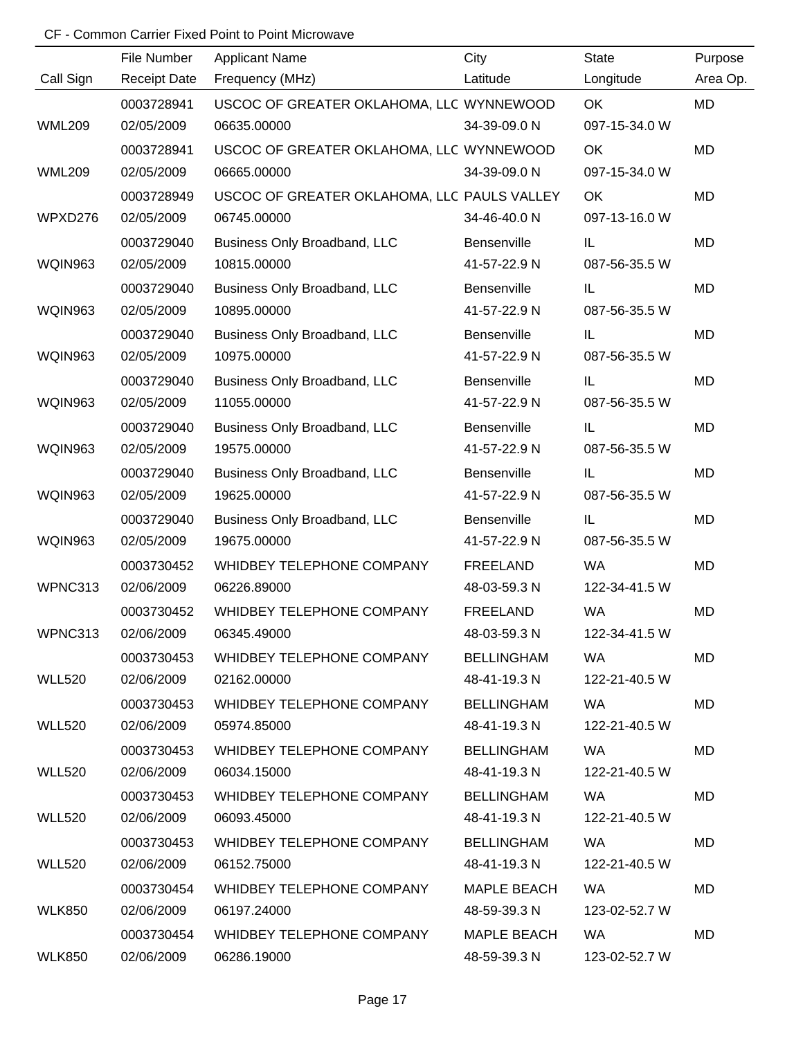|               | File Number         | <b>Applicant Name</b>                       | City              | <b>State</b>  | Purpose   |
|---------------|---------------------|---------------------------------------------|-------------------|---------------|-----------|
| Call Sign     | <b>Receipt Date</b> | Frequency (MHz)                             | Latitude          | Longitude     | Area Op.  |
|               | 0003728941          | USCOC OF GREATER OKLAHOMA, LLC WYNNEWOOD    |                   | OK            | MD        |
| <b>WML209</b> | 02/05/2009          | 06635.00000                                 | 34-39-09.0 N      | 097-15-34.0 W |           |
|               | 0003728941          | USCOC OF GREATER OKLAHOMA, LLC WYNNEWOOD    |                   | OK            | <b>MD</b> |
| <b>WML209</b> | 02/05/2009          | 06665.00000                                 | 34-39-09.0 N      | 097-15-34.0 W |           |
|               | 0003728949          | USCOC OF GREATER OKLAHOMA, LLC PAULS VALLEY |                   | OK            | MD        |
| WPXD276       | 02/05/2009          | 06745.00000                                 | 34-46-40.0 N      | 097-13-16.0 W |           |
|               | 0003729040          | Business Only Broadband, LLC                | Bensenville       | IL.           | MD        |
| WQIN963       | 02/05/2009          | 10815.00000                                 | 41-57-22.9 N      | 087-56-35.5 W |           |
|               | 0003729040          | Business Only Broadband, LLC                | Bensenville       | IL.           | MD        |
| WQIN963       | 02/05/2009          | 10895.00000                                 | 41-57-22.9 N      | 087-56-35.5 W |           |
|               | 0003729040          | Business Only Broadband, LLC                | Bensenville       | IL.           | MD        |
| WQIN963       | 02/05/2009          | 10975.00000                                 | 41-57-22.9 N      | 087-56-35.5 W |           |
|               | 0003729040          | Business Only Broadband, LLC                | Bensenville       | IL.           | MD        |
| WQIN963       | 02/05/2009          | 11055.00000                                 | 41-57-22.9 N      | 087-56-35.5 W |           |
|               | 0003729040          | Business Only Broadband, LLC                | Bensenville       | IL            | MD        |
| WQIN963       | 02/05/2009          | 19575.00000                                 | 41-57-22.9 N      | 087-56-35.5 W |           |
|               | 0003729040          | Business Only Broadband, LLC                | Bensenville       | IL            | MD        |
| WQIN963       | 02/05/2009          | 19625.00000                                 | 41-57-22.9 N      | 087-56-35.5 W |           |
|               | 0003729040          | Business Only Broadband, LLC                | Bensenville       | IL            | MD        |
| WQIN963       | 02/05/2009          | 19675.00000                                 | 41-57-22.9 N      | 087-56-35.5 W |           |
|               | 0003730452          | WHIDBEY TELEPHONE COMPANY                   | <b>FREELAND</b>   | <b>WA</b>     | MD        |
| WPNC313       | 02/06/2009          | 06226.89000                                 | 48-03-59.3 N      | 122-34-41.5 W |           |
|               | 0003730452          | WHIDBEY TELEPHONE COMPANY                   | <b>FREELAND</b>   | <b>WA</b>     | MD        |
| WPNC313       | 02/06/2009          | 06345.49000                                 | 48-03-59.3 N      | 122-34-41.5 W |           |
|               | 0003730453          | WHIDBEY TELEPHONE COMPANY                   | BELLINGHAM        | WA            | MD        |
| <b>WLL520</b> | 02/06/2009          | 02162.00000                                 | 48-41-19.3 N      | 122-21-40.5 W |           |
|               | 0003730453          | WHIDBEY TELEPHONE COMPANY                   | <b>BELLINGHAM</b> | WA .          | MD        |
| <b>WLL520</b> | 02/06/2009          | 05974.85000                                 | 48-41-19.3 N      | 122-21-40.5 W |           |
|               | 0003730453          | WHIDBEY TELEPHONE COMPANY                   | <b>BELLINGHAM</b> | WA.           | MD        |
| <b>WLL520</b> | 02/06/2009          | 06034.15000                                 | 48-41-19.3 N      | 122-21-40.5 W |           |
|               | 0003730453          | WHIDBEY TELEPHONE COMPANY                   | <b>BELLINGHAM</b> | WA.           | MD        |
| <b>WLL520</b> | 02/06/2009          | 06093.45000                                 | 48-41-19.3 N      | 122-21-40.5 W |           |
|               | 0003730453          | WHIDBEY TELEPHONE COMPANY                   | <b>BELLINGHAM</b> | WA.           | MD        |
| <b>WLL520</b> | 02/06/2009          | 06152.75000                                 | 48-41-19.3 N      | 122-21-40.5 W |           |
|               | 0003730454          | WHIDBEY TELEPHONE COMPANY                   | MAPLE BEACH       | WA.           | MD        |
| <b>WLK850</b> | 02/06/2009          | 06197.24000                                 | 48-59-39.3 N      | 123-02-52.7 W |           |
|               | 0003730454          | WHIDBEY TELEPHONE COMPANY                   | MAPLE BEACH       | WA.           | MD        |
| <b>WLK850</b> | 02/06/2009          | 06286.19000                                 | 48-59-39.3 N      | 123-02-52.7 W |           |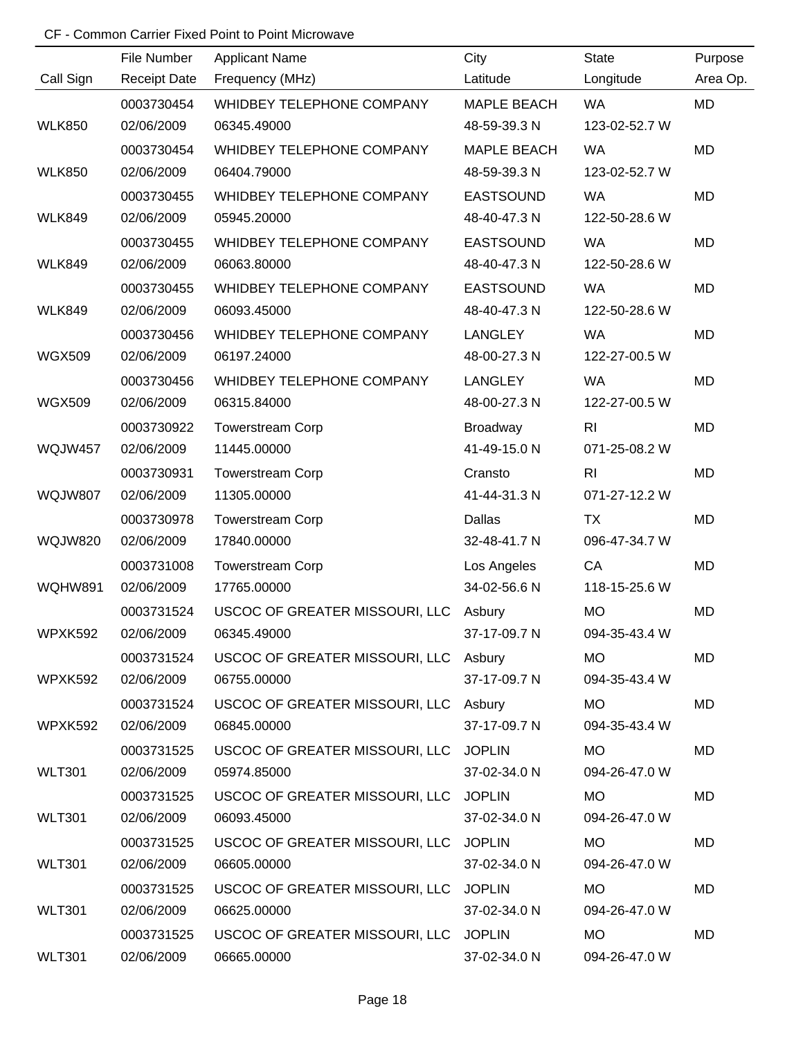|                | File Number         | <b>Applicant Name</b>                 | City               | <b>State</b>   | Purpose   |
|----------------|---------------------|---------------------------------------|--------------------|----------------|-----------|
| Call Sign      | <b>Receipt Date</b> | Frequency (MHz)                       | Latitude           | Longitude      | Area Op.  |
|                | 0003730454          | WHIDBEY TELEPHONE COMPANY             | <b>MAPLE BEACH</b> | <b>WA</b>      | MD        |
| <b>WLK850</b>  | 02/06/2009          | 06345.49000                           | 48-59-39.3 N       | 123-02-52.7 W  |           |
|                | 0003730454          | WHIDBEY TELEPHONE COMPANY             | <b>MAPLE BEACH</b> | <b>WA</b>      | <b>MD</b> |
| <b>WLK850</b>  | 02/06/2009          | 06404.79000                           | 48-59-39.3 N       | 123-02-52.7 W  |           |
|                | 0003730455          | WHIDBEY TELEPHONE COMPANY             | <b>EASTSOUND</b>   | <b>WA</b>      | MD        |
| <b>WLK849</b>  | 02/06/2009          | 05945.20000                           | 48-40-47.3 N       | 122-50-28.6 W  |           |
|                | 0003730455          | WHIDBEY TELEPHONE COMPANY             | <b>EASTSOUND</b>   | <b>WA</b>      | MD        |
| <b>WLK849</b>  | 02/06/2009          | 06063.80000                           | 48-40-47.3 N       | 122-50-28.6 W  |           |
|                | 0003730455          | WHIDBEY TELEPHONE COMPANY             | <b>EASTSOUND</b>   | <b>WA</b>      | MD        |
| <b>WLK849</b>  | 02/06/2009          | 06093.45000                           | 48-40-47.3 N       | 122-50-28.6 W  |           |
|                | 0003730456          | WHIDBEY TELEPHONE COMPANY             | <b>LANGLEY</b>     | <b>WA</b>      | MD        |
| <b>WGX509</b>  | 02/06/2009          | 06197.24000                           | 48-00-27.3 N       | 122-27-00.5 W  |           |
|                | 0003730456          | WHIDBEY TELEPHONE COMPANY             | <b>LANGLEY</b>     | <b>WA</b>      | MD        |
| <b>WGX509</b>  | 02/06/2009          | 06315.84000                           | 48-00-27.3 N       | 122-27-00.5 W  |           |
|                | 0003730922          | <b>Towerstream Corp</b>               | <b>Broadway</b>    | R <sub>l</sub> | MD        |
| WQJW457        | 02/06/2009          | 11445.00000                           | 41-49-15.0 N       | 071-25-08.2 W  |           |
|                | 0003730931          | <b>Towerstream Corp</b>               | Cransto            | R <sub>l</sub> | MD        |
| <b>WQJW807</b> | 02/06/2009          | 11305.00000                           | 41-44-31.3 N       | 071-27-12.2 W  |           |
|                | 0003730978          | <b>Towerstream Corp</b>               | Dallas             | <b>TX</b>      | MD        |
| <b>WQJW820</b> | 02/06/2009          | 17840.00000                           | 32-48-41.7 N       | 096-47-34.7 W  |           |
|                | 0003731008          | <b>Towerstream Corp</b>               | Los Angeles        | CA             | MD        |
| WQHW891        | 02/06/2009          | 17765.00000                           | 34-02-56.6 N       | 118-15-25.6 W  |           |
|                | 0003731524          | USCOC OF GREATER MISSOURI, LLC        | Asbury             | <b>MO</b>      | MD        |
| WPXK592        | 02/06/2009          | 06345.49000                           | 37-17-09.7 N       | 094-35-43.4 W  |           |
|                | 0003731524          | USCOC OF GREATER MISSOURI, LLC Asbury |                    | <b>MO</b>      | MD        |
| WPXK592        | 02/06/2009          | 06755.00000                           | 37-17-09.7 N       | 094-35-43.4 W  |           |
|                | 0003731524          | USCOC OF GREATER MISSOURI, LLC Asbury |                    | MO.            | MD        |
| WPXK592        | 02/06/2009          | 06845.00000                           | 37-17-09.7 N       | 094-35-43.4 W  |           |
|                | 0003731525          | USCOC OF GREATER MISSOURI, LLC JOPLIN |                    | MO.            | MD        |
| <b>WLT301</b>  | 02/06/2009          | 05974.85000                           | 37-02-34.0 N       | 094-26-47.0 W  |           |
|                | 0003731525          | USCOC OF GREATER MISSOURI, LLC JOPLIN |                    | <b>MO</b>      | MD        |
| <b>WLT301</b>  | 02/06/2009          | 06093.45000                           | 37-02-34.0 N       | 094-26-47.0 W  |           |
|                | 0003731525          | USCOC OF GREATER MISSOURI, LLC JOPLIN |                    | <b>MO</b>      | MD        |
| <b>WLT301</b>  | 02/06/2009          | 06605.00000                           | 37-02-34.0 N       | 094-26-47.0 W  |           |
|                | 0003731525          | USCOC OF GREATER MISSOURI, LLC JOPLIN |                    | <b>MO</b>      | MD        |
| <b>WLT301</b>  | 02/06/2009          | 06625.00000                           | 37-02-34.0 N       | 094-26-47.0 W  |           |
|                | 0003731525          | USCOC OF GREATER MISSOURI, LLC JOPLIN |                    | <b>MO</b>      | MD        |
| <b>WLT301</b>  | 02/06/2009          | 06665.00000                           | 37-02-34.0 N       | 094-26-47.0 W  |           |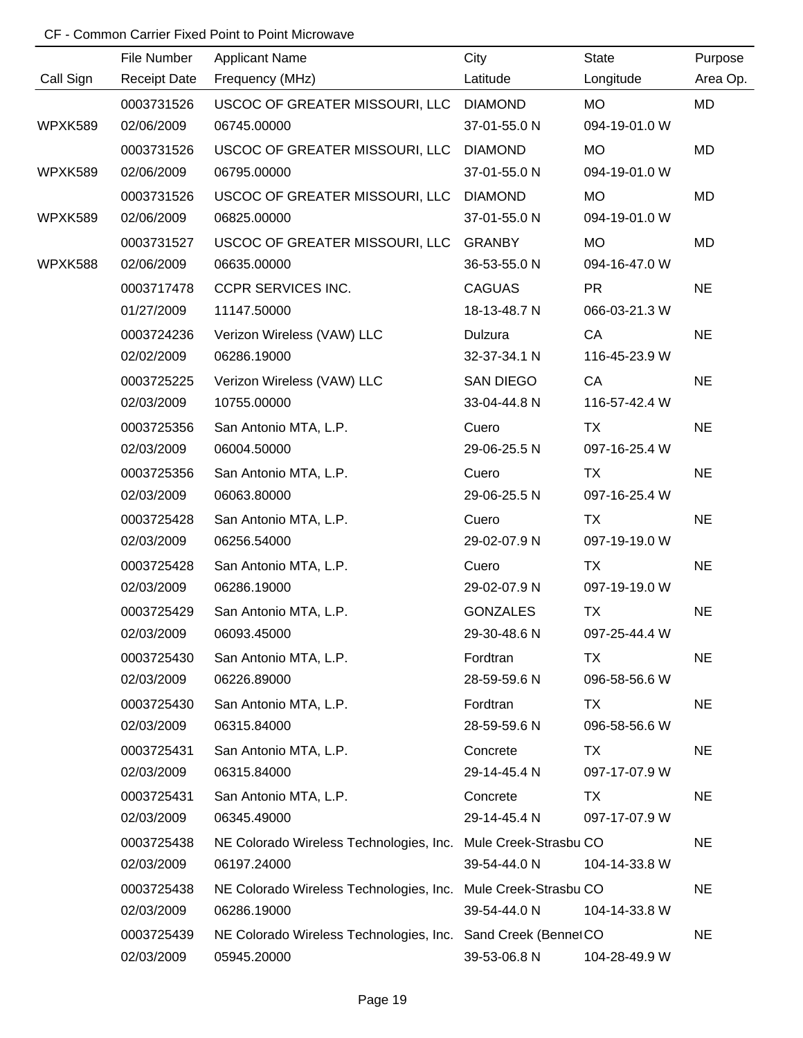|           | File Number         | <b>Applicant Name</b>                                         | City             | <b>State</b>  | Purpose   |
|-----------|---------------------|---------------------------------------------------------------|------------------|---------------|-----------|
| Call Sign | <b>Receipt Date</b> | Frequency (MHz)                                               | Latitude         | Longitude     | Area Op.  |
|           | 0003731526          | USCOC OF GREATER MISSOURI, LLC DIAMOND                        |                  | <b>MO</b>     | MD        |
| WPXK589   | 02/06/2009          | 06745.00000                                                   | 37-01-55.0 N     | 094-19-01.0 W |           |
|           | 0003731526          | USCOC OF GREATER MISSOURI, LLC                                | <b>DIAMOND</b>   | <b>MO</b>     | MD        |
| WPXK589   | 02/06/2009          | 06795.00000                                                   | 37-01-55.0 N     | 094-19-01.0 W |           |
|           | 0003731526          | USCOC OF GREATER MISSOURI, LLC                                | <b>DIAMOND</b>   | <b>MO</b>     | MD        |
| WPXK589   | 02/06/2009          | 06825.00000                                                   | 37-01-55.0 N     | 094-19-01.0 W |           |
|           | 0003731527          | USCOC OF GREATER MISSOURI, LLC                                | <b>GRANBY</b>    | <b>MO</b>     | MD        |
| WPXK588   | 02/06/2009          | 06635.00000                                                   | 36-53-55.0 N     | 094-16-47.0 W |           |
|           | 0003717478          | <b>CCPR SERVICES INC.</b>                                     | <b>CAGUAS</b>    | <b>PR</b>     | <b>NE</b> |
|           | 01/27/2009          | 11147.50000                                                   | 18-13-48.7 N     | 066-03-21.3 W |           |
|           | 0003724236          | Verizon Wireless (VAW) LLC                                    | Dulzura          | CA            | <b>NE</b> |
|           | 02/02/2009          | 06286.19000                                                   | 32-37-34.1 N     | 116-45-23.9 W |           |
|           | 0003725225          | Verizon Wireless (VAW) LLC                                    | <b>SAN DIEGO</b> | CA            | <b>NE</b> |
|           | 02/03/2009          | 10755.00000                                                   | 33-04-44.8 N     | 116-57-42.4 W |           |
|           | 0003725356          | San Antonio MTA, L.P.                                         | Cuero            | TX            | <b>NE</b> |
|           | 02/03/2009          | 06004.50000                                                   | 29-06-25.5 N     | 097-16-25.4 W |           |
|           | 0003725356          | San Antonio MTA, L.P.                                         | Cuero            | TX            | <b>NE</b> |
|           | 02/03/2009          | 06063.80000                                                   | 29-06-25.5 N     | 097-16-25.4 W |           |
|           | 0003725428          | San Antonio MTA, L.P.                                         | Cuero            | <b>TX</b>     | <b>NE</b> |
|           | 02/03/2009          | 06256.54000                                                   | 29-02-07.9 N     | 097-19-19.0 W |           |
|           | 0003725428          | San Antonio MTA, L.P.                                         | Cuero            | <b>TX</b>     | <b>NE</b> |
|           | 02/03/2009          | 06286.19000                                                   | 29-02-07.9 N     | 097-19-19.0 W |           |
|           | 0003725429          | San Antonio MTA, L.P.                                         | <b>GONZALES</b>  | <b>TX</b>     | <b>NE</b> |
|           | 02/03/2009          | 06093.45000                                                   | 29-30-48.6 N     | 097-25-44.4 W |           |
|           | 0003725430          | San Antonio MTA, L.P.                                         | Fordtran         | TX            | <b>NE</b> |
|           | 02/03/2009          | 06226.89000                                                   | 28-59-59.6 N     | 096-58-56.6 W |           |
|           | 0003725430          | San Antonio MTA, L.P.                                         | Fordtran         | TX            | <b>NE</b> |
|           | 02/03/2009          | 06315.84000                                                   | 28-59-59.6 N     | 096-58-56.6 W |           |
|           | 0003725431          | San Antonio MTA, L.P.                                         | Concrete         | TX            | <b>NE</b> |
|           | 02/03/2009          | 06315.84000                                                   | 29-14-45.4 N     | 097-17-07.9 W |           |
|           | 0003725431          | San Antonio MTA, L.P.                                         | Concrete         | TX            | <b>NE</b> |
|           | 02/03/2009          | 06345.49000                                                   | 29-14-45.4 N     | 097-17-07.9 W |           |
|           | 0003725438          | NE Colorado Wireless Technologies, Inc. Mule Creek-Strasbu CO |                  |               | <b>NE</b> |
|           | 02/03/2009          | 06197.24000                                                   | 39-54-44.0 N     | 104-14-33.8 W |           |
|           | 0003725438          | NE Colorado Wireless Technologies, Inc. Mule Creek-Strasbu CO |                  |               | <b>NE</b> |
|           | 02/03/2009          | 06286.19000                                                   | 39-54-44.0 N     | 104-14-33.8 W |           |
|           | 0003725439          | NE Colorado Wireless Technologies, Inc. Sand Creek (BennetCO  |                  |               | <b>NE</b> |
|           | 02/03/2009          | 05945.20000                                                   | 39-53-06.8 N     | 104-28-49.9 W |           |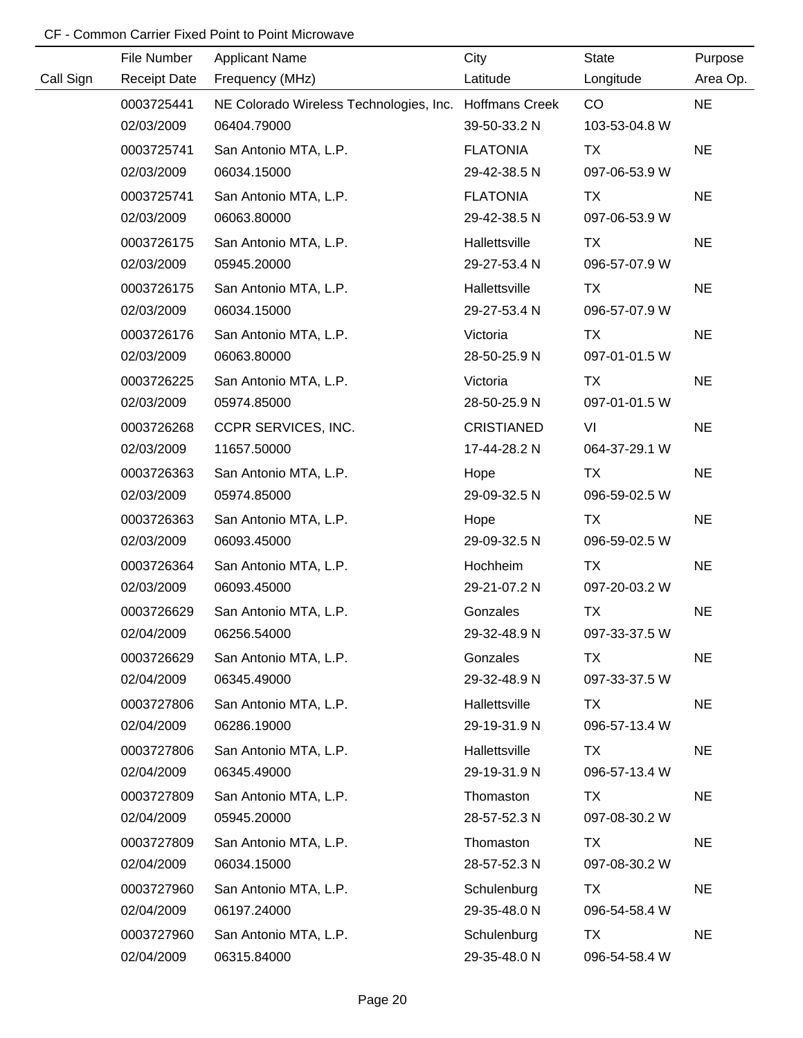|           | File Number         | <b>Applicant Name</b>                                  | City              | State         | Purpose   |
|-----------|---------------------|--------------------------------------------------------|-------------------|---------------|-----------|
| Call Sign | <b>Receipt Date</b> | Frequency (MHz)                                        | Latitude          | Longitude     | Area Op.  |
|           | 0003725441          | NE Colorado Wireless Technologies, Inc. Hoffmans Creek |                   | CO            | <b>NE</b> |
|           | 02/03/2009          | 06404.79000                                            | 39-50-33.2 N      | 103-53-04.8 W |           |
|           | 0003725741          | San Antonio MTA, L.P.                                  | <b>FLATONIA</b>   | <b>TX</b>     | <b>NE</b> |
|           | 02/03/2009          | 06034.15000                                            | 29-42-38.5 N      | 097-06-53.9 W |           |
|           | 0003725741          | San Antonio MTA, L.P.                                  | <b>FLATONIA</b>   | <b>TX</b>     | <b>NE</b> |
|           | 02/03/2009          | 06063.80000                                            | 29-42-38.5 N      | 097-06-53.9 W |           |
|           | 0003726175          | San Antonio MTA, L.P.                                  | Hallettsville     | <b>TX</b>     | <b>NE</b> |
|           | 02/03/2009          | 05945.20000                                            | 29-27-53.4 N      | 096-57-07.9 W |           |
|           | 0003726175          | San Antonio MTA, L.P.                                  | Hallettsville     | <b>TX</b>     | <b>NE</b> |
|           | 02/03/2009          | 06034.15000                                            | 29-27-53.4 N      | 096-57-07.9 W |           |
|           | 0003726176          | San Antonio MTA, L.P.                                  | Victoria          | TX            | <b>NE</b> |
|           | 02/03/2009          | 06063.80000                                            | 28-50-25.9 N      | 097-01-01.5 W |           |
|           | 0003726225          | San Antonio MTA, L.P.                                  | Victoria          | <b>TX</b>     | <b>NE</b> |
|           | 02/03/2009          | 05974.85000                                            | 28-50-25.9 N      | 097-01-01.5 W |           |
|           | 0003726268          | CCPR SERVICES, INC.                                    | <b>CRISTIANED</b> | VI            | <b>NE</b> |
|           | 02/03/2009          | 11657.50000                                            | 17-44-28.2 N      | 064-37-29.1 W |           |
|           | 0003726363          | San Antonio MTA, L.P.                                  | Hope              | <b>TX</b>     | <b>NE</b> |
|           | 02/03/2009          | 05974.85000                                            | 29-09-32.5 N      | 096-59-02.5 W |           |
|           | 0003726363          | San Antonio MTA, L.P.                                  | Hope              | <b>TX</b>     | <b>NE</b> |
|           | 02/03/2009          | 06093.45000                                            | 29-09-32.5 N      | 096-59-02.5 W |           |
|           | 0003726364          | San Antonio MTA, L.P.                                  | Hochheim          | <b>TX</b>     | <b>NE</b> |
|           | 02/03/2009          | 06093.45000                                            | 29-21-07.2 N      | 097-20-03.2 W |           |
|           | 0003726629          | San Antonio MTA, L.P.                                  | Gonzales          | <b>TX</b>     | <b>NE</b> |
|           | 02/04/2009          | 06256.54000                                            | 29-32-48.9 N      | 097-33-37.5 W |           |
|           | 0003726629          | San Antonio MTA, L.P.                                  | Gonzales          | TX            | <b>NE</b> |
|           | 02/04/2009          | 06345.49000                                            | 29-32-48.9 N      | 097-33-37.5 W |           |
|           | 0003727806          | San Antonio MTA, L.P.                                  | Hallettsville     | TX            | <b>NE</b> |
|           | 02/04/2009          | 06286.19000                                            | 29-19-31.9 N      | 096-57-13.4 W |           |
|           | 0003727806          | San Antonio MTA, L.P.                                  | Hallettsville     | TX            | <b>NE</b> |
|           | 02/04/2009          | 06345.49000                                            | 29-19-31.9 N      | 096-57-13.4 W |           |
|           | 0003727809          | San Antonio MTA, L.P.                                  | Thomaston         | TX            | <b>NE</b> |
|           | 02/04/2009          | 05945.20000                                            | 28-57-52.3 N      | 097-08-30.2 W |           |
|           | 0003727809          | San Antonio MTA, L.P.                                  | Thomaston         | TX            | <b>NE</b> |
|           | 02/04/2009          | 06034.15000                                            | 28-57-52.3 N      | 097-08-30.2 W |           |
|           | 0003727960          | San Antonio MTA, L.P.                                  | Schulenburg       | <b>TX</b>     | <b>NE</b> |
|           | 02/04/2009          | 06197.24000                                            | 29-35-48.0 N      | 096-54-58.4 W |           |
|           | 0003727960          | San Antonio MTA, L.P.                                  | Schulenburg       | <b>TX</b>     | <b>NE</b> |
|           | 02/04/2009          | 06315.84000                                            | 29-35-48.0 N      | 096-54-58.4 W |           |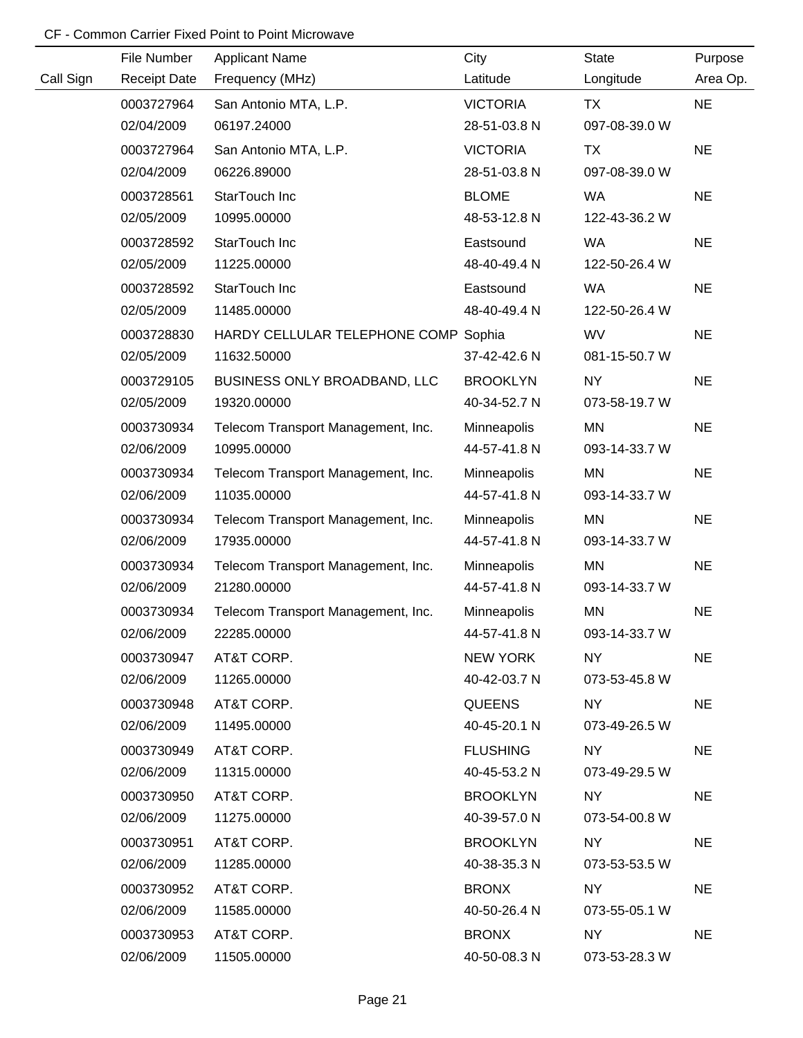|           | File Number         | <b>Applicant Name</b>                | City            | <b>State</b>  | Purpose   |
|-----------|---------------------|--------------------------------------|-----------------|---------------|-----------|
| Call Sign | <b>Receipt Date</b> | Frequency (MHz)                      | Latitude        | Longitude     | Area Op.  |
|           | 0003727964          | San Antonio MTA, L.P.                | <b>VICTORIA</b> | TX            | <b>NE</b> |
|           | 02/04/2009          | 06197.24000                          | 28-51-03.8 N    | 097-08-39.0 W |           |
|           | 0003727964          | San Antonio MTA, L.P.                | <b>VICTORIA</b> | ТX            | <b>NE</b> |
|           | 02/04/2009          | 06226.89000                          | 28-51-03.8 N    | 097-08-39.0 W |           |
|           | 0003728561          | StarTouch Inc                        | <b>BLOME</b>    | <b>WA</b>     | <b>NE</b> |
|           | 02/05/2009          | 10995.00000                          | 48-53-12.8 N    | 122-43-36.2 W |           |
|           | 0003728592          | StarTouch Inc                        | Eastsound       | WA            | <b>NE</b> |
|           | 02/05/2009          | 11225.00000                          | 48-40-49.4 N    | 122-50-26.4 W |           |
|           | 0003728592          | StarTouch Inc                        | Eastsound       | WA            | <b>NE</b> |
|           | 02/05/2009          | 11485.00000                          | 48-40-49.4 N    | 122-50-26.4 W |           |
|           | 0003728830          | HARDY CELLULAR TELEPHONE COMP Sophia |                 | WV            | <b>NE</b> |
|           | 02/05/2009          | 11632.50000                          | 37-42-42.6 N    | 081-15-50.7 W |           |
|           | 0003729105          | BUSINESS ONLY BROADBAND, LLC         | <b>BROOKLYN</b> | <b>NY</b>     | <b>NE</b> |
|           | 02/05/2009          | 19320.00000                          | 40-34-52.7 N    | 073-58-19.7 W |           |
|           | 0003730934          | Telecom Transport Management, Inc.   | Minneapolis     | MN            | <b>NE</b> |
|           | 02/06/2009          | 10995.00000                          | 44-57-41.8 N    | 093-14-33.7 W |           |
|           | 0003730934          | Telecom Transport Management, Inc.   | Minneapolis     | MN            | <b>NE</b> |
|           | 02/06/2009          | 11035.00000                          | 44-57-41.8 N    | 093-14-33.7 W |           |
|           | 0003730934          | Telecom Transport Management, Inc.   | Minneapolis     | <b>MN</b>     | <b>NE</b> |
|           | 02/06/2009          | 17935.00000                          | 44-57-41.8 N    | 093-14-33.7 W |           |
|           | 0003730934          | Telecom Transport Management, Inc.   | Minneapolis     | <b>MN</b>     | <b>NE</b> |
|           | 02/06/2009          | 21280.00000                          | 44-57-41.8 N    | 093-14-33.7 W |           |
|           | 0003730934          | Telecom Transport Management, Inc.   | Minneapolis     | MN            | <b>NE</b> |
|           | 02/06/2009          | 22285.00000                          | 44-57-41.8 N    | 093-14-33.7 W |           |
|           | 0003730947          | AT&T CORP.                           | NEW YORK        | NY            | <b>NE</b> |
|           | 02/06/2009          | 11265.00000                          | 40-42-03.7 N    | 073-53-45.8 W |           |
|           | 0003730948          | AT&T CORP.                           | QUEENS          | NY .          | <b>NE</b> |
|           | 02/06/2009          | 11495.00000                          | 40-45-20.1 N    | 073-49-26.5 W |           |
|           | 0003730949          | AT&T CORP.                           | <b>FLUSHING</b> | NY .          | <b>NE</b> |
|           | 02/06/2009          | 11315.00000                          | 40-45-53.2 N    | 073-49-29.5 W |           |
|           | 0003730950          | AT&T CORP.                           | <b>BROOKLYN</b> | NY            | <b>NE</b> |
|           | 02/06/2009          | 11275.00000                          | 40-39-57.0 N    | 073-54-00.8 W |           |
|           | 0003730951          | AT&T CORP.                           | <b>BROOKLYN</b> | NY.           | <b>NE</b> |
|           | 02/06/2009          | 11285.00000                          | 40-38-35.3 N    | 073-53-53.5 W |           |
|           | 0003730952          | AT&T CORP.                           | <b>BRONX</b>    | NY            | <b>NE</b> |
|           | 02/06/2009          | 11585.00000                          | 40-50-26.4 N    | 073-55-05.1 W |           |
|           | 0003730953          | AT&T CORP.                           | <b>BRONX</b>    | <b>NY</b>     | <b>NE</b> |
|           | 02/06/2009          | 11505.00000                          | 40-50-08.3 N    | 073-53-28.3 W |           |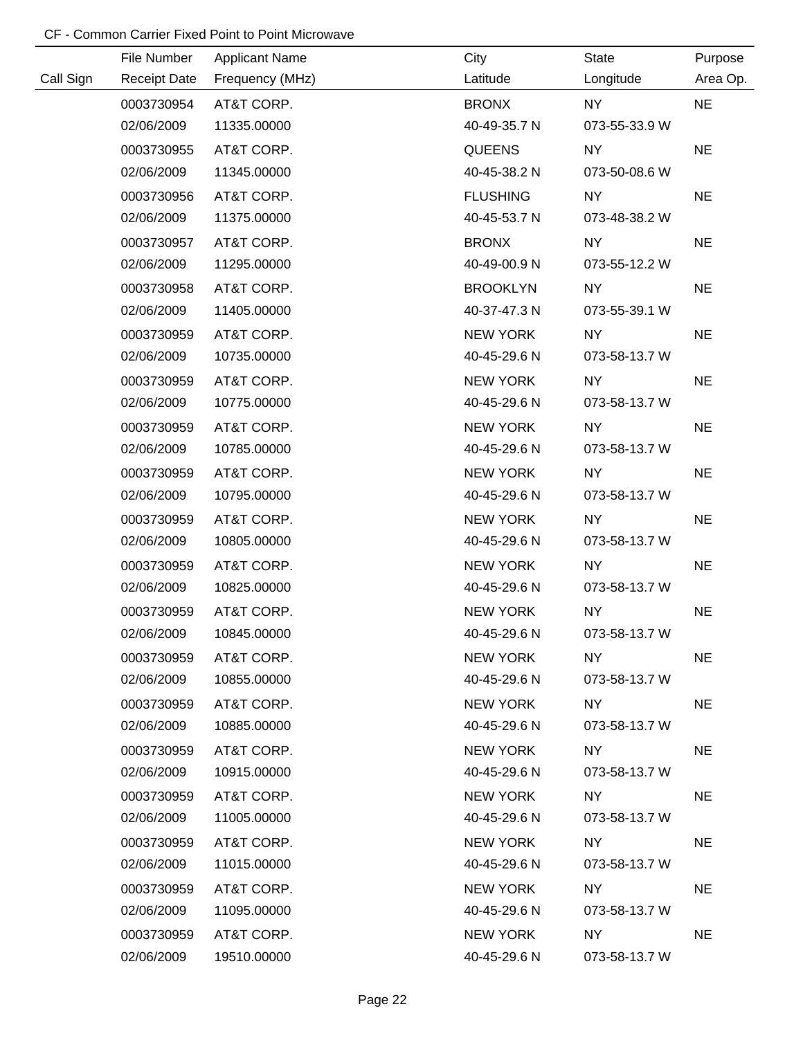|           | File Number         | <b>Applicant Name</b> | City            | <b>State</b>  | Purpose   |
|-----------|---------------------|-----------------------|-----------------|---------------|-----------|
| Call Sign | <b>Receipt Date</b> | Frequency (MHz)       | Latitude        | Longitude     | Area Op.  |
|           | 0003730954          | AT&T CORP.            | <b>BRONX</b>    | NY 1          | <b>NE</b> |
|           | 02/06/2009          | 11335.00000           | 40-49-35.7 N    | 073-55-33.9 W |           |
|           | 0003730955          | AT&T CORP.            | <b>QUEENS</b>   | NY            | <b>NE</b> |
|           | 02/06/2009          | 11345.00000           | 40-45-38.2 N    | 073-50-08.6 W |           |
|           | 0003730956          | AT&T CORP.            | <b>FLUSHING</b> | <b>NY</b>     | <b>NE</b> |
|           | 02/06/2009          | 11375.00000           | 40-45-53.7 N    | 073-48-38.2 W |           |
|           | 0003730957          | AT&T CORP.            | <b>BRONX</b>    | NY            | <b>NE</b> |
|           | 02/06/2009          | 11295.00000           | 40-49-00.9 N    | 073-55-12.2 W |           |
|           | 0003730958          | AT&T CORP.            | <b>BROOKLYN</b> | NY            | <b>NE</b> |
|           | 02/06/2009          | 11405.00000           | 40-37-47.3 N    | 073-55-39.1 W |           |
|           | 0003730959          | AT&T CORP.            | <b>NEW YORK</b> | <b>NY</b>     | <b>NE</b> |
|           | 02/06/2009          | 10735.00000           | 40-45-29.6 N    | 073-58-13.7 W |           |
|           | 0003730959          | AT&T CORP.            | <b>NEW YORK</b> | <b>NY</b>     | <b>NE</b> |
|           | 02/06/2009          | 10775.00000           | 40-45-29.6 N    | 073-58-13.7 W |           |
|           | 0003730959          | AT&T CORP.            | <b>NEW YORK</b> | <b>NY</b>     | <b>NE</b> |
|           | 02/06/2009          | 10785.00000           | 40-45-29.6 N    | 073-58-13.7 W |           |
|           | 0003730959          | AT&T CORP.            | <b>NEW YORK</b> | NY            | <b>NE</b> |
|           | 02/06/2009          | 10795.00000           | 40-45-29.6 N    | 073-58-13.7 W |           |
|           | 0003730959          | AT&T CORP.            | <b>NEW YORK</b> | NY            | <b>NE</b> |
|           | 02/06/2009          | 10805.00000           | 40-45-29.6 N    | 073-58-13.7 W |           |
|           | 0003730959          | AT&T CORP.            | <b>NEW YORK</b> | NY            | <b>NE</b> |
|           | 02/06/2009          | 10825.00000           | 40-45-29.6 N    | 073-58-13.7 W |           |
|           | 0003730959          | AT&T CORP.            | <b>NEW YORK</b> | <b>NY</b>     | <b>NE</b> |
|           | 02/06/2009          | 10845.00000           | 40-45-29.6 N    | 073-58-13.7 W |           |
|           | 0003730959          | AT&T CORP.            | NEW YORK        | NY ·          | <b>NE</b> |
|           | 02/06/2009          | 10855.00000           | 40-45-29.6 N    | 073-58-13.7 W |           |
|           | 0003730959          | AT&T CORP.            | NEW YORK        | NY I          | <b>NE</b> |
|           | 02/06/2009          | 10885.00000           | 40-45-29.6 N    | 073-58-13.7 W |           |
|           | 0003730959          | AT&T CORP.            | <b>NEW YORK</b> | NY I          | <b>NE</b> |
|           | 02/06/2009          | 10915.00000           | 40-45-29.6 N    | 073-58-13.7 W |           |
|           | 0003730959          | AT&T CORP.            | <b>NEW YORK</b> | NY I          | <b>NE</b> |
|           | 02/06/2009          | 11005.00000           | 40-45-29.6 N    | 073-58-13.7 W |           |
|           | 0003730959          | AT&T CORP.            | <b>NEW YORK</b> | NY .          | <b>NE</b> |
|           | 02/06/2009          | 11015.00000           | 40-45-29.6 N    | 073-58-13.7 W |           |
|           | 0003730959          | AT&T CORP.            | <b>NEW YORK</b> | <b>NY</b>     | <b>NE</b> |
|           | 02/06/2009          | 11095.00000           | 40-45-29.6 N    | 073-58-13.7 W |           |
|           | 0003730959          | AT&T CORP.            | NEW YORK        | NY            | <b>NE</b> |
|           | 02/06/2009          | 19510.00000           | 40-45-29.6 N    | 073-58-13.7 W |           |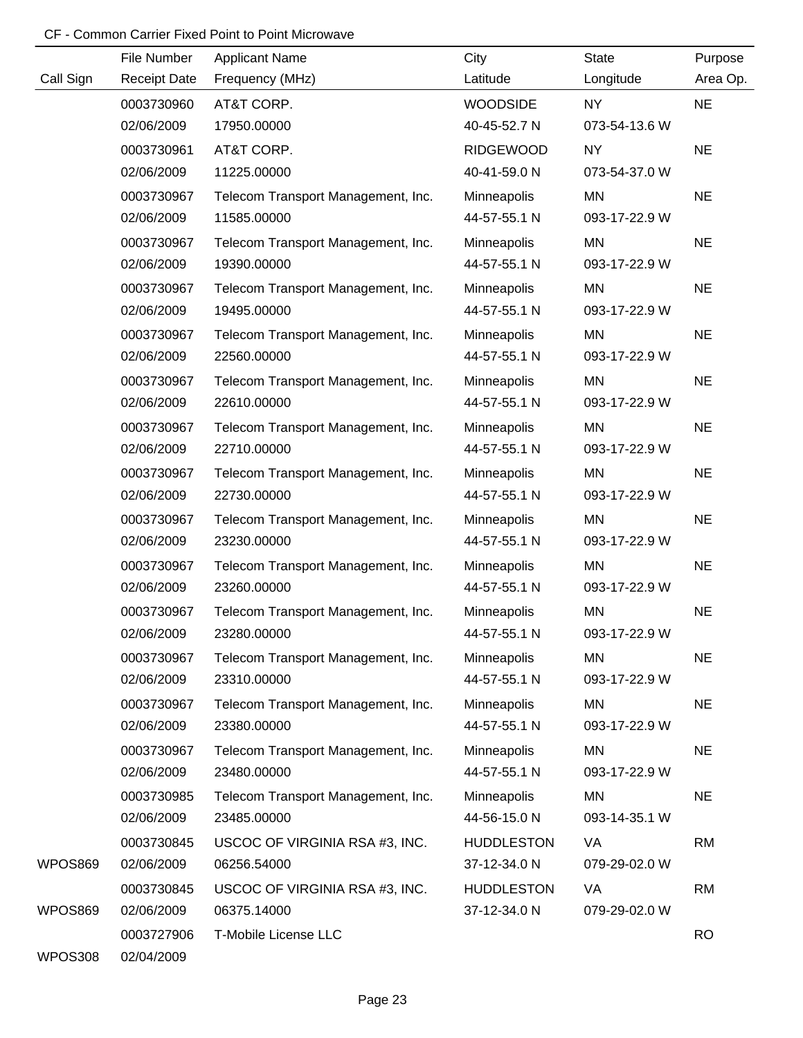|           | File Number         | <b>Applicant Name</b>              | City              | State         | Purpose   |
|-----------|---------------------|------------------------------------|-------------------|---------------|-----------|
| Call Sign | <b>Receipt Date</b> | Frequency (MHz)                    | Latitude          | Longitude     | Area Op.  |
|           | 0003730960          | AT&T CORP.                         | <b>WOODSIDE</b>   | NY            | <b>NE</b> |
|           | 02/06/2009          | 17950.00000                        | 40-45-52.7 N      | 073-54-13.6 W |           |
|           | 0003730961          | AT&T CORP.                         | <b>RIDGEWOOD</b>  | <b>NY</b>     | <b>NE</b> |
|           | 02/06/2009          | 11225.00000                        | 40-41-59.0 N      | 073-54-37.0 W |           |
|           | 0003730967          | Telecom Transport Management, Inc. | Minneapolis       | MN            | <b>NE</b> |
|           | 02/06/2009          | 11585.00000                        | 44-57-55.1 N      | 093-17-22.9 W |           |
|           | 0003730967          | Telecom Transport Management, Inc. | Minneapolis       | MN            | <b>NE</b> |
|           | 02/06/2009          | 19390.00000                        | 44-57-55.1 N      | 093-17-22.9 W |           |
|           | 0003730967          | Telecom Transport Management, Inc. | Minneapolis       | MN            | <b>NE</b> |
|           | 02/06/2009          | 19495.00000                        | 44-57-55.1 N      | 093-17-22.9 W |           |
|           | 0003730967          | Telecom Transport Management, Inc. | Minneapolis       | MN            | <b>NE</b> |
|           | 02/06/2009          | 22560.00000                        | 44-57-55.1 N      | 093-17-22.9 W |           |
|           | 0003730967          | Telecom Transport Management, Inc. | Minneapolis       | MN            | <b>NE</b> |
|           | 02/06/2009          | 22610.00000                        | 44-57-55.1 N      | 093-17-22.9 W |           |
|           | 0003730967          | Telecom Transport Management, Inc. | Minneapolis       | MN            | <b>NE</b> |
|           | 02/06/2009          | 22710.00000                        | 44-57-55.1 N      | 093-17-22.9 W |           |
|           | 0003730967          | Telecom Transport Management, Inc. | Minneapolis       | MN            | <b>NE</b> |
|           | 02/06/2009          | 22730.00000                        | 44-57-55.1 N      | 093-17-22.9 W |           |
|           | 0003730967          | Telecom Transport Management, Inc. | Minneapolis       | MN            | <b>NE</b> |
|           | 02/06/2009          | 23230.00000                        | 44-57-55.1 N      | 093-17-22.9 W |           |
|           | 0003730967          | Telecom Transport Management, Inc. | Minneapolis       | MN            | <b>NE</b> |
|           | 02/06/2009          | 23260.00000                        | 44-57-55.1 N      | 093-17-22.9 W |           |
|           | 0003730967          | Telecom Transport Management, Inc. | Minneapolis       | <b>MN</b>     | <b>NE</b> |
|           | 02/06/2009          | 23280.00000                        | 44-57-55.1 N      | 093-17-22.9 W |           |
|           | 0003730967          | Telecom Transport Management, Inc. | Minneapolis       | <b>MN</b>     | <b>NE</b> |
|           | 02/06/2009          | 23310.00000                        | 44-57-55.1 N      | 093-17-22.9 W |           |
|           | 0003730967          | Telecom Transport Management, Inc. | Minneapolis       | MN            | <b>NE</b> |
|           | 02/06/2009          | 23380.00000                        | 44-57-55.1 N      | 093-17-22.9 W |           |
|           | 0003730967          | Telecom Transport Management, Inc. | Minneapolis       | MN            | <b>NE</b> |
|           | 02/06/2009          | 23480.00000                        | 44-57-55.1 N      | 093-17-22.9 W |           |
|           | 0003730985          | Telecom Transport Management, Inc. | Minneapolis       | MN            | <b>NE</b> |
|           | 02/06/2009          | 23485.00000                        | 44-56-15.0 N      | 093-14-35.1 W |           |
|           | 0003730845          | USCOC OF VIRGINIA RSA #3, INC.     | <b>HUDDLESTON</b> | VA            | <b>RM</b> |
| WPOS869   | 02/06/2009          | 06256.54000                        | 37-12-34.0 N      | 079-29-02.0 W |           |
|           | 0003730845          | USCOC OF VIRGINIA RSA #3, INC.     | <b>HUDDLESTON</b> | VA            | <b>RM</b> |
| WPOS869   | 02/06/2009          | 06375.14000                        | 37-12-34.0 N      | 079-29-02.0 W |           |
|           | 0003727906          | T-Mobile License LLC               |                   |               | <b>RO</b> |
| WPOS308   | 02/04/2009          |                                    |                   |               |           |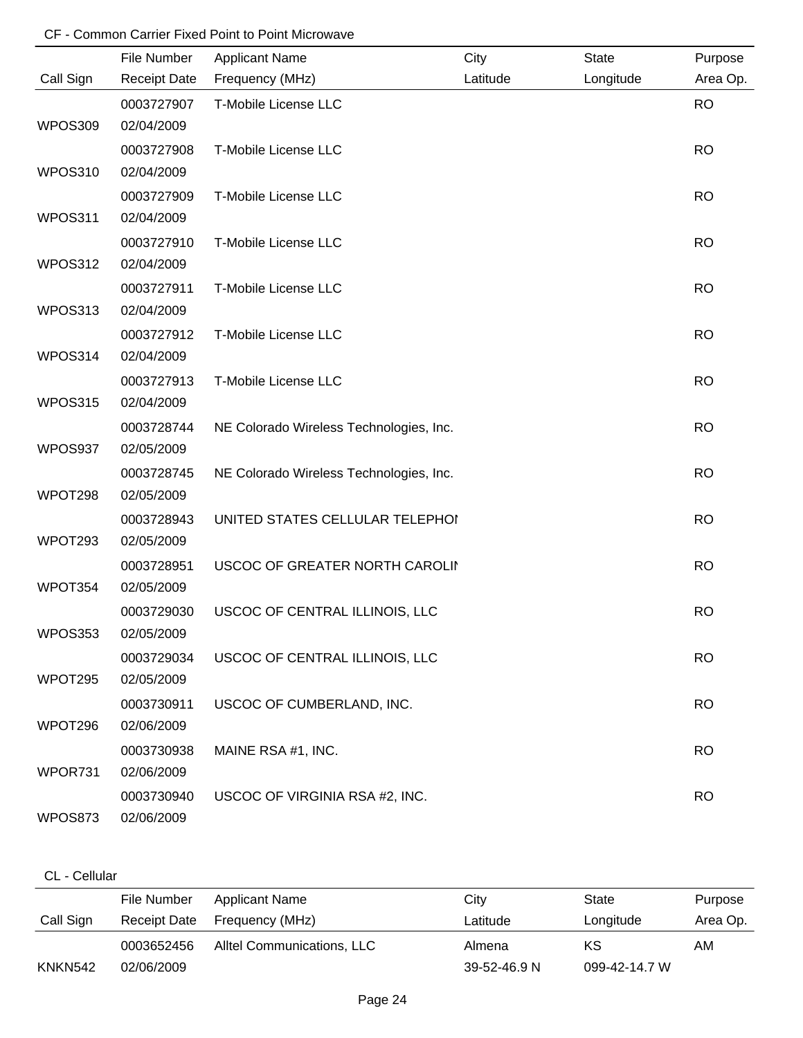|           | File Number              | <b>Applicant Name</b>                   | City     | State     | Purpose   |
|-----------|--------------------------|-----------------------------------------|----------|-----------|-----------|
| Call Sign | <b>Receipt Date</b>      | Frequency (MHz)                         | Latitude | Longitude | Area Op.  |
|           | 0003727907               | T-Mobile License LLC                    |          |           | <b>RO</b> |
| WPOS309   | 02/04/2009               |                                         |          |           |           |
|           | 0003727908               | T-Mobile License LLC                    |          |           | <b>RO</b> |
| WPOS310   | 02/04/2009               |                                         |          |           |           |
|           | 0003727909               | T-Mobile License LLC                    |          |           | <b>RO</b> |
| WPOS311   | 02/04/2009               |                                         |          |           |           |
|           | 0003727910               | T-Mobile License LLC                    |          |           | <b>RO</b> |
| WPOS312   | 02/04/2009               |                                         |          |           |           |
|           | 0003727911               | T-Mobile License LLC                    |          |           | <b>RO</b> |
| WPOS313   | 02/04/2009               |                                         |          |           |           |
|           | 0003727912               | T-Mobile License LLC                    |          |           | <b>RO</b> |
| WPOS314   | 02/04/2009               |                                         |          |           |           |
|           | 0003727913               | T-Mobile License LLC                    |          |           | <b>RO</b> |
| WPOS315   | 02/04/2009               |                                         |          |           |           |
|           | 0003728744               | NE Colorado Wireless Technologies, Inc. |          |           | <b>RO</b> |
| WPOS937   | 02/05/2009               |                                         |          |           |           |
|           | 0003728745               | NE Colorado Wireless Technologies, Inc. |          |           | <b>RO</b> |
| WPOT298   | 02/05/2009               |                                         |          |           |           |
|           | 0003728943               | UNITED STATES CELLULAR TELEPHOI         |          |           | <b>RO</b> |
| WPOT293   | 02/05/2009               |                                         |          |           |           |
|           | 0003728951               | USCOC OF GREATER NORTH CAROLII          |          |           | <b>RO</b> |
| WPOT354   | 02/05/2009               |                                         |          |           |           |
|           | 0003729030               | USCOC OF CENTRAL ILLINOIS, LLC          |          |           | <b>RO</b> |
| WPOS353   | 02/05/2009               |                                         |          |           |           |
| WPOT295   | 0003729034               | USCOC OF CENTRAL ILLINOIS, LLC          |          |           | <b>RO</b> |
|           | 02/05/2009               |                                         |          |           |           |
| WPOT296   | 0003730911<br>02/06/2009 | USCOC OF CUMBERLAND, INC.               |          |           | <b>RO</b> |
|           |                          |                                         |          |           |           |
| WPOR731   | 0003730938<br>02/06/2009 | MAINE RSA #1, INC.                      |          |           | <b>RO</b> |
|           | 0003730940               | USCOC OF VIRGINIA RSA #2, INC.          |          |           | <b>RO</b> |
| WPOS873   | 02/06/2009               |                                         |          |           |           |

## CL - Cellular

|           | File Number  | Applicant Name             | City         | State         | Purpose  |
|-----------|--------------|----------------------------|--------------|---------------|----------|
| Call Sign | Receipt Date | Frequency (MHz)            | Latitude     | Longitude     | Area Op. |
|           | 0003652456   | Alltel Communications, LLC | Almena       | ΚS            | AM       |
| KNKN542   | 02/06/2009   |                            | 39-52-46.9 N | 099-42-14.7 W |          |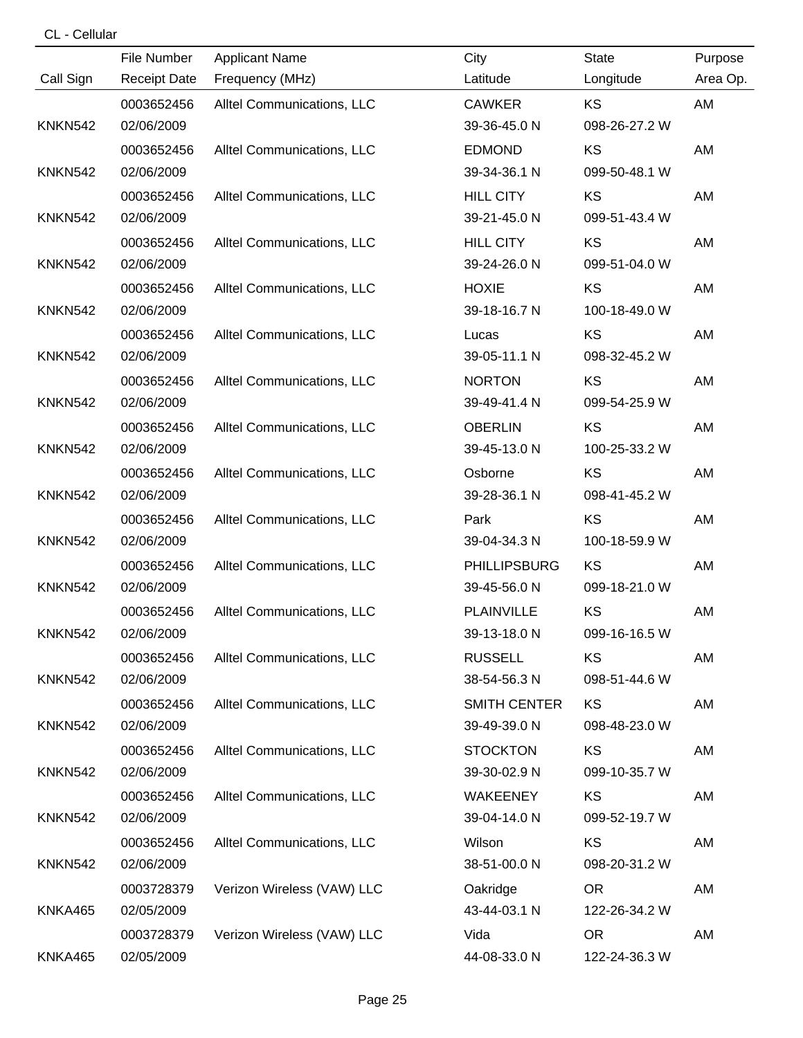### CL - Cellular

|                | File Number         | <b>Applicant Name</b>      | City                | <b>State</b>  | Purpose  |
|----------------|---------------------|----------------------------|---------------------|---------------|----------|
| Call Sign      | <b>Receipt Date</b> | Frequency (MHz)            | Latitude            | Longitude     | Area Op. |
|                | 0003652456          | Alltel Communications, LLC | <b>CAWKER</b>       | <b>KS</b>     | AM       |
| <b>KNKN542</b> | 02/06/2009          |                            | 39-36-45.0 N        | 098-26-27.2 W |          |
|                | 0003652456          | Alltel Communications, LLC | <b>EDMOND</b>       | KS            | AM       |
| <b>KNKN542</b> | 02/06/2009          |                            | 39-34-36.1 N        | 099-50-48.1 W |          |
|                | 0003652456          | Alltel Communications, LLC | <b>HILL CITY</b>    | KS            | AM       |
| <b>KNKN542</b> | 02/06/2009          |                            | 39-21-45.0 N        | 099-51-43.4 W |          |
|                | 0003652456          | Alltel Communications, LLC | <b>HILL CITY</b>    | KS            | AM       |
| <b>KNKN542</b> | 02/06/2009          |                            | 39-24-26.0 N        | 099-51-04.0 W |          |
|                | 0003652456          | Alltel Communications, LLC | <b>HOXIE</b>        | KS            | AM       |
| <b>KNKN542</b> | 02/06/2009          |                            | 39-18-16.7 N        | 100-18-49.0 W |          |
|                | 0003652456          | Alltel Communications, LLC | Lucas               | KS            | AM       |
| <b>KNKN542</b> | 02/06/2009          |                            | 39-05-11.1 N        | 098-32-45.2 W |          |
|                | 0003652456          | Alltel Communications, LLC | <b>NORTON</b>       | KS            | AM       |
| <b>KNKN542</b> | 02/06/2009          |                            | 39-49-41.4 N        | 099-54-25.9 W |          |
|                | 0003652456          | Alltel Communications, LLC | <b>OBERLIN</b>      | KS            | AM       |
| <b>KNKN542</b> | 02/06/2009          |                            | 39-45-13.0 N        | 100-25-33.2 W |          |
|                | 0003652456          | Alltel Communications, LLC | Osborne             | KS            | AM       |
| <b>KNKN542</b> | 02/06/2009          |                            | 39-28-36.1 N        | 098-41-45.2 W |          |
|                | 0003652456          | Alltel Communications, LLC | Park                | KS            | AM       |
| <b>KNKN542</b> | 02/06/2009          |                            | 39-04-34.3 N        | 100-18-59.9 W |          |
|                | 0003652456          | Alltel Communications, LLC | <b>PHILLIPSBURG</b> | KS            | AM       |
| <b>KNKN542</b> | 02/06/2009          |                            | 39-45-56.0 N        | 099-18-21.0 W |          |
|                | 0003652456          | Alltel Communications, LLC | <b>PLAINVILLE</b>   | KS            | AM       |
| <b>KNKN542</b> | 02/06/2009          |                            | 39-13-18.0 N        | 099-16-16.5 W |          |
|                | 0003652456          | Alltel Communications, LLC | <b>RUSSELL</b>      | KS            | AM       |
| <b>KNKN542</b> | 02/06/2009          |                            | 38-54-56.3 N        | 098-51-44.6 W |          |
|                | 0003652456          | Alltel Communications, LLC | <b>SMITH CENTER</b> | KS            | AM       |
| <b>KNKN542</b> | 02/06/2009          |                            | 39-49-39.0 N        | 098-48-23.0 W |          |
|                | 0003652456          | Alltel Communications, LLC | <b>STOCKTON</b>     | KS            | AM       |
| <b>KNKN542</b> | 02/06/2009          |                            | 39-30-02.9 N        | 099-10-35.7 W |          |
|                | 0003652456          | Alltel Communications, LLC | <b>WAKEENEY</b>     | KS            | AM       |
| <b>KNKN542</b> | 02/06/2009          |                            | 39-04-14.0 N        | 099-52-19.7 W |          |
|                | 0003652456          | Alltel Communications, LLC | Wilson              | KS            | AM       |
| <b>KNKN542</b> | 02/06/2009          |                            | 38-51-00.0 N        | 098-20-31.2 W |          |
|                | 0003728379          | Verizon Wireless (VAW) LLC | Oakridge            | <b>OR</b>     | AM       |
| KNKA465        | 02/05/2009          |                            | 43-44-03.1 N        | 122-26-34.2 W |          |
|                | 0003728379          | Verizon Wireless (VAW) LLC | Vida                | <b>OR</b>     | AM       |
| KNKA465        | 02/05/2009          |                            | 44-08-33.0 N        | 122-24-36.3 W |          |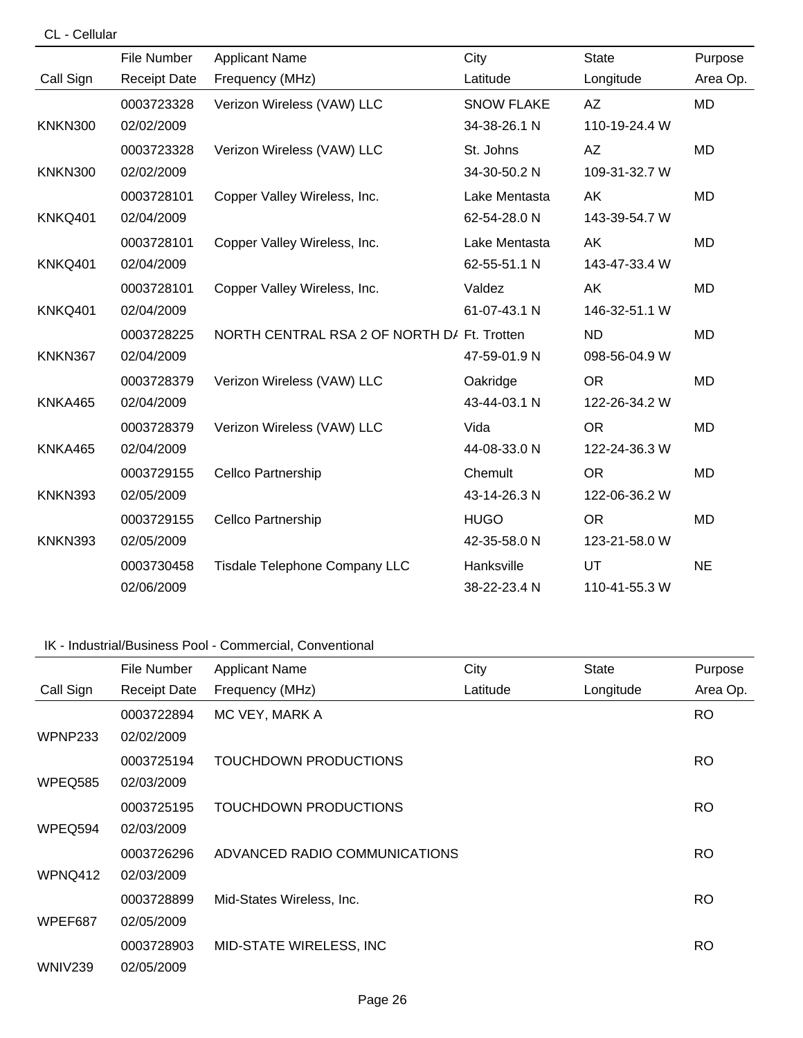| CL - Cellular  |                     |                                             |                   |               |           |
|----------------|---------------------|---------------------------------------------|-------------------|---------------|-----------|
|                | File Number         | <b>Applicant Name</b>                       | City              | <b>State</b>  | Purpose   |
| Call Sign      | <b>Receipt Date</b> | Frequency (MHz)                             | Latitude          | Longitude     | Area Op.  |
|                | 0003723328          | Verizon Wireless (VAW) LLC                  | <b>SNOW FLAKE</b> | AZ            | <b>MD</b> |
| <b>KNKN300</b> | 02/02/2009          |                                             | 34-38-26.1 N      | 110-19-24.4 W |           |
|                | 0003723328          | Verizon Wireless (VAW) LLC                  | St. Johns         | AZ            | <b>MD</b> |
| <b>KNKN300</b> | 02/02/2009          |                                             | 34-30-50.2 N      | 109-31-32.7 W |           |
|                | 0003728101          | Copper Valley Wireless, Inc.                | Lake Mentasta     | AK            | <b>MD</b> |
| <b>KNKQ401</b> | 02/04/2009          |                                             | 62-54-28.0 N      | 143-39-54.7 W |           |
|                | 0003728101          | Copper Valley Wireless, Inc.                | Lake Mentasta     | AK            | <b>MD</b> |
| KNKQ401        | 02/04/2009          |                                             | 62-55-51.1 N      | 143-47-33.4 W |           |
|                | 0003728101          | Copper Valley Wireless, Inc.                | Valdez            | AK            | <b>MD</b> |
| KNKQ401        | 02/04/2009          |                                             | 61-07-43.1 N      | 146-32-51.1 W |           |
|                | 0003728225          | NORTH CENTRAL RSA 2 OF NORTH D/ Ft. Trotten |                   | <b>ND</b>     | <b>MD</b> |
| <b>KNKN367</b> | 02/04/2009          |                                             | 47-59-01.9 N      | 098-56-04.9 W |           |
|                | 0003728379          | Verizon Wireless (VAW) LLC                  | Oakridge          | <b>OR</b>     | <b>MD</b> |
| <b>KNKA465</b> | 02/04/2009          |                                             | 43-44-03.1 N      | 122-26-34.2 W |           |
|                | 0003728379          | Verizon Wireless (VAW) LLC                  | Vida              | <b>OR</b>     | <b>MD</b> |
| KNKA465        | 02/04/2009          |                                             | 44-08-33.0 N      | 122-24-36.3 W |           |
|                | 0003729155          | Cellco Partnership                          | Chemult           | <b>OR</b>     | <b>MD</b> |
| <b>KNKN393</b> | 02/05/2009          |                                             | 43-14-26.3 N      | 122-06-36.2 W |           |
|                | 0003729155          | Cellco Partnership                          | <b>HUGO</b>       | <b>OR</b>     | <b>MD</b> |
| <b>KNKN393</b> | 02/05/2009          |                                             | 42-35-58.0 N      | 123-21-58.0 W |           |
|                | 0003730458          | Tisdale Telephone Company LLC               | Hanksville        | UT            | <b>NE</b> |
|                | 02/06/2009          |                                             | 38-22-23.4 N      | 110-41-55.3 W |           |
|                |                     |                                             |                   |               |           |

## IK - Industrial/Business Pool - Commercial, Conventional

|                | File Number         | <b>Applicant Name</b>         | City     | State     | Purpose   |
|----------------|---------------------|-------------------------------|----------|-----------|-----------|
| Call Sign      | <b>Receipt Date</b> | Frequency (MHz)               | Latitude | Longitude | Area Op.  |
|                | 0003722894          | MC VEY, MARK A                |          |           | <b>RO</b> |
| WPNP233        | 02/02/2009          |                               |          |           |           |
|                | 0003725194          | <b>TOUCHDOWN PRODUCTIONS</b>  |          |           | RO.       |
| WPEQ585        | 02/03/2009          |                               |          |           |           |
|                | 0003725195          | TOUCHDOWN PRODUCTIONS         |          |           | RO.       |
| WPEQ594        | 02/03/2009          |                               |          |           |           |
|                | 0003726296          | ADVANCED RADIO COMMUNICATIONS |          |           | <b>RO</b> |
| WPNQ412        | 02/03/2009          |                               |          |           |           |
|                | 0003728899          | Mid-States Wireless, Inc.     |          |           | RO.       |
| WPEF687        | 02/05/2009          |                               |          |           |           |
|                | 0003728903          | MID-STATE WIRELESS, INC       |          |           | RO.       |
| <b>WNIV239</b> | 02/05/2009          |                               |          |           |           |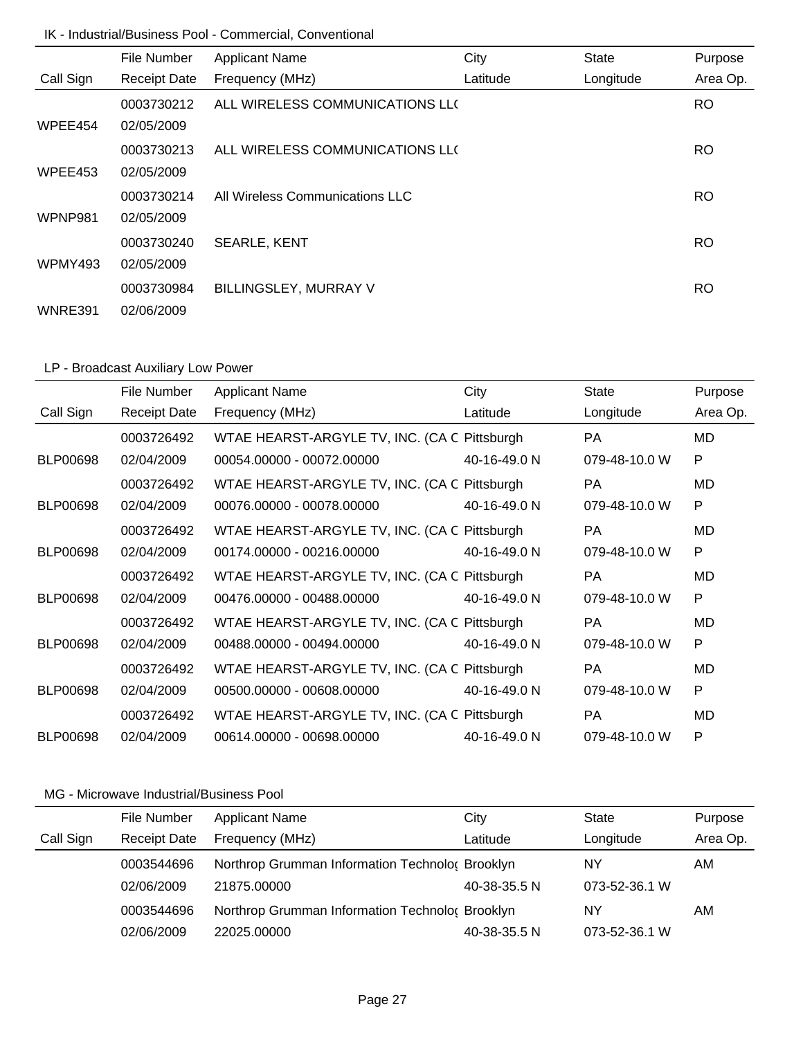# IK - Industrial/Business Pool - Commercial, Conventional

|           | File Number         | <b>Applicant Name</b>           | City     | <b>State</b> | Purpose   |
|-----------|---------------------|---------------------------------|----------|--------------|-----------|
| Call Sign | <b>Receipt Date</b> | Frequency (MHz)                 | Latitude | Longitude    | Area Op.  |
|           | 0003730212          | ALL WIRELESS COMMUNICATIONS LLO |          |              | <b>RO</b> |
| WPEE454   | 02/05/2009          |                                 |          |              |           |
|           | 0003730213          | ALL WIRELESS COMMUNICATIONS LLO |          |              | RO.       |
| WPEE453   | 02/05/2009          |                                 |          |              |           |
|           | 0003730214          | All Wireless Communications LLC |          |              | <b>RO</b> |
| WPNP981   | 02/05/2009          |                                 |          |              |           |
|           | 0003730240          | <b>SEARLE, KENT</b>             |          |              | <b>RO</b> |
| WPMY493   | 02/05/2009          |                                 |          |              |           |
|           | 0003730984          | BILLINGSLEY, MURRAY V           |          |              | <b>RO</b> |
| WNRE391   | 02/06/2009          |                                 |          |              |           |

# LP - Broadcast Auxiliary Low Power

|                 | File Number         | <b>Applicant Name</b>                        | City         | <b>State</b>  | Purpose      |
|-----------------|---------------------|----------------------------------------------|--------------|---------------|--------------|
| Call Sign       | <b>Receipt Date</b> | Frequency (MHz)                              | Latitude     | Longitude     | Area Op.     |
|                 | 0003726492          | WTAE HEARST-ARGYLE TV, INC. (CA C Pittsburgh |              | <b>PA</b>     | MD           |
| <b>BLP00698</b> | 02/04/2009          | 00054.00000 - 00072.00000                    | 40-16-49.0 N | 079-48-10.0 W | P            |
|                 | 0003726492          | WTAE HEARST-ARGYLE TV, INC. (CA C Pittsburgh |              | <b>PA</b>     | MD           |
| <b>BLP00698</b> | 02/04/2009          | 00076.00000 - 00078.00000                    | 40-16-49.0 N | 079-48-10.0 W | $\mathsf{P}$ |
|                 | 0003726492          | WTAE HEARST-ARGYLE TV, INC. (CA C Pittsburgh |              | PA.           | MD           |
| <b>BLP00698</b> | 02/04/2009          | 00174.00000 - 00216.00000                    | 40-16-49.0 N | 079-48-10.0 W | P            |
|                 | 0003726492          | WTAE HEARST-ARGYLE TV, INC. (CA C Pittsburgh |              | <b>PA</b>     | MD.          |
| <b>BLP00698</b> | 02/04/2009          | 00476.00000 - 00488.00000                    | 40-16-49.0 N | 079-48-10.0 W | P            |
|                 | 0003726492          | WTAE HEARST-ARGYLE TV, INC. (CA C Pittsburgh |              | PA.           | MD.          |
| <b>BLP00698</b> | 02/04/2009          | 00488.00000 - 00494.00000                    | 40-16-49.0 N | 079-48-10.0 W | P            |
|                 | 0003726492          | WTAE HEARST-ARGYLE TV, INC. (CA C Pittsburgh |              | PA.           | MD           |
| <b>BLP00698</b> | 02/04/2009          | 00500.00000 - 00608.00000                    | 40-16-49.0 N | 079-48-10.0 W | P            |
|                 | 0003726492          | WTAE HEARST-ARGYLE TV, INC. (CA C Pittsburgh |              | <b>PA</b>     | MD.          |
| <b>BLP00698</b> | 02/04/2009          | 00614.00000 - 00698.00000                    | 40-16-49.0 N | 079-48-10.0 W | $\mathsf{P}$ |

|           | File Number         | <b>Applicant Name</b>                           | City         | State         | Purpose  |
|-----------|---------------------|-------------------------------------------------|--------------|---------------|----------|
| Call Sign | <b>Receipt Date</b> | Frequency (MHz)                                 | Latitude     | Longitude     | Area Op. |
|           | 0003544696          | Northrop Grumman Information Technolo( Brooklyn |              | ΝY            | AM       |
|           | 02/06/2009          | 21875.00000                                     | 40-38-35.5 N | 073-52-36.1 W |          |
|           | 0003544696          | Northrop Grumman Information Technolog Brooklyn |              | ΝY            | AM       |
|           | 02/06/2009          | 22025.00000                                     | 40-38-35.5 N | 073-52-36.1 W |          |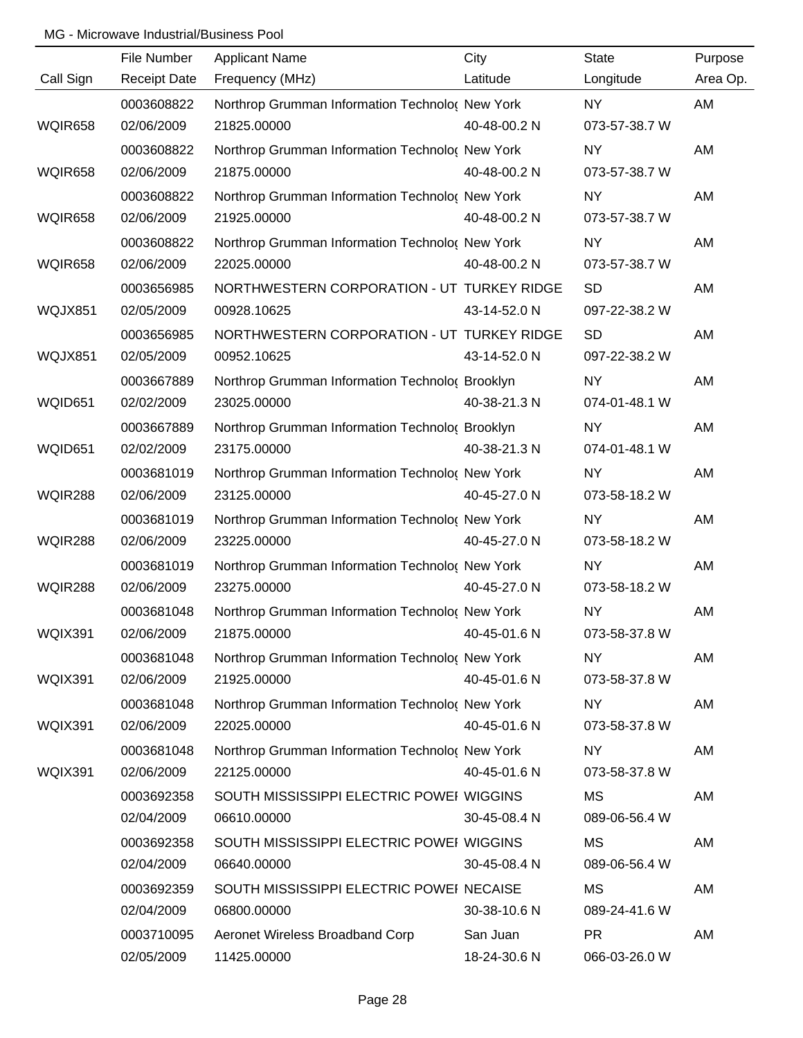|                | File Number         | <b>Applicant Name</b>                           | City         | <b>State</b>  | Purpose  |
|----------------|---------------------|-------------------------------------------------|--------------|---------------|----------|
| Call Sign      | <b>Receipt Date</b> | Frequency (MHz)                                 | Latitude     | Longitude     | Area Op. |
|                | 0003608822          | Northrop Grumman Information Technolo( New York |              | <b>NY</b>     | AM       |
| WQIR658        | 02/06/2009          | 21825.00000                                     | 40-48-00.2 N | 073-57-38.7 W |          |
|                | 0003608822          | Northrop Grumman Information Technolo( New York |              | <b>NY</b>     | AM       |
| WQIR658        | 02/06/2009          | 21875.00000                                     | 40-48-00.2 N | 073-57-38.7 W |          |
|                | 0003608822          | Northrop Grumman Information Technolo( New York |              | <b>NY</b>     | AM       |
| WQIR658        | 02/06/2009          | 21925.00000                                     | 40-48-00.2 N | 073-57-38.7 W |          |
|                | 0003608822          | Northrop Grumman Information Technolo( New York |              | <b>NY</b>     | AM       |
| <b>WQIR658</b> | 02/06/2009          | 22025.00000                                     | 40-48-00.2 N | 073-57-38.7 W |          |
|                | 0003656985          | NORTHWESTERN CORPORATION - UT TURKEY RIDGE      |              | <b>SD</b>     | AM       |
| WQJX851        | 02/05/2009          | 00928.10625                                     | 43-14-52.0 N | 097-22-38.2 W |          |
|                | 0003656985          | NORTHWESTERN CORPORATION - UT TURKEY RIDGE      |              | <b>SD</b>     | AM       |
| WQJX851        | 02/05/2009          | 00952.10625                                     | 43-14-52.0 N | 097-22-38.2 W |          |
|                | 0003667889          | Northrop Grumman Information Technolo( Brooklyn |              | <b>NY</b>     | AM       |
| WQID651        | 02/02/2009          | 23025.00000                                     | 40-38-21.3 N | 074-01-48.1 W |          |
|                | 0003667889          | Northrop Grumman Information Technolo( Brooklyn |              | <b>NY</b>     | AM       |
| WQID651        | 02/02/2009          | 23175.00000                                     | 40-38-21.3 N | 074-01-48.1 W |          |
|                | 0003681019          | Northrop Grumman Information Technolo( New York |              | NY.           | AM       |
| <b>WQIR288</b> | 02/06/2009          | 23125.00000                                     | 40-45-27.0 N | 073-58-18.2 W |          |
|                | 0003681019          | Northrop Grumman Information Technolo( New York |              | <b>NY</b>     | AM       |
| <b>WQIR288</b> | 02/06/2009          | 23225.00000                                     | 40-45-27.0 N | 073-58-18.2 W |          |
|                | 0003681019          | Northrop Grumman Information Technolo( New York |              | <b>NY</b>     | AM       |
| <b>WQIR288</b> | 02/06/2009          | 23275.00000                                     | 40-45-27.0 N | 073-58-18.2 W |          |
|                | 0003681048          | Northrop Grumman Information Technolo( New York |              | <b>NY</b>     | AM       |
| WQIX391        | 02/06/2009          | 21875.00000                                     | 40-45-01.6 N | 073-58-37.8 W |          |
|                | 0003681048          | Northrop Grumman Information Technolo( New York |              | NY            | AM       |
| WQIX391        | 02/06/2009          | 21925.00000                                     | 40-45-01.6 N | 073-58-37.8 W |          |
|                | 0003681048          | Northrop Grumman Information Technolo( New York |              | NY            | AM       |
| WQIX391        | 02/06/2009          | 22025.00000                                     | 40-45-01.6 N | 073-58-37.8 W |          |
|                | 0003681048          | Northrop Grumman Information Technolog New York |              | NY            | AM       |
| WQIX391        | 02/06/2009          | 22125.00000                                     | 40-45-01.6 N | 073-58-37.8 W |          |
|                | 0003692358          | SOUTH MISSISSIPPI ELECTRIC POWEI WIGGINS        |              | MS            | AM       |
|                | 02/04/2009          | 06610.00000                                     | 30-45-08.4 N | 089-06-56.4 W |          |
|                | 0003692358          | SOUTH MISSISSIPPI ELECTRIC POWEI WIGGINS        |              | MS            | AM       |
|                | 02/04/2009          | 06640.00000                                     | 30-45-08.4 N | 089-06-56.4 W |          |
|                | 0003692359          | SOUTH MISSISSIPPI ELECTRIC POWEI NECAISE        |              | MS            | AM       |
|                | 02/04/2009          | 06800.00000                                     | 30-38-10.6 N | 089-24-41.6 W |          |
|                | 0003710095          | Aeronet Wireless Broadband Corp                 | San Juan     | <b>PR</b>     | AM       |
|                | 02/05/2009          | 11425.00000                                     | 18-24-30.6 N | 066-03-26.0 W |          |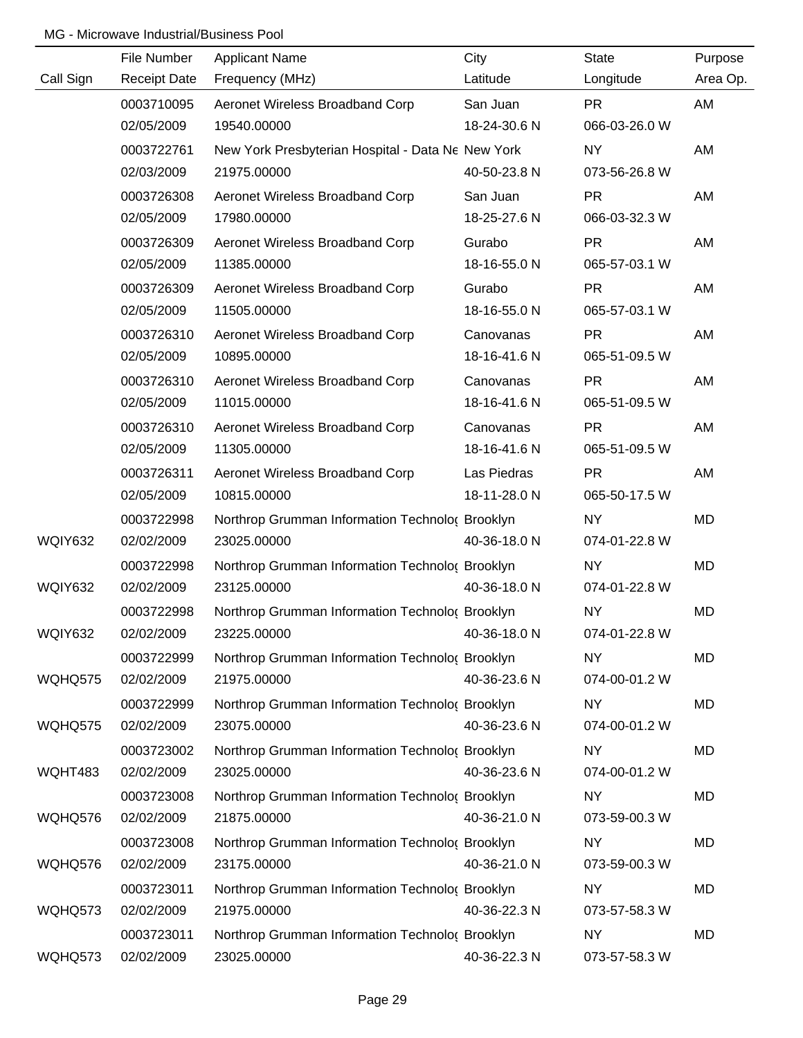|                | File Number         | <b>Applicant Name</b>                             | City         | <b>State</b>  | Purpose  |
|----------------|---------------------|---------------------------------------------------|--------------|---------------|----------|
| Call Sign      | <b>Receipt Date</b> | Frequency (MHz)                                   | Latitude     | Longitude     | Area Op. |
|                | 0003710095          | Aeronet Wireless Broadband Corp                   | San Juan     | <b>PR</b>     | AM       |
|                | 02/05/2009          | 19540.00000                                       | 18-24-30.6 N | 066-03-26.0 W |          |
|                | 0003722761          | New York Presbyterian Hospital - Data Ne New York |              | <b>NY</b>     | AM       |
|                | 02/03/2009          | 21975.00000                                       | 40-50-23.8 N | 073-56-26.8 W |          |
|                | 0003726308          | Aeronet Wireless Broadband Corp                   | San Juan     | <b>PR</b>     | AM       |
|                | 02/05/2009          | 17980.00000                                       | 18-25-27.6 N | 066-03-32.3 W |          |
|                | 0003726309          | Aeronet Wireless Broadband Corp                   | Gurabo       | <b>PR</b>     | AM       |
|                | 02/05/2009          | 11385.00000                                       | 18-16-55.0 N | 065-57-03.1 W |          |
|                | 0003726309          | Aeronet Wireless Broadband Corp                   | Gurabo       | <b>PR</b>     | AM       |
|                | 02/05/2009          | 11505.00000                                       | 18-16-55.0 N | 065-57-03.1 W |          |
|                | 0003726310          | Aeronet Wireless Broadband Corp                   | Canovanas    | <b>PR</b>     | AM       |
|                | 02/05/2009          | 10895.00000                                       | 18-16-41.6 N | 065-51-09.5 W |          |
|                | 0003726310          | Aeronet Wireless Broadband Corp                   | Canovanas    | <b>PR</b>     | AM       |
|                | 02/05/2009          | 11015.00000                                       | 18-16-41.6 N | 065-51-09.5 W |          |
|                | 0003726310          | Aeronet Wireless Broadband Corp                   | Canovanas    | <b>PR</b>     | AM       |
|                | 02/05/2009          | 11305.00000                                       | 18-16-41.6 N | 065-51-09.5 W |          |
|                | 0003726311          | Aeronet Wireless Broadband Corp                   | Las Piedras  | <b>PR</b>     | AM       |
|                | 02/05/2009          | 10815.00000                                       | 18-11-28.0 N | 065-50-17.5 W |          |
|                | 0003722998          | Northrop Grumman Information Technolo( Brooklyn   |              | <b>NY</b>     | MD       |
| WQIY632        | 02/02/2009          | 23025.00000                                       | 40-36-18.0 N | 074-01-22.8 W |          |
|                | 0003722998          | Northrop Grumman Information Technolo( Brooklyn   |              | <b>NY</b>     | MD       |
| WQIY632        | 02/02/2009          | 23125.00000                                       | 40-36-18.0 N | 074-01-22.8 W |          |
|                | 0003722998          | Northrop Grumman Information Technolog Brooklyn   |              | <b>NY</b>     | MD       |
| WQIY632        | 02/02/2009          | 23225.00000                                       | 40-36-18.0 N | 074-01-22.8 W |          |
|                | 0003722999          | Northrop Grumman Information Technolo( Brooklyn   |              | <b>NY</b>     | MD       |
| <b>WQHQ575</b> | 02/02/2009          | 21975.00000                                       | 40-36-23.6 N | 074-00-01.2 W |          |
|                | 0003722999          | Northrop Grumman Information Technolo( Brooklyn   |              | <b>NY</b>     | MD       |
| <b>WQHQ575</b> | 02/02/2009          | 23075.00000                                       | 40-36-23.6 N | 074-00-01.2 W |          |
|                | 0003723002          | Northrop Grumman Information Technolo( Brooklyn   |              | <b>NY</b>     | MD       |
| WQHT483        | 02/02/2009          | 23025.00000                                       | 40-36-23.6 N | 074-00-01.2 W |          |
|                | 0003723008          | Northrop Grumman Information Technolo( Brooklyn   |              | <b>NY</b>     | MD       |
| WQHQ576        | 02/02/2009          | 21875.00000                                       | 40-36-21.0 N | 073-59-00.3 W |          |
|                | 0003723008          | Northrop Grumman Information Technolo( Brooklyn   |              | <b>NY</b>     | MD       |
| WQHQ576        | 02/02/2009          | 23175.00000                                       | 40-36-21.0 N | 073-59-00.3 W |          |
|                | 0003723011          | Northrop Grumman Information Technolo( Brooklyn   |              | <b>NY</b>     | MD       |
| WQHQ573        | 02/02/2009          | 21975.00000                                       | 40-36-22.3 N | 073-57-58.3 W |          |
|                | 0003723011          | Northrop Grumman Information Technolo( Brooklyn   |              | <b>NY</b>     | MD       |
| WQHQ573        | 02/02/2009          | 23025.00000                                       | 40-36-22.3 N | 073-57-58.3 W |          |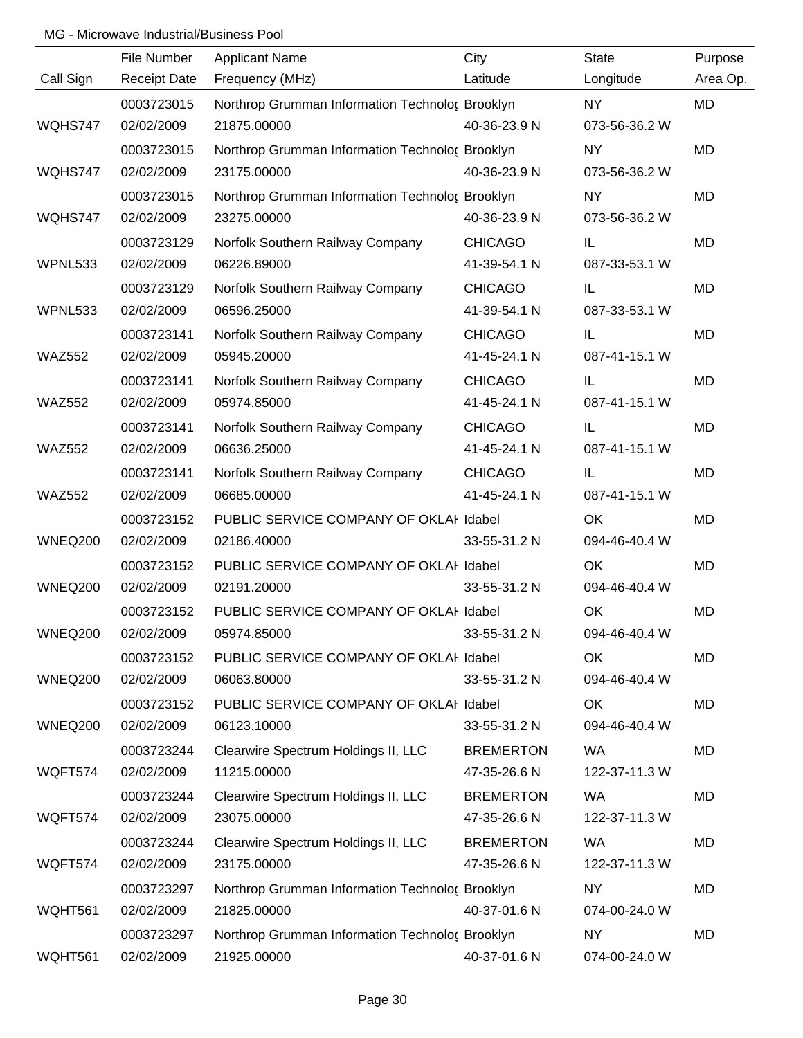|                | File Number         | <b>Applicant Name</b>                           | City             | <b>State</b>  | Purpose   |
|----------------|---------------------|-------------------------------------------------|------------------|---------------|-----------|
| Call Sign      | <b>Receipt Date</b> | Frequency (MHz)                                 | Latitude         | Longitude     | Area Op.  |
|                | 0003723015          | Northrop Grumman Information Technolo( Brooklyn |                  | <b>NY</b>     | <b>MD</b> |
| WQHS747        | 02/02/2009          | 21875.00000                                     | 40-36-23.9 N     | 073-56-36.2 W |           |
|                | 0003723015          | Northrop Grumman Information Technolo( Brooklyn |                  | <b>NY</b>     | <b>MD</b> |
| WQHS747        | 02/02/2009          | 23175.00000                                     | 40-36-23.9 N     | 073-56-36.2 W |           |
|                | 0003723015          | Northrop Grumman Information Technolo( Brooklyn |                  | <b>NY</b>     | MD        |
| WQHS747        | 02/02/2009          | 23275.00000                                     | 40-36-23.9 N     | 073-56-36.2 W |           |
|                | 0003723129          | Norfolk Southern Railway Company                | <b>CHICAGO</b>   | IL            | MD        |
| WPNL533        | 02/02/2009          | 06226.89000                                     | 41-39-54.1 N     | 087-33-53.1 W |           |
|                | 0003723129          | Norfolk Southern Railway Company                | <b>CHICAGO</b>   | IL            | MD        |
| WPNL533        | 02/02/2009          | 06596.25000                                     | 41-39-54.1 N     | 087-33-53.1 W |           |
|                | 0003723141          | Norfolk Southern Railway Company                | <b>CHICAGO</b>   | IL            | <b>MD</b> |
| <b>WAZ552</b>  | 02/02/2009          | 05945.20000                                     | 41-45-24.1 N     | 087-41-15.1 W |           |
|                | 0003723141          | Norfolk Southern Railway Company                | <b>CHICAGO</b>   | IL            | MD        |
| <b>WAZ552</b>  | 02/02/2009          | 05974.85000                                     | 41-45-24.1 N     | 087-41-15.1 W |           |
|                | 0003723141          | Norfolk Southern Railway Company                | <b>CHICAGO</b>   | IL            | MD        |
| <b>WAZ552</b>  | 02/02/2009          | 06636.25000                                     | 41-45-24.1 N     | 087-41-15.1 W |           |
|                | 0003723141          | Norfolk Southern Railway Company                | <b>CHICAGO</b>   | IL            | MD        |
| <b>WAZ552</b>  | 02/02/2009          | 06685.00000                                     | 41-45-24.1 N     | 087-41-15.1 W |           |
|                | 0003723152          | PUBLIC SERVICE COMPANY OF OKLAI Idabel          |                  | OK            | MD        |
| <b>WNEQ200</b> | 02/02/2009          | 02186.40000                                     | 33-55-31.2 N     | 094-46-40.4 W |           |
|                | 0003723152          | PUBLIC SERVICE COMPANY OF OKLAI Idabel          |                  | OK            | MD        |
| <b>WNEQ200</b> | 02/02/2009          | 02191.20000                                     | 33-55-31.2 N     | 094-46-40.4 W |           |
|                | 0003723152          | PUBLIC SERVICE COMPANY OF OKLAI Idabel          |                  | OK            | MD        |
| WNEQ200        | 02/02/2009          | 05974.85000                                     | 33-55-31.2 N     | 094-46-40.4 W |           |
|                | 0003723152          | PUBLIC SERVICE COMPANY OF OKLAI Idabel          |                  | OK            | MD        |
| <b>WNEQ200</b> | 02/02/2009          | 06063.80000                                     | 33-55-31.2 N     | 094-46-40.4 W |           |
|                | 0003723152          | PUBLIC SERVICE COMPANY OF OKLAI Idabel          |                  | OK            | MD        |
| <b>WNEQ200</b> | 02/02/2009          | 06123.10000                                     | 33-55-31.2 N     | 094-46-40.4 W |           |
|                | 0003723244          | Clearwire Spectrum Holdings II, LLC             | <b>BREMERTON</b> | <b>WA</b>     | MD        |
| WQFT574        | 02/02/2009          | 11215.00000                                     | 47-35-26.6 N     | 122-37-11.3 W |           |
|                | 0003723244          | Clearwire Spectrum Holdings II, LLC             | <b>BREMERTON</b> | <b>WA</b>     | MD        |
| WQFT574        | 02/02/2009          | 23075.00000                                     | 47-35-26.6 N     | 122-37-11.3 W |           |
|                | 0003723244          | Clearwire Spectrum Holdings II, LLC             | <b>BREMERTON</b> | <b>WA</b>     | MD        |
| WQFT574        | 02/02/2009          | 23175.00000                                     | 47-35-26.6 N     | 122-37-11.3 W |           |
|                | 0003723297          | Northrop Grumman Information Technolo( Brooklyn |                  | <b>NY</b>     | MD        |
| WQHT561        | 02/02/2009          | 21825.00000                                     | 40-37-01.6 N     | 074-00-24.0 W |           |
|                | 0003723297          | Northrop Grumman Information Technolo( Brooklyn |                  | <b>NY</b>     | MD        |
| WQHT561        | 02/02/2009          | 21925.00000                                     | 40-37-01.6 N     | 074-00-24.0 W |           |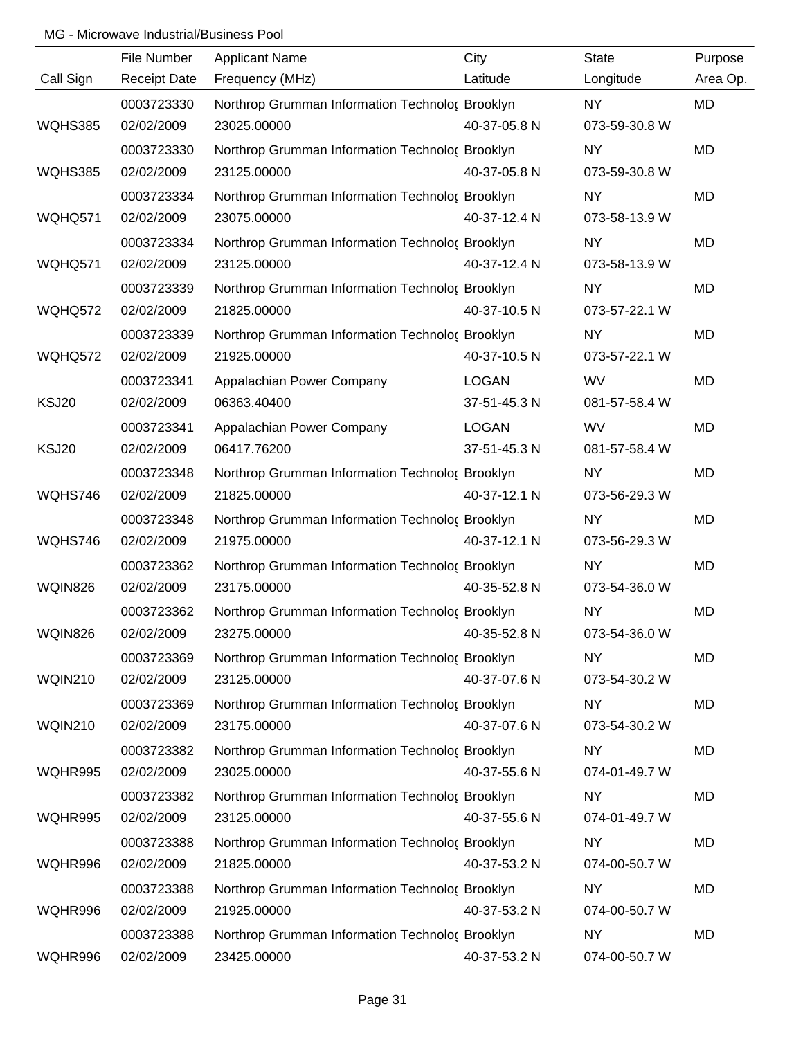|                | File Number         | <b>Applicant Name</b>                           | City         | <b>State</b>  | Purpose   |
|----------------|---------------------|-------------------------------------------------|--------------|---------------|-----------|
| Call Sign      | <b>Receipt Date</b> | Frequency (MHz)                                 | Latitude     | Longitude     | Area Op.  |
|                | 0003723330          | Northrop Grumman Information Technolo( Brooklyn |              | <b>NY</b>     | <b>MD</b> |
| <b>WQHS385</b> | 02/02/2009          | 23025.00000                                     | 40-37-05.8 N | 073-59-30.8 W |           |
|                | 0003723330          | Northrop Grumman Information Technolo( Brooklyn |              | <b>NY</b>     | <b>MD</b> |
| WQHS385        | 02/02/2009          | 23125.00000                                     | 40-37-05.8 N | 073-59-30.8 W |           |
|                | 0003723334          | Northrop Grumman Information Technolo( Brooklyn |              | <b>NY</b>     | MD        |
| WQHQ571        | 02/02/2009          | 23075.00000                                     | 40-37-12.4 N | 073-58-13.9 W |           |
|                | 0003723334          | Northrop Grumman Information Technolo( Brooklyn |              | <b>NY</b>     | MD        |
| WQHQ571        | 02/02/2009          | 23125.00000                                     | 40-37-12.4 N | 073-58-13.9 W |           |
|                | 0003723339          | Northrop Grumman Information Technolo( Brooklyn |              | <b>NY</b>     | MD        |
| WQHQ572        | 02/02/2009          | 21825.00000                                     | 40-37-10.5 N | 073-57-22.1 W |           |
|                | 0003723339          | Northrop Grumman Information Technolo( Brooklyn |              | <b>NY</b>     | <b>MD</b> |
| WQHQ572        | 02/02/2009          | 21925.00000                                     | 40-37-10.5 N | 073-57-22.1 W |           |
|                | 0003723341          | Appalachian Power Company                       | <b>LOGAN</b> | <b>WV</b>     | MD        |
| KSJ20          | 02/02/2009          | 06363.40400                                     | 37-51-45.3 N | 081-57-58.4 W |           |
|                | 0003723341          | Appalachian Power Company                       | <b>LOGAN</b> | WV            | MD        |
| KSJ20          | 02/02/2009          | 06417.76200                                     | 37-51-45.3 N | 081-57-58.4 W |           |
|                | 0003723348          | Northrop Grumman Information Technolo( Brooklyn |              | <b>NY</b>     | MD        |
| WQHS746        | 02/02/2009          | 21825.00000                                     | 40-37-12.1 N | 073-56-29.3 W |           |
|                | 0003723348          | Northrop Grumman Information Technolo( Brooklyn |              | <b>NY</b>     | MD        |
| WQHS746        | 02/02/2009          | 21975.00000                                     | 40-37-12.1 N | 073-56-29.3 W |           |
|                | 0003723362          | Northrop Grumman Information Technolo( Brooklyn |              | <b>NY</b>     | MD        |
| WQIN826        | 02/02/2009          | 23175.00000                                     | 40-35-52.8 N | 073-54-36.0 W |           |
|                | 0003723362          | Northrop Grumman Information Technolo( Brooklyn |              | <b>NY</b>     | MD        |
| WQIN826        | 02/02/2009          | 23275.00000                                     | 40-35-52.8 N | 073-54-36.0 W |           |
|                | 0003723369          | Northrop Grumman Information Technolo( Brooklyn |              | <b>NY</b>     | MD        |
| <b>WQIN210</b> | 02/02/2009          | 23125.00000                                     | 40-37-07.6 N | 073-54-30.2 W |           |
|                | 0003723369          | Northrop Grumman Information Technolo( Brooklyn |              | <b>NY</b>     | MD        |
| <b>WQIN210</b> | 02/02/2009          | 23175.00000                                     | 40-37-07.6 N | 073-54-30.2 W |           |
|                | 0003723382          | Northrop Grumman Information Technolo( Brooklyn |              | <b>NY</b>     | MD        |
| WQHR995        | 02/02/2009          | 23025.00000                                     | 40-37-55.6 N | 074-01-49.7 W |           |
|                | 0003723382          | Northrop Grumman Information Technolo( Brooklyn |              | <b>NY</b>     | MD        |
| WQHR995        | 02/02/2009          | 23125.00000                                     | 40-37-55.6 N | 074-01-49.7 W |           |
|                | 0003723388          | Northrop Grumman Information Technolo( Brooklyn |              | <b>NY</b>     | MD        |
| WQHR996        | 02/02/2009          | 21825.00000                                     | 40-37-53.2 N | 074-00-50.7 W |           |
|                | 0003723388          | Northrop Grumman Information Technolo( Brooklyn |              | <b>NY</b>     | MD        |
| WQHR996        | 02/02/2009          | 21925.00000                                     | 40-37-53.2 N | 074-00-50.7 W |           |
|                | 0003723388          | Northrop Grumman Information Technolo( Brooklyn |              | <b>NY</b>     | MD        |
| WQHR996        | 02/02/2009          | 23425.00000                                     | 40-37-53.2 N | 074-00-50.7 W |           |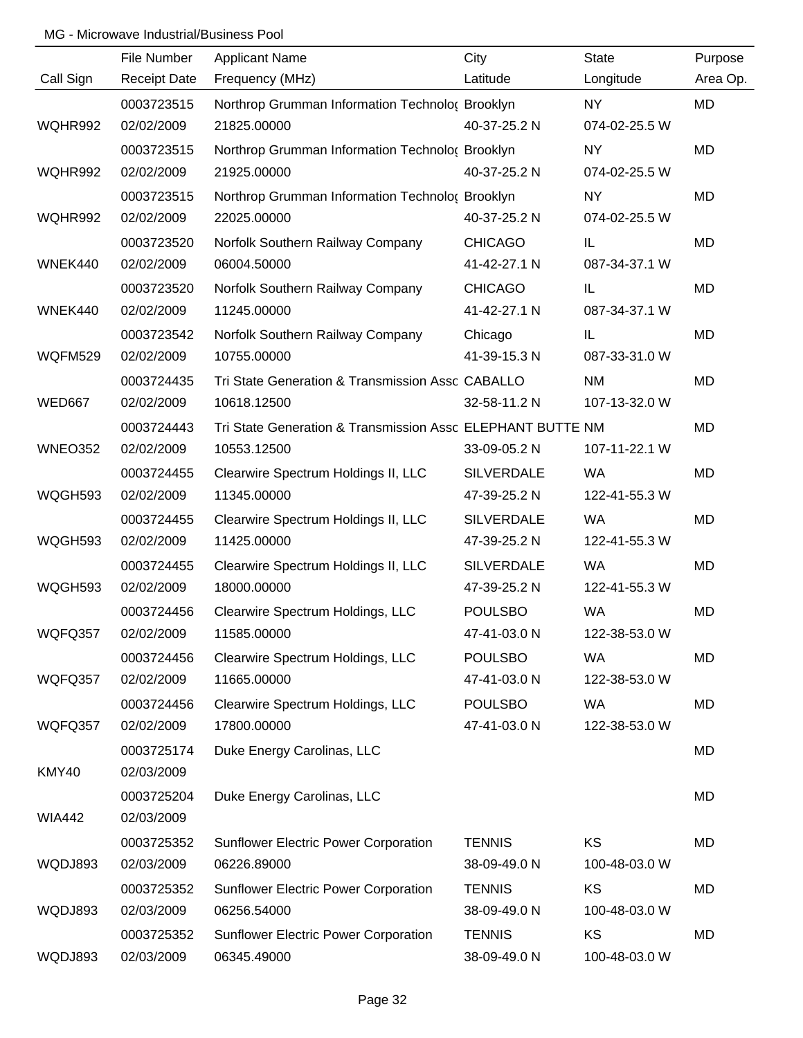|                | File Number         | <b>Applicant Name</b>                                      | City              | <b>State</b>  | Purpose   |
|----------------|---------------------|------------------------------------------------------------|-------------------|---------------|-----------|
| Call Sign      | <b>Receipt Date</b> | Frequency (MHz)                                            | Latitude          | Longitude     | Area Op.  |
|                | 0003723515          | Northrop Grumman Information Technolo( Brooklyn            |                   | <b>NY</b>     | MD        |
| WQHR992        | 02/02/2009          | 21825.00000                                                | 40-37-25.2 N      | 074-02-25.5 W |           |
|                | 0003723515          | Northrop Grumman Information Technolo( Brooklyn            |                   | <b>NY</b>     | <b>MD</b> |
| WQHR992        | 02/02/2009          | 21925.00000                                                | 40-37-25.2 N      | 074-02-25.5 W |           |
|                | 0003723515          | Northrop Grumman Information Technolo( Brooklyn            |                   | <b>NY</b>     | MD        |
| WQHR992        | 02/02/2009          | 22025.00000                                                | 40-37-25.2 N      | 074-02-25.5 W |           |
|                | 0003723520          | Norfolk Southern Railway Company                           | <b>CHICAGO</b>    | IL            | MD        |
| WNEK440        | 02/02/2009          | 06004.50000                                                | 41-42-27.1 N      | 087-34-37.1 W |           |
|                | 0003723520          | Norfolk Southern Railway Company                           | <b>CHICAGO</b>    | IL            | MD        |
| WNEK440        | 02/02/2009          | 11245.00000                                                | 41-42-27.1 N      | 087-34-37.1 W |           |
|                | 0003723542          | Norfolk Southern Railway Company                           | Chicago           | IL            | MD        |
| <b>WQFM529</b> | 02/02/2009          | 10755.00000                                                | 41-39-15.3 N      | 087-33-31.0 W |           |
|                | 0003724435          | Tri State Generation & Transmission Assc CABALLO           |                   | <b>NM</b>     | MD        |
| <b>WED667</b>  | 02/02/2009          | 10618.12500                                                | 32-58-11.2 N      | 107-13-32.0 W |           |
|                | 0003724443          | Tri State Generation & Transmission Assc ELEPHANT BUTTE NM |                   |               | MD        |
| WNEO352        | 02/02/2009          | 10553.12500                                                | 33-09-05.2 N      | 107-11-22.1 W |           |
|                | 0003724455          | Clearwire Spectrum Holdings II, LLC                        | <b>SILVERDALE</b> | <b>WA</b>     | MD        |
| WQGH593        | 02/02/2009          | 11345.00000                                                | 47-39-25.2 N      | 122-41-55.3 W |           |
|                | 0003724455          | Clearwire Spectrum Holdings II, LLC                        | <b>SILVERDALE</b> | <b>WA</b>     | MD        |
| WQGH593        | 02/02/2009          | 11425.00000                                                | 47-39-25.2 N      | 122-41-55.3 W |           |
|                | 0003724455          | Clearwire Spectrum Holdings II, LLC                        | <b>SILVERDALE</b> | <b>WA</b>     | MD        |
| WQGH593        | 02/02/2009          | 18000.00000                                                | 47-39-25.2 N      | 122-41-55.3 W |           |
|                | 0003724456          | Clearwire Spectrum Holdings, LLC                           | <b>POULSBO</b>    | <b>WA</b>     | MD        |
| WQFQ357        | 02/02/2009          | 11585.00000                                                | 47-41-03.0 N      | 122-38-53.0 W |           |
|                | 0003724456          | Clearwire Spectrum Holdings, LLC                           | <b>POULSBO</b>    | <b>WA</b>     | MD        |
| WQFQ357        | 02/02/2009          | 11665.00000                                                | 47-41-03.0 N      | 122-38-53.0 W |           |
|                | 0003724456          | Clearwire Spectrum Holdings, LLC                           | <b>POULSBO</b>    | <b>WA</b>     | MD        |
| WQFQ357        | 02/02/2009          | 17800.00000                                                | 47-41-03.0 N      | 122-38-53.0 W |           |
|                | 0003725174          | Duke Energy Carolinas, LLC                                 |                   |               | MD        |
| KMY40          | 02/03/2009          |                                                            |                   |               |           |
|                | 0003725204          | Duke Energy Carolinas, LLC                                 |                   |               | MD        |
| <b>WIA442</b>  | 02/03/2009          |                                                            |                   |               |           |
|                | 0003725352          | <b>Sunflower Electric Power Corporation</b>                | <b>TENNIS</b>     | KS            | MD        |
| WQDJ893        | 02/03/2009          | 06226.89000                                                | 38-09-49.0 N      | 100-48-03.0 W |           |
|                | 0003725352          | <b>Sunflower Electric Power Corporation</b>                | <b>TENNIS</b>     | KS            | MD        |
| WQDJ893        | 02/03/2009          | 06256.54000                                                | 38-09-49.0 N      | 100-48-03.0 W |           |
|                | 0003725352          | <b>Sunflower Electric Power Corporation</b>                | <b>TENNIS</b>     | KS            | MD        |
| WQDJ893        | 02/03/2009          | 06345.49000                                                | 38-09-49.0 N      | 100-48-03.0 W |           |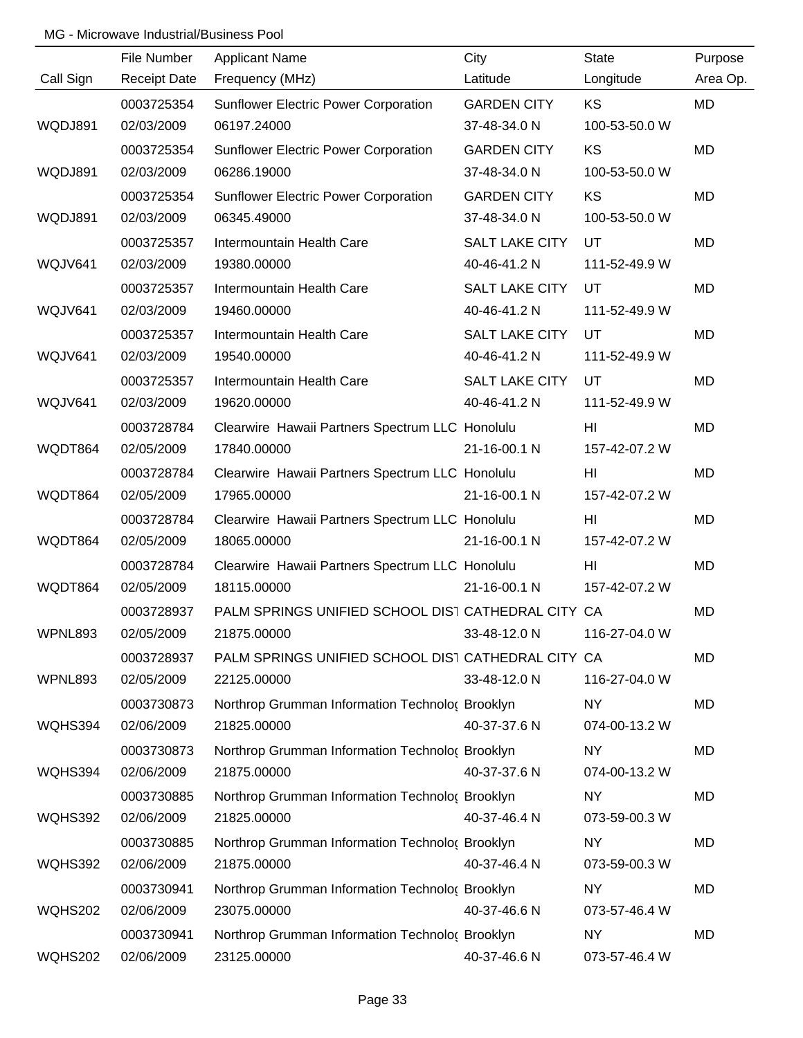|                | File Number         | <b>Applicant Name</b>                              | City                  | <b>State</b>  | Purpose   |
|----------------|---------------------|----------------------------------------------------|-----------------------|---------------|-----------|
| Call Sign      | <b>Receipt Date</b> | Frequency (MHz)                                    | Latitude              | Longitude     | Area Op.  |
|                | 0003725354          | <b>Sunflower Electric Power Corporation</b>        | <b>GARDEN CITY</b>    | KS            | MD        |
| WQDJ891        | 02/03/2009          | 06197.24000                                        | 37-48-34.0 N          | 100-53-50.0 W |           |
|                | 0003725354          | <b>Sunflower Electric Power Corporation</b>        | <b>GARDEN CITY</b>    | KS            | <b>MD</b> |
| WQDJ891        | 02/03/2009          | 06286.19000                                        | 37-48-34.0 N          | 100-53-50.0 W |           |
|                | 0003725354          | <b>Sunflower Electric Power Corporation</b>        | <b>GARDEN CITY</b>    | KS            | <b>MD</b> |
| WQDJ891        | 02/03/2009          | 06345.49000                                        | 37-48-34.0 N          | 100-53-50.0 W |           |
|                | 0003725357          | Intermountain Health Care                          | SALT LAKE CITY        | UT            | <b>MD</b> |
| WQJV641        | 02/03/2009          | 19380.00000                                        | 40-46-41.2 N          | 111-52-49.9 W |           |
|                | 0003725357          | Intermountain Health Care                          | <b>SALT LAKE CITY</b> | UT            | MD        |
| WQJV641        | 02/03/2009          | 19460.00000                                        | 40-46-41.2 N          | 111-52-49.9 W |           |
|                | 0003725357          | Intermountain Health Care                          | <b>SALT LAKE CITY</b> | UT            | MD        |
| WQJV641        | 02/03/2009          | 19540.00000                                        | 40-46-41.2 N          | 111-52-49.9 W |           |
|                | 0003725357          | Intermountain Health Care                          | SALT LAKE CITY        | UT            | MD        |
| WQJV641        | 02/03/2009          | 19620.00000                                        | 40-46-41.2 N          | 111-52-49.9 W |           |
|                | 0003728784          | Clearwire Hawaii Partners Spectrum LLC Honolulu    |                       | HI            | <b>MD</b> |
| WQDT864        | 02/05/2009          | 17840.00000                                        | 21-16-00.1 N          | 157-42-07.2 W |           |
|                | 0003728784          | Clearwire Hawaii Partners Spectrum LLC Honolulu    |                       | HI            | MD        |
| WQDT864        | 02/05/2009          | 17965.00000                                        | 21-16-00.1 N          | 157-42-07.2 W |           |
|                | 0003728784          | Clearwire Hawaii Partners Spectrum LLC Honolulu    |                       | HI            | MD        |
| WQDT864        | 02/05/2009          | 18065.00000                                        | 21-16-00.1 N          | 157-42-07.2 W |           |
|                | 0003728784          | Clearwire Hawaii Partners Spectrum LLC Honolulu    |                       | HI.           | MD        |
| WQDT864        | 02/05/2009          | 18115.00000                                        | 21-16-00.1 N          | 157-42-07.2 W |           |
|                | 0003728937          | PALM SPRINGS UNIFIED SCHOOL DIST CATHEDRAL CITY CA |                       |               | MD        |
| WPNL893        | 02/05/2009          | 21875.00000                                        | 33-48-12.0 N          | 116-27-04.0 W |           |
|                | 0003728937          | PALM SPRINGS UNIFIED SCHOOL DIST CATHEDRAL CITY CA |                       |               | MD        |
| WPNL893        | 02/05/2009          | 22125.00000                                        | 33-48-12.0 N          | 116-27-04.0 W |           |
|                | 0003730873          | Northrop Grumman Information Technolo( Brooklyn    |                       | <b>NY</b>     | MD        |
| WQHS394        | 02/06/2009          | 21825.00000                                        | 40-37-37.6 N          | 074-00-13.2 W |           |
|                | 0003730873          | Northrop Grumman Information Technolo( Brooklyn    |                       | <b>NY</b>     | MD        |
| WQHS394        | 02/06/2009          | 21875.00000                                        | 40-37-37.6 N          | 074-00-13.2 W |           |
|                | 0003730885          | Northrop Grumman Information Technolo( Brooklyn    |                       | <b>NY</b>     | MD        |
| WQHS392        | 02/06/2009          | 21825.00000                                        | 40-37-46.4 N          | 073-59-00.3 W |           |
|                | 0003730885          | Northrop Grumman Information Technolo( Brooklyn    |                       | <b>NY</b>     | MD        |
| WQHS392        | 02/06/2009          | 21875.00000                                        | 40-37-46.4 N          | 073-59-00.3 W |           |
|                | 0003730941          | Northrop Grumman Information Technolo( Brooklyn    |                       | <b>NY</b>     | MD        |
| <b>WQHS202</b> | 02/06/2009          | 23075.00000                                        | 40-37-46.6 N          | 073-57-46.4 W |           |
|                | 0003730941          | Northrop Grumman Information Technolo( Brooklyn    |                       | <b>NY</b>     | MD        |
| WQHS202        | 02/06/2009          | 23125.00000                                        | 40-37-46.6 N          | 073-57-46.4 W |           |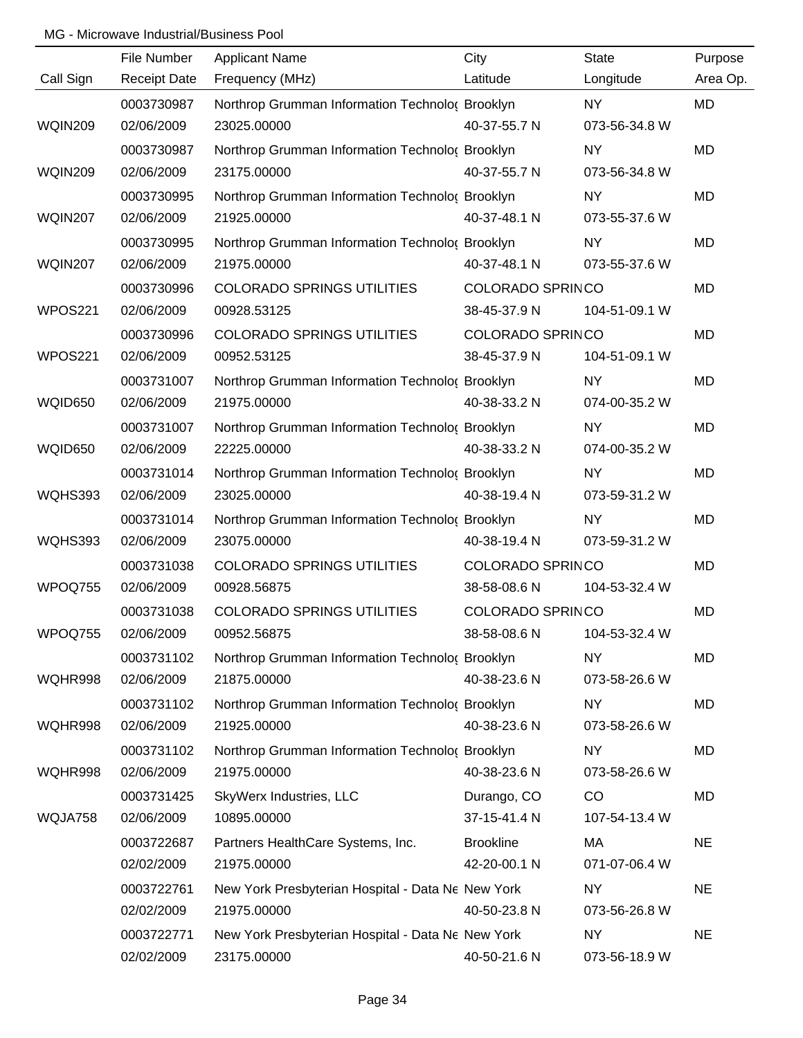|                | File Number         | <b>Applicant Name</b>                             | City                    | <b>State</b>  | Purpose   |
|----------------|---------------------|---------------------------------------------------|-------------------------|---------------|-----------|
| Call Sign      | <b>Receipt Date</b> | Frequency (MHz)                                   | Latitude                | Longitude     | Area Op.  |
|                | 0003730987          | Northrop Grumman Information Technolo( Brooklyn   |                         | <b>NY</b>     | MD        |
| <b>WQIN209</b> | 02/06/2009          | 23025.00000                                       | 40-37-55.7 N            | 073-56-34.8 W |           |
|                | 0003730987          | Northrop Grumman Information Technolo( Brooklyn   |                         | <b>NY</b>     | <b>MD</b> |
| WQIN209        | 02/06/2009          | 23175.00000                                       | 40-37-55.7 N            | 073-56-34.8 W |           |
|                | 0003730995          | Northrop Grumman Information Technolo( Brooklyn   |                         | <b>NY</b>     | <b>MD</b> |
| WQIN207        | 02/06/2009          | 21925.00000                                       | 40-37-48.1 N            | 073-55-37.6 W |           |
|                | 0003730995          | Northrop Grumman Information Technolo( Brooklyn   |                         | <b>NY</b>     | MD        |
| WQIN207        | 02/06/2009          | 21975.00000                                       | 40-37-48.1 N            | 073-55-37.6 W |           |
|                | 0003730996          | <b>COLORADO SPRINGS UTILITIES</b>                 | <b>COLORADO SPRINCO</b> |               | MD        |
| WPOS221        | 02/06/2009          | 00928.53125                                       | 38-45-37.9 N            | 104-51-09.1 W |           |
|                | 0003730996          | <b>COLORADO SPRINGS UTILITIES</b>                 | <b>COLORADO SPRINCO</b> |               | MD        |
| WPOS221        | 02/06/2009          | 00952.53125                                       | 38-45-37.9 N            | 104-51-09.1 W |           |
|                | 0003731007          | Northrop Grumman Information Technolo( Brooklyn   |                         | <b>NY</b>     | MD        |
| WQID650        | 02/06/2009          | 21975.00000                                       | 40-38-33.2 N            | 074-00-35.2 W |           |
|                | 0003731007          | Northrop Grumman Information Technolo( Brooklyn   |                         | <b>NY</b>     | MD        |
| WQID650        | 02/06/2009          | 22225.00000                                       | 40-38-33.2 N            | 074-00-35.2 W |           |
|                | 0003731014          | Northrop Grumman Information Technolo( Brooklyn   |                         | <b>NY</b>     | MD        |
| WQHS393        | 02/06/2009          | 23025.00000                                       | 40-38-19.4 N            | 073-59-31.2 W |           |
|                | 0003731014          | Northrop Grumman Information Technolo( Brooklyn   |                         | <b>NY</b>     | MD        |
| WQHS393        | 02/06/2009          | 23075.00000                                       | 40-38-19.4 N            | 073-59-31.2 W |           |
|                | 0003731038          | <b>COLORADO SPRINGS UTILITIES</b>                 | <b>COLORADO SPRINCO</b> |               | MD        |
| WPOQ755        | 02/06/2009          | 00928.56875                                       | 38-58-08.6 N            | 104-53-32.4 W |           |
|                | 0003731038          | <b>COLORADO SPRINGS UTILITIES</b>                 | <b>COLORADO SPRINCO</b> |               | <b>MD</b> |
| WPOQ755        | 02/06/2009          | 00952.56875                                       | 38-58-08.6 N            | 104-53-32.4 W |           |
|                | 0003731102          | Northrop Grumman Information Technolo( Brooklyn   |                         | <b>NY</b>     | MD        |
| WQHR998        | 02/06/2009          | 21875.00000                                       | 40-38-23.6 N            | 073-58-26.6 W |           |
|                | 0003731102          | Northrop Grumman Information Technolo( Brooklyn   |                         | <b>NY</b>     | MD        |
| WQHR998        | 02/06/2009          | 21925.00000                                       | 40-38-23.6 N            | 073-58-26.6 W |           |
|                | 0003731102          | Northrop Grumman Information Technolo; Brooklyn   |                         | <b>NY</b>     | MD        |
| WQHR998        | 02/06/2009          | 21975.00000                                       | 40-38-23.6 N            | 073-58-26.6 W |           |
|                | 0003731425          | SkyWerx Industries, LLC                           | Durango, CO             | CO            | MD        |
| WQJA758        | 02/06/2009          | 10895.00000                                       | 37-15-41.4 N            | 107-54-13.4 W |           |
|                | 0003722687          | Partners HealthCare Systems, Inc.                 | <b>Brookline</b>        | MA            | <b>NE</b> |
|                | 02/02/2009          | 21975.00000                                       | 42-20-00.1 N            | 071-07-06.4 W |           |
|                | 0003722761          | New York Presbyterian Hospital - Data Ne New York |                         | <b>NY</b>     | <b>NE</b> |
|                | 02/02/2009          | 21975.00000                                       | 40-50-23.8 N            | 073-56-26.8 W |           |
|                | 0003722771          | New York Presbyterian Hospital - Data Ne New York |                         | <b>NY</b>     | <b>NE</b> |
|                | 02/02/2009          | 23175.00000                                       | 40-50-21.6 N            | 073-56-18.9 W |           |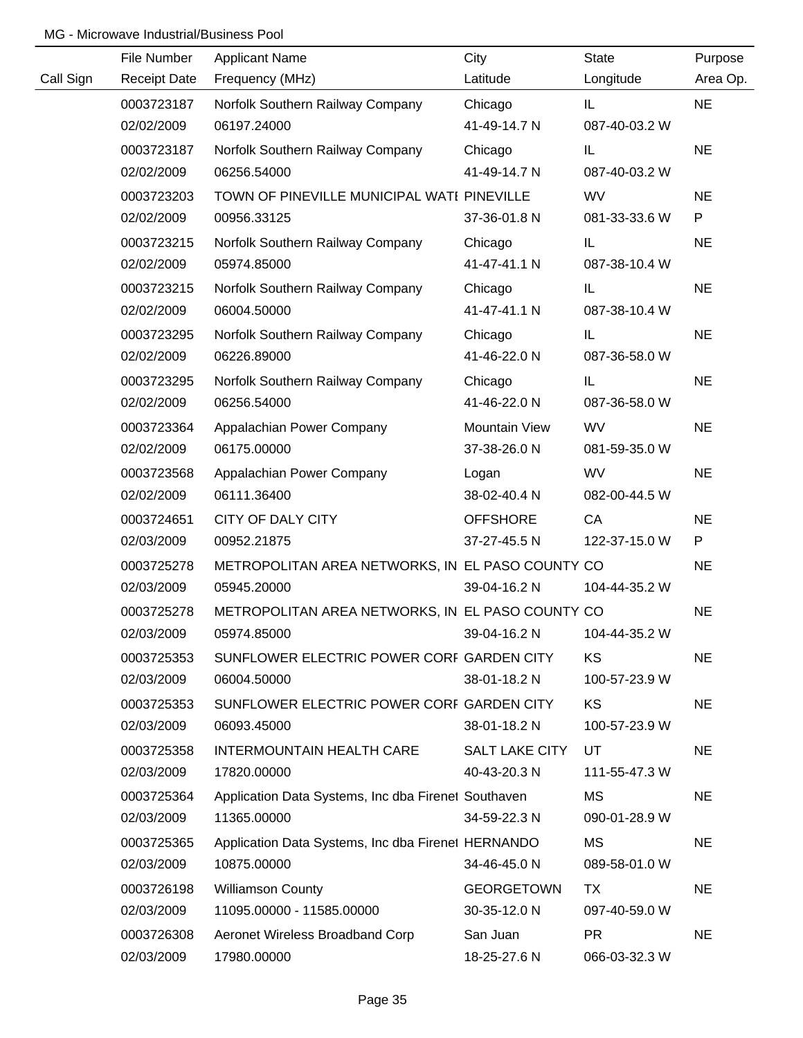|           | File Number         | <b>Applicant Name</b>                               | City              | <b>State</b>  | Purpose   |
|-----------|---------------------|-----------------------------------------------------|-------------------|---------------|-----------|
| Call Sign | <b>Receipt Date</b> | Frequency (MHz)                                     | Latitude          | Longitude     | Area Op.  |
|           | 0003723187          | Norfolk Southern Railway Company                    | Chicago           | IL.           | <b>NE</b> |
|           | 02/02/2009          | 06197.24000                                         | 41-49-14.7 N      | 087-40-03.2 W |           |
|           | 0003723187          | Norfolk Southern Railway Company                    | Chicago           | IL            | <b>NE</b> |
|           | 02/02/2009          | 06256.54000                                         | 41-49-14.7 N      | 087-40-03.2 W |           |
|           | 0003723203          | TOWN OF PINEVILLE MUNICIPAL WATI PINEVILLE          |                   | WV            | <b>NE</b> |
|           | 02/02/2009          | 00956.33125                                         | 37-36-01.8 N      | 081-33-33.6 W | P         |
|           | 0003723215          | Norfolk Southern Railway Company                    | Chicago           | IL.           | <b>NE</b> |
|           | 02/02/2009          | 05974.85000                                         | 41-47-41.1 N      | 087-38-10.4 W |           |
|           | 0003723215          | Norfolk Southern Railway Company                    | Chicago           | IL            | <b>NE</b> |
|           | 02/02/2009          | 06004.50000                                         | 41-47-41.1 N      | 087-38-10.4 W |           |
|           | 0003723295          | Norfolk Southern Railway Company                    | Chicago           | IL.           | <b>NE</b> |
|           | 02/02/2009          | 06226.89000                                         | 41-46-22.0 N      | 087-36-58.0 W |           |
|           | 0003723295          | Norfolk Southern Railway Company                    | Chicago           | IL            | <b>NE</b> |
|           | 02/02/2009          | 06256.54000                                         | 41-46-22.0 N      | 087-36-58.0 W |           |
|           | 0003723364          | Appalachian Power Company                           | Mountain View     | WV            | <b>NE</b> |
|           | 02/02/2009          | 06175.00000                                         | 37-38-26.0 N      | 081-59-35.0 W |           |
|           | 0003723568          | Appalachian Power Company                           | Logan             | WV            | <b>NE</b> |
|           | 02/02/2009          | 06111.36400                                         | 38-02-40.4 N      | 082-00-44.5 W |           |
|           | 0003724651          | <b>CITY OF DALY CITY</b>                            | <b>OFFSHORE</b>   | CA            | <b>NE</b> |
|           | 02/03/2009          | 00952.21875                                         | 37-27-45.5 N      | 122-37-15.0 W | P         |
|           | 0003725278          | METROPOLITAN AREA NETWORKS, IN EL PASO COUNTY CO    |                   |               | <b>NE</b> |
|           | 02/03/2009          | 05945.20000                                         | 39-04-16.2 N      | 104-44-35.2 W |           |
|           | 0003725278          | METROPOLITAN AREA NETWORKS, IN EL PASO COUNTY CO    |                   |               | <b>NE</b> |
|           | 02/03/2009          | 05974.85000                                         | 39-04-16.2 N      | 104-44-35.2 W |           |
|           | 0003725353          | SUNFLOWER ELECTRIC POWER CORF GARDEN CITY           |                   | <b>KS</b>     | <b>NE</b> |
|           | 02/03/2009          | 06004.50000                                         | 38-01-18.2 N      | 100-57-23.9 W |           |
|           | 0003725353          | SUNFLOWER ELECTRIC POWER CORF GARDEN CITY           |                   | <b>KS</b>     | <b>NE</b> |
|           | 02/03/2009          | 06093.45000                                         | 38-01-18.2 N      | 100-57-23.9 W |           |
|           | 0003725358          | INTERMOUNTAIN HEALTH CARE                           | SALT LAKE CITY    | UT            | <b>NE</b> |
|           | 02/03/2009          | 17820.00000                                         | 40-43-20.3 N      | 111-55-47.3 W |           |
|           | 0003725364          | Application Data Systems, Inc dba Firenet Southaven |                   | <b>MS</b>     | <b>NE</b> |
|           | 02/03/2009          | 11365.00000                                         | 34-59-22.3 N      | 090-01-28.9 W |           |
|           | 0003725365          | Application Data Systems, Inc dba Firenet HERNANDO  |                   | MS            | <b>NE</b> |
|           | 02/03/2009          | 10875.00000                                         | 34-46-45.0 N      | 089-58-01.0 W |           |
|           | 0003726198          | <b>Williamson County</b>                            | <b>GEORGETOWN</b> | TX            | <b>NE</b> |
|           | 02/03/2009          | 11095.00000 - 11585.00000                           | 30-35-12.0 N      | 097-40-59.0 W |           |
|           | 0003726308          | Aeronet Wireless Broadband Corp                     | San Juan          | <b>PR</b>     | <b>NE</b> |
|           | 02/03/2009          | 17980.00000                                         | 18-25-27.6 N      | 066-03-32.3 W |           |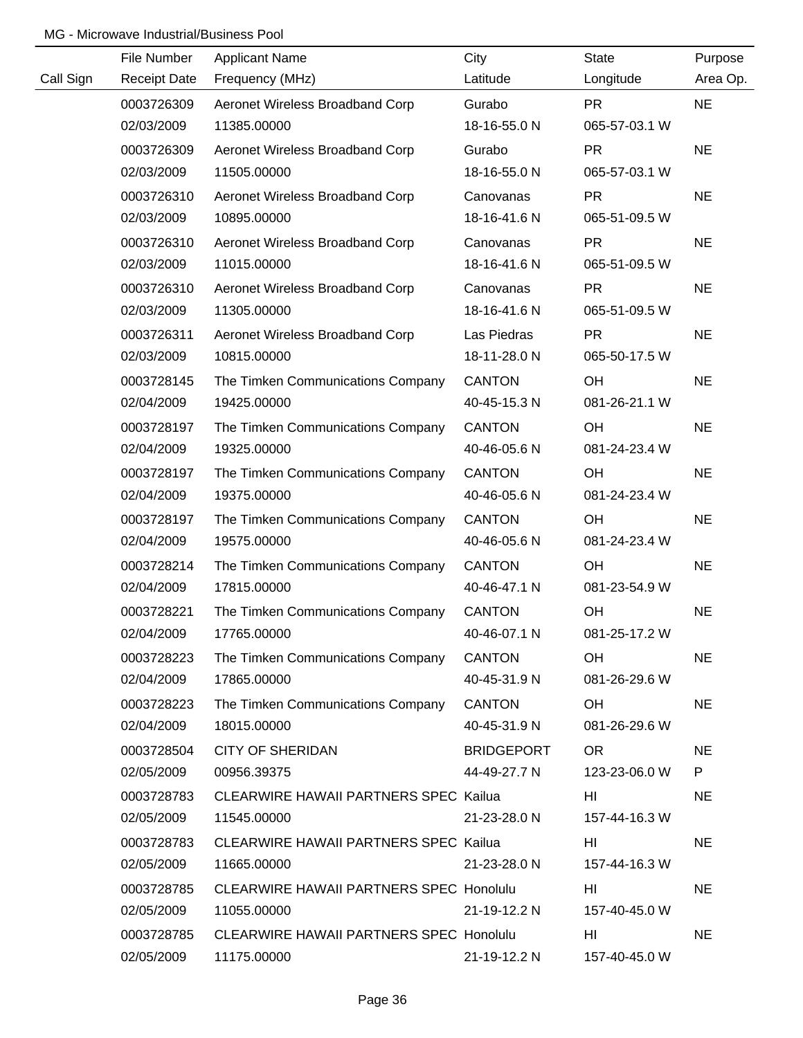|           | File Number         | <b>Applicant Name</b>                          | City              | <b>State</b>  | Purpose   |
|-----------|---------------------|------------------------------------------------|-------------------|---------------|-----------|
| Call Sign | <b>Receipt Date</b> | Frequency (MHz)                                | Latitude          | Longitude     | Area Op.  |
|           | 0003726309          | Aeronet Wireless Broadband Corp                | Gurabo            | <b>PR</b>     | <b>NE</b> |
|           | 02/03/2009          | 11385.00000                                    | 18-16-55.0 N      | 065-57-03.1 W |           |
|           | 0003726309          | Aeronet Wireless Broadband Corp                | Gurabo            | <b>PR</b>     | <b>NE</b> |
|           | 02/03/2009          | 11505.00000                                    | 18-16-55.0 N      | 065-57-03.1 W |           |
|           | 0003726310          | Aeronet Wireless Broadband Corp                | Canovanas         | <b>PR</b>     | <b>NE</b> |
|           | 02/03/2009          | 10895.00000                                    | 18-16-41.6 N      | 065-51-09.5 W |           |
|           | 0003726310          | Aeronet Wireless Broadband Corp                | Canovanas         | <b>PR</b>     | <b>NE</b> |
|           | 02/03/2009          | 11015.00000                                    | 18-16-41.6 N      | 065-51-09.5 W |           |
|           | 0003726310          | Aeronet Wireless Broadband Corp                | Canovanas         | <b>PR</b>     | <b>NE</b> |
|           | 02/03/2009          | 11305.00000                                    | 18-16-41.6 N      | 065-51-09.5 W |           |
|           | 0003726311          | Aeronet Wireless Broadband Corp                | Las Piedras       | <b>PR</b>     | <b>NE</b> |
|           | 02/03/2009          | 10815.00000                                    | 18-11-28.0 N      | 065-50-17.5 W |           |
|           | 0003728145          | The Timken Communications Company              | <b>CANTON</b>     | OH            | <b>NE</b> |
|           | 02/04/2009          | 19425.00000                                    | 40-45-15.3 N      | 081-26-21.1 W |           |
|           | 0003728197          | The Timken Communications Company              | <b>CANTON</b>     | <b>OH</b>     | <b>NE</b> |
|           | 02/04/2009          | 19325.00000                                    | 40-46-05.6 N      | 081-24-23.4 W |           |
|           | 0003728197          | The Timken Communications Company              | <b>CANTON</b>     | OH            | <b>NE</b> |
|           | 02/04/2009          | 19375.00000                                    | 40-46-05.6 N      | 081-24-23.4 W |           |
|           | 0003728197          | The Timken Communications Company              | <b>CANTON</b>     | OH            | <b>NE</b> |
|           | 02/04/2009          | 19575.00000                                    | 40-46-05.6 N      | 081-24-23.4 W |           |
|           | 0003728214          | The Timken Communications Company              | <b>CANTON</b>     | OH            | <b>NE</b> |
|           | 02/04/2009          | 17815.00000                                    | 40-46-47.1 N      | 081-23-54.9 W |           |
|           | 0003728221          | The Timken Communications Company              | <b>CANTON</b>     | OH            | <b>NE</b> |
|           | 02/04/2009          | 17765.00000                                    | 40-46-07.1 N      | 081-25-17.2 W |           |
|           | 0003728223          | The Timken Communications Company              | <b>CANTON</b>     | OH            | <b>NE</b> |
|           | 02/04/2009          | 17865.00000                                    | 40-45-31.9 N      | 081-26-29.6 W |           |
|           | 0003728223          | The Timken Communications Company              | <b>CANTON</b>     | OH.           | <b>NE</b> |
|           | 02/04/2009          | 18015.00000                                    | 40-45-31.9 N      | 081-26-29.6 W |           |
|           | 0003728504          | <b>CITY OF SHERIDAN</b>                        | <b>BRIDGEPORT</b> | OR.           | <b>NE</b> |
|           | 02/05/2009          | 00956.39375                                    | 44-49-27.7 N      | 123-23-06.0 W | P         |
|           | 0003728783          | CLEARWIRE HAWAII PARTNERS SPEC Kailua          |                   | HI            | <b>NE</b> |
|           | 02/05/2009          | 11545.00000                                    | 21-23-28.0 N      | 157-44-16.3 W |           |
|           | 0003728783          | <b>CLEARWIRE HAWAII PARTNERS SPEC Kailua</b>   |                   | HI            | <b>NE</b> |
|           | 02/05/2009          | 11665.00000                                    | 21-23-28.0 N      | 157-44-16.3 W |           |
|           | 0003728785          | <b>CLEARWIRE HAWAII PARTNERS SPEC Honolulu</b> |                   | HI            | <b>NE</b> |
|           | 02/05/2009          | 11055.00000                                    | 21-19-12.2 N      | 157-40-45.0 W |           |
|           | 0003728785          | <b>CLEARWIRE HAWAII PARTNERS SPEC Honolulu</b> |                   | HI            | <b>NE</b> |
|           | 02/05/2009          | 11175.00000                                    | 21-19-12.2 N      | 157-40-45.0 W |           |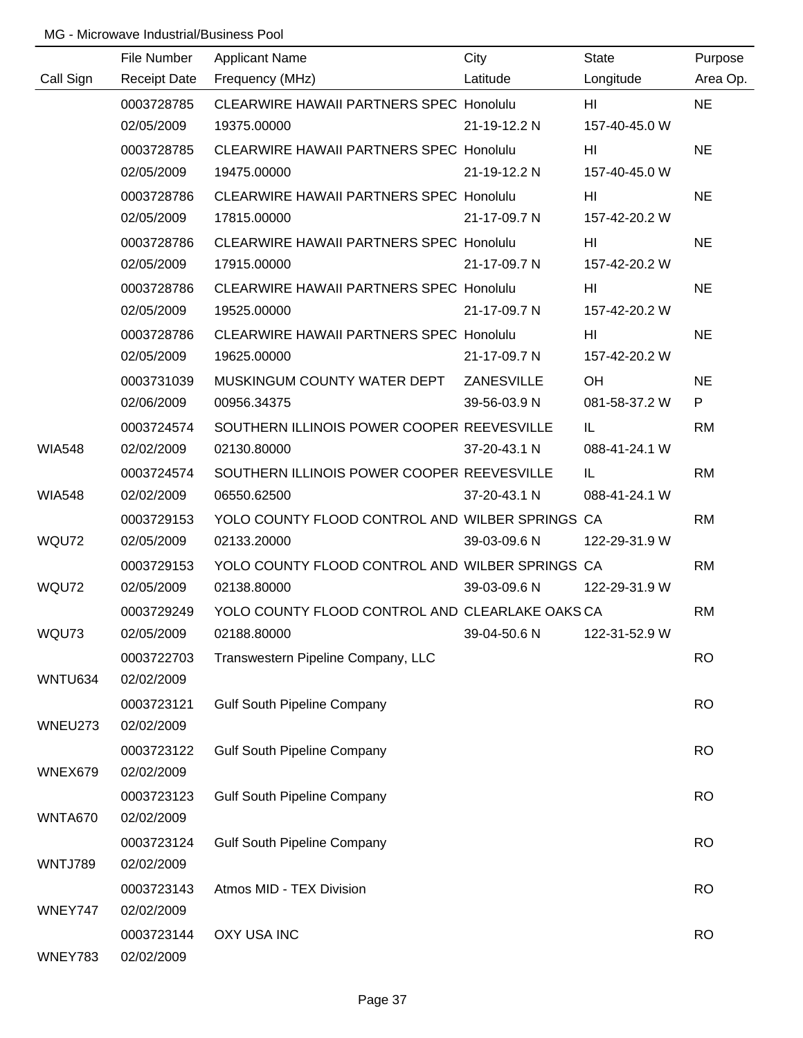|                | File Number         | <b>Applicant Name</b>                           | City         | <b>State</b>  | Purpose   |
|----------------|---------------------|-------------------------------------------------|--------------|---------------|-----------|
| Call Sign      | <b>Receipt Date</b> | Frequency (MHz)                                 | Latitude     | Longitude     | Area Op.  |
|                | 0003728785          | <b>CLEARWIRE HAWAII PARTNERS SPEC Honolulu</b>  |              | HI            | <b>NE</b> |
|                | 02/05/2009          | 19375.00000                                     | 21-19-12.2 N | 157-40-45.0 W |           |
|                | 0003728785          | <b>CLEARWIRE HAWAII PARTNERS SPEC Honolulu</b>  |              | HI            | <b>NE</b> |
|                | 02/05/2009          | 19475.00000                                     | 21-19-12.2 N | 157-40-45.0 W |           |
|                | 0003728786          | <b>CLEARWIRE HAWAII PARTNERS SPEC Honolulu</b>  |              | HI            | <b>NE</b> |
|                | 02/05/2009          | 17815.00000                                     | 21-17-09.7 N | 157-42-20.2 W |           |
|                | 0003728786          | CLEARWIRE HAWAII PARTNERS SPEC Honolulu         |              | HI            | <b>NE</b> |
|                | 02/05/2009          | 17915.00000                                     | 21-17-09.7 N | 157-42-20.2 W |           |
|                | 0003728786          | CLEARWIRE HAWAII PARTNERS SPEC Honolulu         |              | HI            | <b>NE</b> |
|                | 02/05/2009          | 19525.00000                                     | 21-17-09.7 N | 157-42-20.2 W |           |
|                | 0003728786          | <b>CLEARWIRE HAWAII PARTNERS SPEC Honolulu</b>  |              | HI            | <b>NE</b> |
|                | 02/05/2009          | 19625.00000                                     | 21-17-09.7 N | 157-42-20.2 W |           |
|                | 0003731039          | MUSKINGUM COUNTY WATER DEPT     ZANESVILLE      |              | <b>OH</b>     | <b>NE</b> |
|                | 02/06/2009          | 00956.34375                                     | 39-56-03.9 N | 081-58-37.2 W | P         |
|                | 0003724574          | SOUTHERN ILLINOIS POWER COOPER REEVESVILLE      |              | IL.           | <b>RM</b> |
| <b>WIA548</b>  | 02/02/2009          | 02130.80000                                     | 37-20-43.1 N | 088-41-24.1 W |           |
|                | 0003724574          | SOUTHERN ILLINOIS POWER COOPER REEVESVILLE      |              | IL.           | <b>RM</b> |
| <b>WIA548</b>  | 02/02/2009          | 06550.62500                                     | 37-20-43.1 N | 088-41-24.1 W |           |
|                | 0003729153          | YOLO COUNTY FLOOD CONTROL AND WILBER SPRINGS CA |              |               | <b>RM</b> |
| WQU72          | 02/05/2009          | 02133.20000                                     | 39-03-09.6 N | 122-29-31.9 W |           |
|                | 0003729153          | YOLO COUNTY FLOOD CONTROL AND WILBER SPRINGS CA |              |               | <b>RM</b> |
| WQU72          | 02/05/2009          | 02138.80000                                     | 39-03-09.6 N | 122-29-31.9 W |           |
|                | 0003729249          | YOLO COUNTY FLOOD CONTROL AND CLEARLAKE OAKS CA |              |               | <b>RM</b> |
| WQU73          | 02/05/2009          | 02188.80000                                     | 39-04-50.6 N | 122-31-52.9 W |           |
|                | 0003722703          | Transwestern Pipeline Company, LLC              |              |               | <b>RO</b> |
| WNTU634        | 02/02/2009          |                                                 |              |               |           |
|                | 0003723121          | <b>Gulf South Pipeline Company</b>              |              |               | <b>RO</b> |
| WNEU273        | 02/02/2009          |                                                 |              |               |           |
|                | 0003723122          | <b>Gulf South Pipeline Company</b>              |              |               | <b>RO</b> |
| WNEX679        | 02/02/2009          |                                                 |              |               |           |
|                | 0003723123          | <b>Gulf South Pipeline Company</b>              |              |               | <b>RO</b> |
| WNTA670        | 02/02/2009          |                                                 |              |               |           |
|                | 0003723124          | <b>Gulf South Pipeline Company</b>              |              |               | <b>RO</b> |
| <b>WNTJ789</b> | 02/02/2009          |                                                 |              |               |           |
|                | 0003723143          | Atmos MID - TEX Division                        |              |               | <b>RO</b> |
| WNEY747        | 02/02/2009          |                                                 |              |               |           |
|                | 0003723144          | <b>OXY USA INC</b>                              |              |               | <b>RO</b> |
| WNEY783        | 02/02/2009          |                                                 |              |               |           |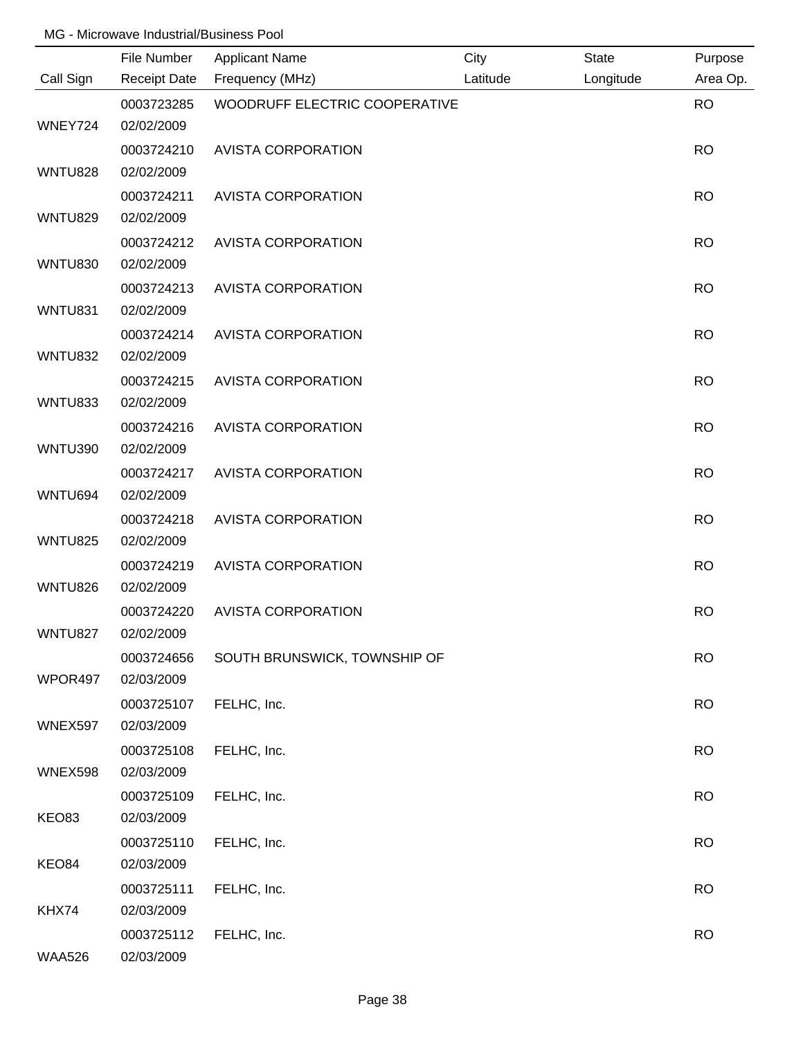|                | File Number              | <b>Applicant Name</b>         | City     | <b>State</b> | Purpose   |
|----------------|--------------------------|-------------------------------|----------|--------------|-----------|
| Call Sign      | <b>Receipt Date</b>      | Frequency (MHz)               | Latitude | Longitude    | Area Op.  |
|                | 0003723285               | WOODRUFF ELECTRIC COOPERATIVE |          |              | <b>RO</b> |
| WNEY724        | 02/02/2009               |                               |          |              |           |
|                | 0003724210               | <b>AVISTA CORPORATION</b>     |          |              | <b>RO</b> |
| <b>WNTU828</b> | 02/02/2009               |                               |          |              |           |
|                | 0003724211               | <b>AVISTA CORPORATION</b>     |          |              | <b>RO</b> |
| <b>WNTU829</b> | 02/02/2009               |                               |          |              |           |
|                | 0003724212               | <b>AVISTA CORPORATION</b>     |          |              | <b>RO</b> |
| <b>WNTU830</b> | 02/02/2009               |                               |          |              |           |
|                | 0003724213               | <b>AVISTA CORPORATION</b>     |          |              | <b>RO</b> |
| <b>WNTU831</b> | 02/02/2009               |                               |          |              |           |
|                | 0003724214               | <b>AVISTA CORPORATION</b>     |          |              | <b>RO</b> |
| <b>WNTU832</b> | 02/02/2009               |                               |          |              |           |
|                | 0003724215               | <b>AVISTA CORPORATION</b>     |          |              | <b>RO</b> |
| <b>WNTU833</b> | 02/02/2009               |                               |          |              |           |
|                | 0003724216               | <b>AVISTA CORPORATION</b>     |          |              | <b>RO</b> |
| <b>WNTU390</b> | 02/02/2009               |                               |          |              |           |
|                | 0003724217               | <b>AVISTA CORPORATION</b>     |          |              | <b>RO</b> |
| WNTU694        | 02/02/2009               |                               |          |              |           |
|                | 0003724218               | <b>AVISTA CORPORATION</b>     |          |              | <b>RO</b> |
| <b>WNTU825</b> | 02/02/2009               |                               |          |              |           |
|                | 0003724219               | <b>AVISTA CORPORATION</b>     |          |              | <b>RO</b> |
| <b>WNTU826</b> | 02/02/2009               |                               |          |              |           |
|                | 0003724220               | <b>AVISTA CORPORATION</b>     |          |              | <b>RO</b> |
| WNTU827        | 02/02/2009               |                               |          |              |           |
|                | 0003724656               | SOUTH BRUNSWICK, TOWNSHIP OF  |          |              | <b>RO</b> |
| WPOR497        | 02/03/2009               |                               |          |              |           |
| WNEX597        | 0003725107<br>02/03/2009 | FELHC, Inc.                   |          |              | <b>RO</b> |
|                | 0003725108               |                               |          |              | <b>RO</b> |
| WNEX598        | 02/03/2009               | FELHC, Inc.                   |          |              |           |
|                | 0003725109               | FELHC, Inc.                   |          |              | <b>RO</b> |
| KEO83          | 02/03/2009               |                               |          |              |           |
|                | 0003725110               | FELHC, Inc.                   |          |              | <b>RO</b> |
| KEO84          | 02/03/2009               |                               |          |              |           |
|                | 0003725111               | FELHC, Inc.                   |          |              | <b>RO</b> |
| KHX74          | 02/03/2009               |                               |          |              |           |
|                | 0003725112               | FELHC, Inc.                   |          |              | <b>RO</b> |
| <b>WAA526</b>  | 02/03/2009               |                               |          |              |           |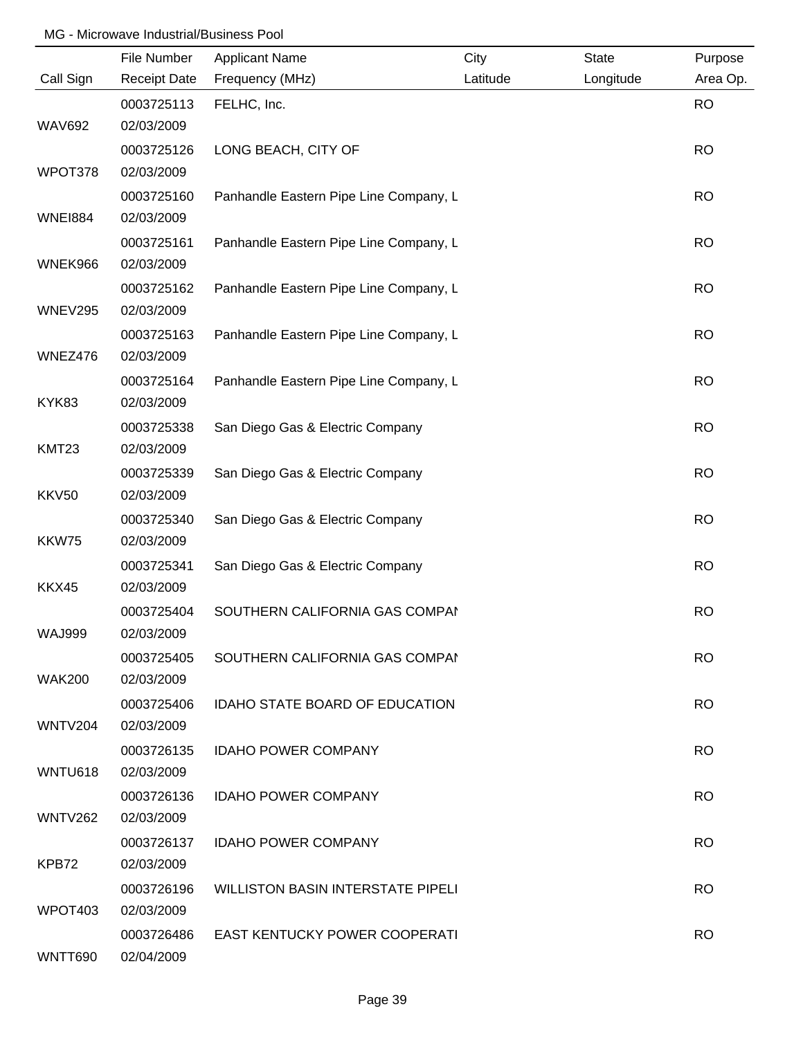|                   | File Number         | <b>Applicant Name</b>                    | City     | <b>State</b> | Purpose   |
|-------------------|---------------------|------------------------------------------|----------|--------------|-----------|
| Call Sign         | <b>Receipt Date</b> | Frequency (MHz)                          | Latitude | Longitude    | Area Op.  |
|                   | 0003725113          | FELHC, Inc.                              |          |              | <b>RO</b> |
| <b>WAV692</b>     | 02/03/2009          |                                          |          |              |           |
|                   | 0003725126          | LONG BEACH, CITY OF                      |          |              | <b>RO</b> |
| WPOT378           | 02/03/2009          |                                          |          |              |           |
|                   | 0003725160          | Panhandle Eastern Pipe Line Company, L   |          |              | <b>RO</b> |
| <b>WNEI884</b>    | 02/03/2009          |                                          |          |              |           |
|                   | 0003725161          | Panhandle Eastern Pipe Line Company, L   |          |              | <b>RO</b> |
| WNEK966           | 02/03/2009          |                                          |          |              |           |
|                   | 0003725162          | Panhandle Eastern Pipe Line Company, L   |          |              | <b>RO</b> |
| WNEV295           | 02/03/2009          |                                          |          |              |           |
|                   | 0003725163          | Panhandle Eastern Pipe Line Company, L   |          |              | <b>RO</b> |
| WNEZ476           | 02/03/2009          |                                          |          |              |           |
|                   | 0003725164          | Panhandle Eastern Pipe Line Company, L   |          |              | <b>RO</b> |
| KYK83             | 02/03/2009          |                                          |          |              |           |
|                   | 0003725338          | San Diego Gas & Electric Company         |          |              | <b>RO</b> |
| KMT <sub>23</sub> | 02/03/2009          |                                          |          |              |           |
|                   | 0003725339          | San Diego Gas & Electric Company         |          |              | <b>RO</b> |
| <b>KKV50</b>      | 02/03/2009          |                                          |          |              |           |
|                   | 0003725340          | San Diego Gas & Electric Company         |          |              | <b>RO</b> |
| KKW75             | 02/03/2009          |                                          |          |              |           |
|                   | 0003725341          | San Diego Gas & Electric Company         |          |              | <b>RO</b> |
| KKX45             | 02/03/2009          |                                          |          |              |           |
|                   | 0003725404          | SOUTHERN CALIFORNIA GAS COMPAI           |          |              | <b>RO</b> |
| <b>WAJ999</b>     | 02/03/2009          |                                          |          |              |           |
|                   | 0003725405          | SOUTHERN CALIFORNIA GAS COMPAI           |          |              | <b>RO</b> |
| <b>WAK200</b>     | 02/03/2009          |                                          |          |              |           |
|                   | 0003725406          | <b>IDAHO STATE BOARD OF EDUCATION</b>    |          |              | <b>RO</b> |
| WNTV204           | 02/03/2009          |                                          |          |              |           |
|                   | 0003726135          | <b>IDAHO POWER COMPANY</b>               |          |              | <b>RO</b> |
| WNTU618           | 02/03/2009          |                                          |          |              |           |
|                   | 0003726136          | <b>IDAHO POWER COMPANY</b>               |          |              | <b>RO</b> |
| <b>WNTV262</b>    | 02/03/2009          |                                          |          |              |           |
|                   | 0003726137          | <b>IDAHO POWER COMPANY</b>               |          |              | <b>RO</b> |
| KPB72             | 02/03/2009          |                                          |          |              |           |
|                   | 0003726196          | <b>WILLISTON BASIN INTERSTATE PIPELI</b> |          |              | <b>RO</b> |
| WPOT403           | 02/03/2009          |                                          |          |              |           |
|                   | 0003726486          | <b>EAST KENTUCKY POWER COOPERATI</b>     |          |              | <b>RO</b> |
| WNTT690           | 02/04/2009          |                                          |          |              |           |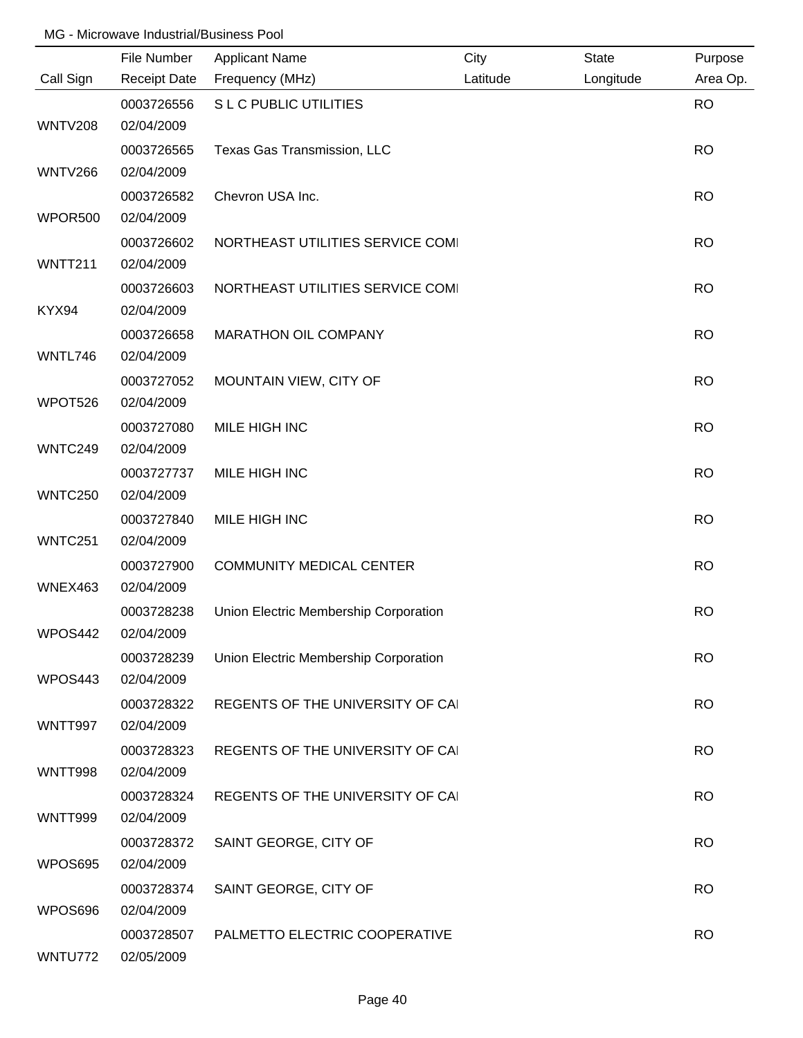|                | File Number         | <b>Applicant Name</b>                 | City     | <b>State</b> | Purpose   |
|----------------|---------------------|---------------------------------------|----------|--------------|-----------|
| Call Sign      | <b>Receipt Date</b> | Frequency (MHz)                       | Latitude | Longitude    | Area Op.  |
|                | 0003726556          | SLC PUBLIC UTILITIES                  |          |              | <b>RO</b> |
| <b>WNTV208</b> | 02/04/2009          |                                       |          |              |           |
|                | 0003726565          | Texas Gas Transmission, LLC           |          |              | <b>RO</b> |
| <b>WNTV266</b> | 02/04/2009          |                                       |          |              |           |
|                | 0003726582          | Chevron USA Inc.                      |          |              | <b>RO</b> |
| WPOR500        | 02/04/2009          |                                       |          |              |           |
|                | 0003726602          | NORTHEAST UTILITIES SERVICE COMI      |          |              | <b>RO</b> |
| <b>WNTT211</b> | 02/04/2009          |                                       |          |              |           |
|                | 0003726603          | NORTHEAST UTILITIES SERVICE COMI      |          |              | <b>RO</b> |
| KYX94          | 02/04/2009          |                                       |          |              |           |
|                | 0003726658          | <b>MARATHON OIL COMPANY</b>           |          |              | <b>RO</b> |
| WNTL746        | 02/04/2009          |                                       |          |              |           |
|                | 0003727052          | MOUNTAIN VIEW, CITY OF                |          |              | <b>RO</b> |
| WPOT526        | 02/04/2009          |                                       |          |              |           |
|                | 0003727080          | MILE HIGH INC                         |          |              | <b>RO</b> |
| WNTC249        | 02/04/2009          |                                       |          |              |           |
|                | 0003727737          | MILE HIGH INC                         |          |              | <b>RO</b> |
| <b>WNTC250</b> | 02/04/2009          |                                       |          |              |           |
|                | 0003727840          | MILE HIGH INC                         |          |              | <b>RO</b> |
| <b>WNTC251</b> | 02/04/2009          |                                       |          |              |           |
|                | 0003727900          | <b>COMMUNITY MEDICAL CENTER</b>       |          |              | <b>RO</b> |
| WNEX463        | 02/04/2009          |                                       |          |              |           |
|                | 0003728238          | Union Electric Membership Corporation |          |              | <b>RO</b> |
| WPOS442        | 02/04/2009          |                                       |          |              |           |
|                | 0003728239          | Union Electric Membership Corporation |          |              | <b>RO</b> |
| WPOS443        | 02/04/2009          |                                       |          |              |           |
|                | 0003728322          | REGENTS OF THE UNIVERSITY OF CAI      |          |              | <b>RO</b> |
| WNTT997        | 02/04/2009          |                                       |          |              |           |
|                | 0003728323          | REGENTS OF THE UNIVERSITY OF CAI      |          |              | <b>RO</b> |
| WNTT998        | 02/04/2009          |                                       |          |              |           |
|                | 0003728324          | REGENTS OF THE UNIVERSITY OF CAI      |          |              | <b>RO</b> |
| WNTT999        | 02/04/2009          |                                       |          |              |           |
|                | 0003728372          | SAINT GEORGE, CITY OF                 |          |              | <b>RO</b> |
| WPOS695        | 02/04/2009          |                                       |          |              |           |
|                | 0003728374          | SAINT GEORGE, CITY OF                 |          |              | <b>RO</b> |
| WPOS696        | 02/04/2009          |                                       |          |              |           |
|                | 0003728507          | PALMETTO ELECTRIC COOPERATIVE         |          |              | <b>RO</b> |
| WNTU772        | 02/05/2009          |                                       |          |              |           |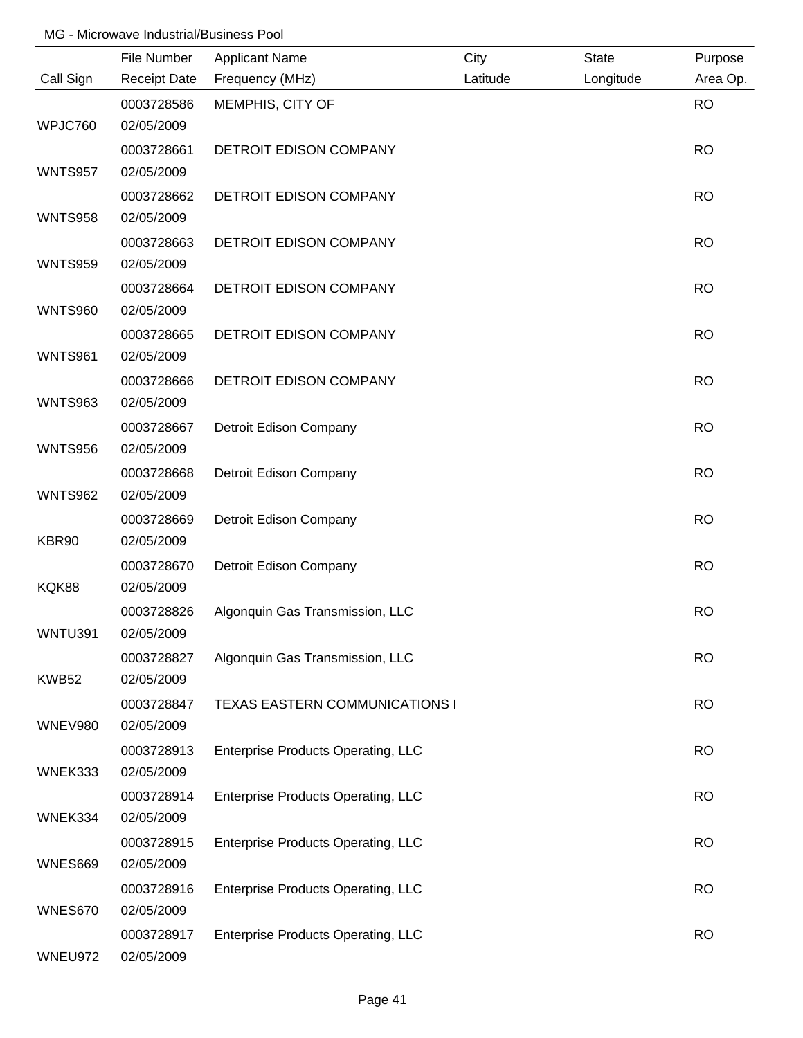|                | File Number         | <b>Applicant Name</b>                     | City     | <b>State</b> | Purpose   |
|----------------|---------------------|-------------------------------------------|----------|--------------|-----------|
| Call Sign      | <b>Receipt Date</b> | Frequency (MHz)                           | Latitude | Longitude    | Area Op.  |
|                | 0003728586          | MEMPHIS, CITY OF                          |          |              | <b>RO</b> |
| WPJC760        | 02/05/2009          |                                           |          |              |           |
|                | 0003728661          | DETROIT EDISON COMPANY                    |          |              | <b>RO</b> |
| <b>WNTS957</b> | 02/05/2009          |                                           |          |              |           |
|                | 0003728662          | DETROIT EDISON COMPANY                    |          |              | <b>RO</b> |
| <b>WNTS958</b> | 02/05/2009          |                                           |          |              |           |
|                | 0003728663          | DETROIT EDISON COMPANY                    |          |              | <b>RO</b> |
| <b>WNTS959</b> | 02/05/2009          |                                           |          |              |           |
|                | 0003728664          | DETROIT EDISON COMPANY                    |          |              | <b>RO</b> |
| <b>WNTS960</b> | 02/05/2009          |                                           |          |              |           |
|                | 0003728665          | DETROIT EDISON COMPANY                    |          |              | <b>RO</b> |
| <b>WNTS961</b> | 02/05/2009          |                                           |          |              |           |
|                | 0003728666          | DETROIT EDISON COMPANY                    |          |              | <b>RO</b> |
| <b>WNTS963</b> | 02/05/2009          |                                           |          |              |           |
|                | 0003728667          | Detroit Edison Company                    |          |              | <b>RO</b> |
| <b>WNTS956</b> | 02/05/2009          |                                           |          |              |           |
|                | 0003728668          | Detroit Edison Company                    |          |              | <b>RO</b> |
| <b>WNTS962</b> | 02/05/2009          |                                           |          |              |           |
|                | 0003728669          | Detroit Edison Company                    |          |              | <b>RO</b> |
| KBR90          | 02/05/2009          |                                           |          |              |           |
|                | 0003728670          | Detroit Edison Company                    |          |              | <b>RO</b> |
| KQK88          | 02/05/2009          |                                           |          |              |           |
|                | 0003728826          | Algonquin Gas Transmission, LLC           |          |              | <b>RO</b> |
| WNTU391        | 02/05/2009          |                                           |          |              |           |
|                | 0003728827          | Algonquin Gas Transmission, LLC           |          |              | <b>RO</b> |
| KWB52          | 02/05/2009          |                                           |          |              |           |
|                | 0003728847          | TEXAS EASTERN COMMUNICATIONS I            |          |              | <b>RO</b> |
| <b>WNEV980</b> | 02/05/2009          |                                           |          |              |           |
|                | 0003728913          | <b>Enterprise Products Operating, LLC</b> |          |              | <b>RO</b> |
| WNEK333        | 02/05/2009          |                                           |          |              |           |
|                | 0003728914          | <b>Enterprise Products Operating, LLC</b> |          |              | <b>RO</b> |
| WNEK334        | 02/05/2009          |                                           |          |              |           |
|                | 0003728915          | <b>Enterprise Products Operating, LLC</b> |          |              | <b>RO</b> |
| <b>WNES669</b> | 02/05/2009          |                                           |          |              |           |
|                | 0003728916          | <b>Enterprise Products Operating, LLC</b> |          |              | <b>RO</b> |
| WNES670        | 02/05/2009          |                                           |          |              |           |
|                | 0003728917          | <b>Enterprise Products Operating, LLC</b> |          |              | <b>RO</b> |
| WNEU972        | 02/05/2009          |                                           |          |              |           |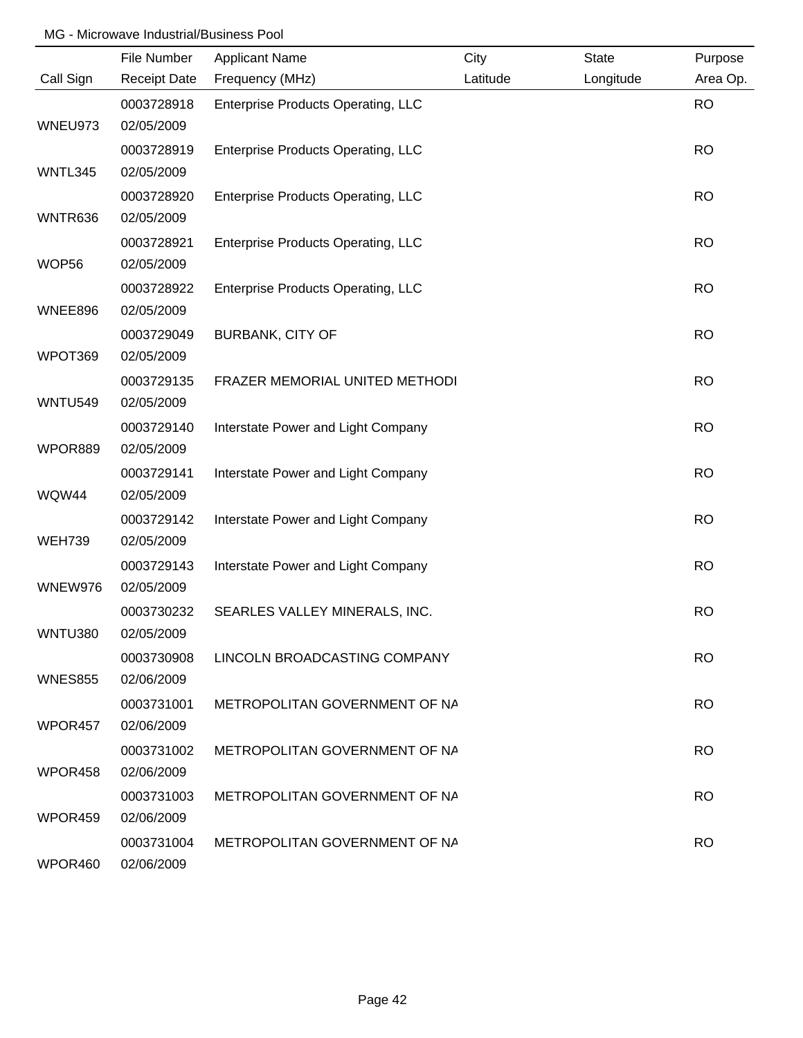|                | File Number         | <b>Applicant Name</b>                     | City     | <b>State</b> | Purpose   |
|----------------|---------------------|-------------------------------------------|----------|--------------|-----------|
| Call Sign      | <b>Receipt Date</b> | Frequency (MHz)                           | Latitude | Longitude    | Area Op.  |
|                | 0003728918          | <b>Enterprise Products Operating, LLC</b> |          |              | <b>RO</b> |
| WNEU973        | 02/05/2009          |                                           |          |              |           |
|                | 0003728919          | <b>Enterprise Products Operating, LLC</b> |          |              | <b>RO</b> |
| WNTL345        | 02/05/2009          |                                           |          |              |           |
|                | 0003728920          | <b>Enterprise Products Operating, LLC</b> |          |              | <b>RO</b> |
| WNTR636        | 02/05/2009          |                                           |          |              |           |
|                | 0003728921          | <b>Enterprise Products Operating, LLC</b> |          |              | <b>RO</b> |
| WOP56          | 02/05/2009          |                                           |          |              |           |
|                | 0003728922          | <b>Enterprise Products Operating, LLC</b> |          |              | <b>RO</b> |
| WNEE896        | 02/05/2009          |                                           |          |              |           |
|                | 0003729049          | <b>BURBANK, CITY OF</b>                   |          |              | <b>RO</b> |
| WPOT369        | 02/05/2009          |                                           |          |              |           |
|                | 0003729135          | FRAZER MEMORIAL UNITED METHODI            |          |              | <b>RO</b> |
| <b>WNTU549</b> | 02/05/2009          |                                           |          |              |           |
|                | 0003729140          | Interstate Power and Light Company        |          |              | <b>RO</b> |
| WPOR889        | 02/05/2009          |                                           |          |              |           |
|                | 0003729141          | Interstate Power and Light Company        |          |              | <b>RO</b> |
| WQW44          | 02/05/2009          |                                           |          |              |           |
|                | 0003729142          | Interstate Power and Light Company        |          |              | <b>RO</b> |
| <b>WEH739</b>  | 02/05/2009          |                                           |          |              |           |
|                | 0003729143          | Interstate Power and Light Company        |          |              | <b>RO</b> |
| WNEW976        | 02/05/2009          |                                           |          |              |           |
|                | 0003730232          | SEARLES VALLEY MINERALS, INC.             |          |              | <b>RO</b> |
| <b>WNTU380</b> | 02/05/2009          |                                           |          |              |           |
|                | 0003730908          | LINCOLN BROADCASTING COMPANY              |          |              | <b>RO</b> |
| <b>WNES855</b> | 02/06/2009          |                                           |          |              |           |
|                | 0003731001          | METROPOLITAN GOVERNMENT OF NA             |          |              | <b>RO</b> |
| WPOR457        | 02/06/2009          |                                           |          |              |           |
|                | 0003731002          | METROPOLITAN GOVERNMENT OF NA             |          |              | <b>RO</b> |
| WPOR458        | 02/06/2009          |                                           |          |              |           |
|                | 0003731003          | METROPOLITAN GOVERNMENT OF NA             |          |              | <b>RO</b> |
| WPOR459        | 02/06/2009          |                                           |          |              |           |
|                | 0003731004          | METROPOLITAN GOVERNMENT OF NA             |          |              | <b>RO</b> |
| WPOR460        | 02/06/2009          |                                           |          |              |           |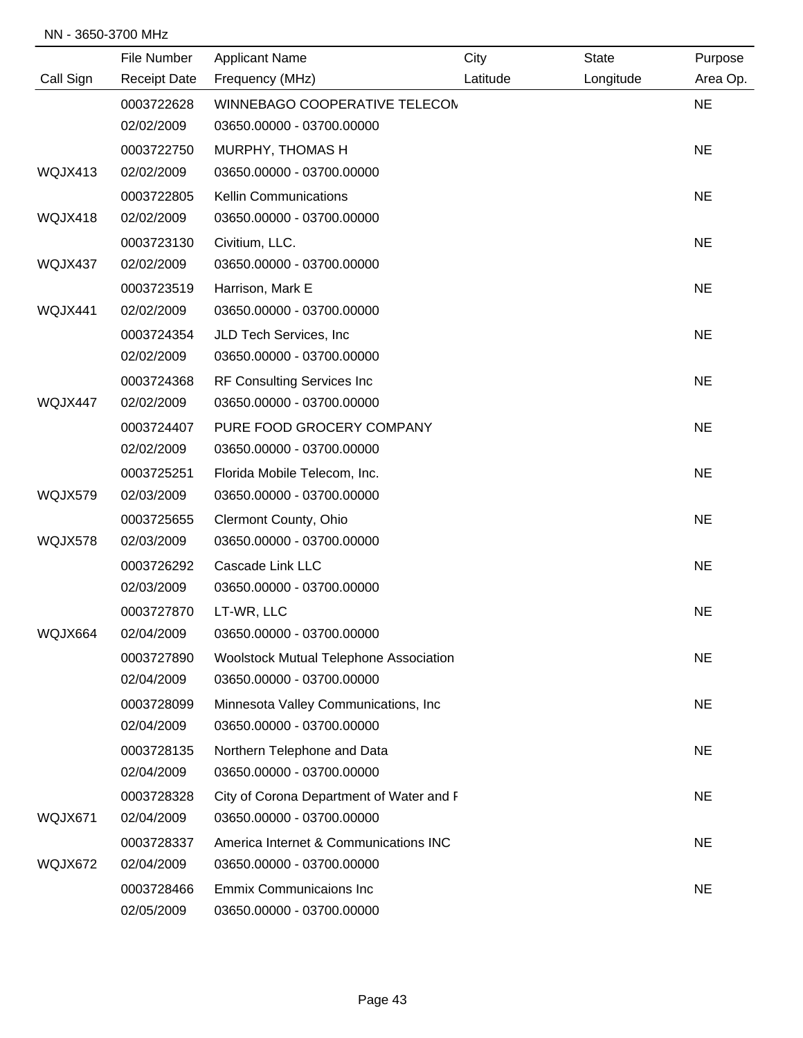#### NN - 3650-3700 MHz

|           | File Number         | <b>Applicant Name</b>                         | City     | <b>State</b> | Purpose   |
|-----------|---------------------|-----------------------------------------------|----------|--------------|-----------|
| Call Sign | <b>Receipt Date</b> | Frequency (MHz)                               | Latitude | Longitude    | Area Op.  |
|           | 0003722628          | WINNEBAGO COOPERATIVE TELECON                 |          |              | <b>NE</b> |
|           | 02/02/2009          | 03650.00000 - 03700.00000                     |          |              |           |
|           | 0003722750          | MURPHY, THOMAS H                              |          |              | <b>NE</b> |
| WQJX413   | 02/02/2009          | 03650.00000 - 03700.00000                     |          |              |           |
|           | 0003722805          | <b>Kellin Communications</b>                  |          |              | <b>NE</b> |
| WQJX418   | 02/02/2009          | 03650.00000 - 03700.00000                     |          |              |           |
|           | 0003723130          | Civitium, LLC.                                |          |              | <b>NE</b> |
| WQJX437   | 02/02/2009          | 03650.00000 - 03700.00000                     |          |              |           |
|           | 0003723519          | Harrison, Mark E                              |          |              | <b>NE</b> |
| WQJX441   | 02/02/2009          | 03650.00000 - 03700.00000                     |          |              |           |
|           | 0003724354          | JLD Tech Services, Inc                        |          |              | <b>NE</b> |
|           | 02/02/2009          | 03650.00000 - 03700.00000                     |          |              |           |
|           | 0003724368          | <b>RF Consulting Services Inc</b>             |          |              | <b>NE</b> |
| WQJX447   | 02/02/2009          | 03650.00000 - 03700.00000                     |          |              |           |
|           | 0003724407          | PURE FOOD GROCERY COMPANY                     |          |              | <b>NE</b> |
|           | 02/02/2009          | 03650.00000 - 03700.00000                     |          |              |           |
|           | 0003725251          | Florida Mobile Telecom, Inc.                  |          |              | <b>NE</b> |
| WQJX579   | 02/03/2009          | 03650.00000 - 03700.00000                     |          |              |           |
|           | 0003725655          | Clermont County, Ohio                         |          |              | <b>NE</b> |
| WQJX578   | 02/03/2009          | 03650.00000 - 03700.00000                     |          |              |           |
|           | 0003726292          | Cascade Link LLC                              |          |              | <b>NE</b> |
|           | 02/03/2009          | 03650.00000 - 03700.00000                     |          |              |           |
|           | 0003727870          | LT-WR, LLC                                    |          |              | <b>NE</b> |
| WQJX664   | 02/04/2009          | 03650.00000 - 03700.00000                     |          |              |           |
|           | 0003727890          | <b>Woolstock Mutual Telephone Association</b> |          |              | <b>NE</b> |
|           | 02/04/2009          | 03650.00000 - 03700.00000                     |          |              |           |
|           | 0003728099          | Minnesota Valley Communications, Inc          |          |              | <b>NE</b> |
|           | 02/04/2009          | 03650.00000 - 03700.00000                     |          |              |           |
|           | 0003728135          | Northern Telephone and Data                   |          |              | <b>NE</b> |
|           | 02/04/2009          | 03650.00000 - 03700.00000                     |          |              |           |
|           | 0003728328          | City of Corona Department of Water and F      |          |              | <b>NE</b> |
| WQJX671   | 02/04/2009          | 03650.00000 - 03700.00000                     |          |              |           |
|           | 0003728337          | America Internet & Communications INC         |          |              | <b>NE</b> |
| WQJX672   | 02/04/2009          | 03650.00000 - 03700.00000                     |          |              |           |
|           | 0003728466          | <b>Emmix Communicaions Inc</b>                |          |              | <b>NE</b> |
|           | 02/05/2009          | 03650.00000 - 03700.00000                     |          |              |           |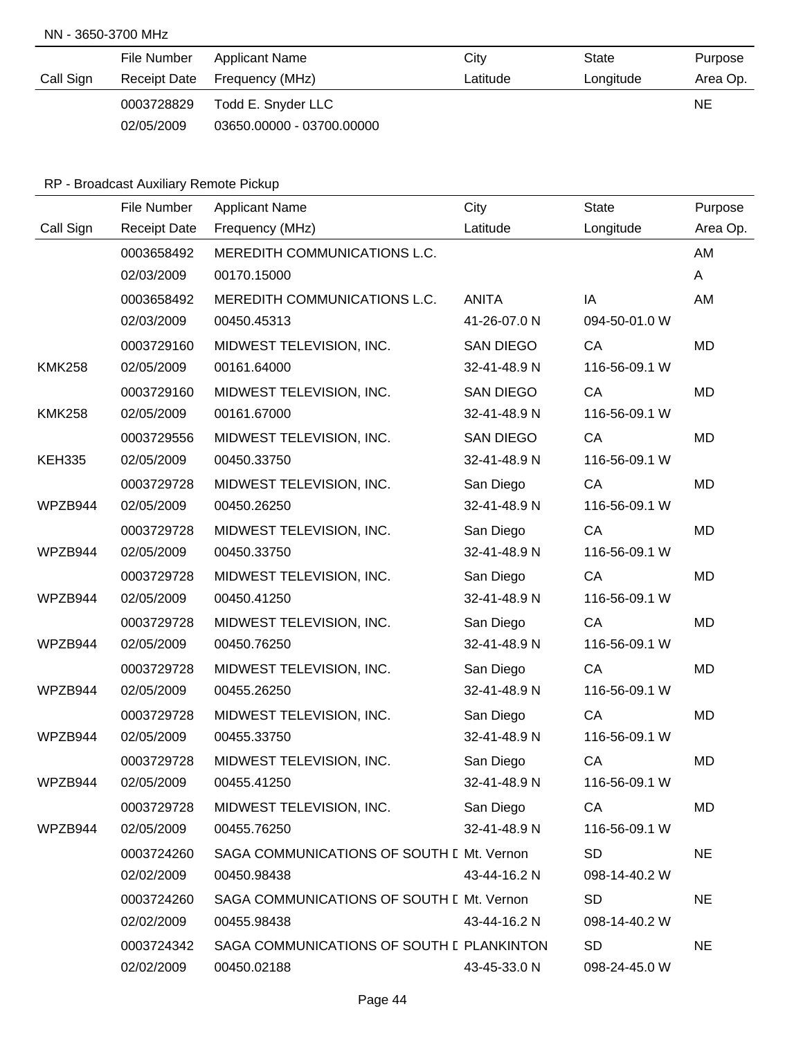NN - 3650-3700 MHz

|           | File Number  | <b>Applicant Name</b>     | City     | State     | Purpose  |
|-----------|--------------|---------------------------|----------|-----------|----------|
| Call Sign | Receipt Date | Frequency (MHz)           | Latitude | Longitude | Area Op. |
|           | 0003728829   | Todd E. Snyder LLC        |          |           | NE.      |
|           | 02/05/2009   | 03650.00000 - 03700.00000 |          |           |          |

# RP - Broadcast Auxiliary Remote Pickup

|               | File Number         | <b>Applicant Name</b>                     | City             | <b>State</b>  | Purpose   |
|---------------|---------------------|-------------------------------------------|------------------|---------------|-----------|
| Call Sign     | <b>Receipt Date</b> | Frequency (MHz)                           | Latitude         | Longitude     | Area Op.  |
|               | 0003658492          | MEREDITH COMMUNICATIONS L.C.              |                  |               | AM        |
|               | 02/03/2009          | 00170.15000                               |                  |               | A         |
|               | 0003658492          | MEREDITH COMMUNICATIONS L.C.              | <b>ANITA</b>     | IA            | AM        |
|               | 02/03/2009          | 00450.45313                               | 41-26-07.0 N     | 094-50-01.0 W |           |
|               | 0003729160          | MIDWEST TELEVISION, INC.                  | <b>SAN DIEGO</b> | CA            | MD        |
| <b>KMK258</b> | 02/05/2009          | 00161.64000                               | 32-41-48.9 N     | 116-56-09.1 W |           |
|               | 0003729160          | MIDWEST TELEVISION, INC.                  | <b>SAN DIEGO</b> | CA            | <b>MD</b> |
| <b>KMK258</b> | 02/05/2009          | 00161.67000                               | 32-41-48.9 N     | 116-56-09.1 W |           |
|               | 0003729556          | MIDWEST TELEVISION, INC.                  | <b>SAN DIEGO</b> | CA            | <b>MD</b> |
| <b>KEH335</b> | 02/05/2009          | 00450.33750                               | 32-41-48.9 N     | 116-56-09.1 W |           |
|               | 0003729728          | MIDWEST TELEVISION, INC.                  | San Diego        | CA            | <b>MD</b> |
| WPZB944       | 02/05/2009          | 00450.26250                               | 32-41-48.9 N     | 116-56-09.1 W |           |
|               | 0003729728          | MIDWEST TELEVISION, INC.                  | San Diego        | CA            | <b>MD</b> |
| WPZB944       | 02/05/2009          | 00450.33750                               | 32-41-48.9 N     | 116-56-09.1 W |           |
|               | 0003729728          | MIDWEST TELEVISION, INC.                  | San Diego        | CA            | <b>MD</b> |
| WPZB944       | 02/05/2009          | 00450.41250                               | 32-41-48.9 N     | 116-56-09.1 W |           |
|               | 0003729728          | MIDWEST TELEVISION, INC.                  | San Diego        | CA            | <b>MD</b> |
| WPZB944       | 02/05/2009          | 00450.76250                               | 32-41-48.9 N     | 116-56-09.1 W |           |
|               | 0003729728          | MIDWEST TELEVISION, INC.                  | San Diego        | CA            | <b>MD</b> |
| WPZB944       | 02/05/2009          | 00455.26250                               | 32-41-48.9 N     | 116-56-09.1 W |           |
|               | 0003729728          | MIDWEST TELEVISION, INC.                  | San Diego        | CA            | MD        |
| WPZB944       | 02/05/2009          | 00455.33750                               | 32-41-48.9 N     | 116-56-09.1 W |           |
|               | 0003729728          | MIDWEST TELEVISION, INC.                  | San Diego        | CA            | <b>MD</b> |
| WPZB944       | 02/05/2009          | 00455.41250                               | 32-41-48.9 N     | 116-56-09.1 W |           |
|               | 0003729728          | MIDWEST TELEVISION, INC.                  | San Diego        | CA            | MD        |
| WPZB944       | 02/05/2009          | 00455.76250                               | 32-41-48.9 N     | 116-56-09.1 W |           |
|               | 0003724260          | SAGA COMMUNICATIONS OF SOUTH I Mt. Vernon |                  | <b>SD</b>     | <b>NE</b> |
|               | 02/02/2009          | 00450.98438                               | 43-44-16.2 N     | 098-14-40.2 W |           |
|               | 0003724260          | SAGA COMMUNICATIONS OF SOUTH I Mt. Vernon |                  | <b>SD</b>     | <b>NE</b> |
|               | 02/02/2009          | 00455.98438                               | 43-44-16.2 N     | 098-14-40.2 W |           |
|               | 0003724342          | SAGA COMMUNICATIONS OF SOUTH I PLANKINTON |                  | <b>SD</b>     | <b>NE</b> |
|               | 02/02/2009          | 00450.02188                               | 43-45-33.0 N     | 098-24-45.0 W |           |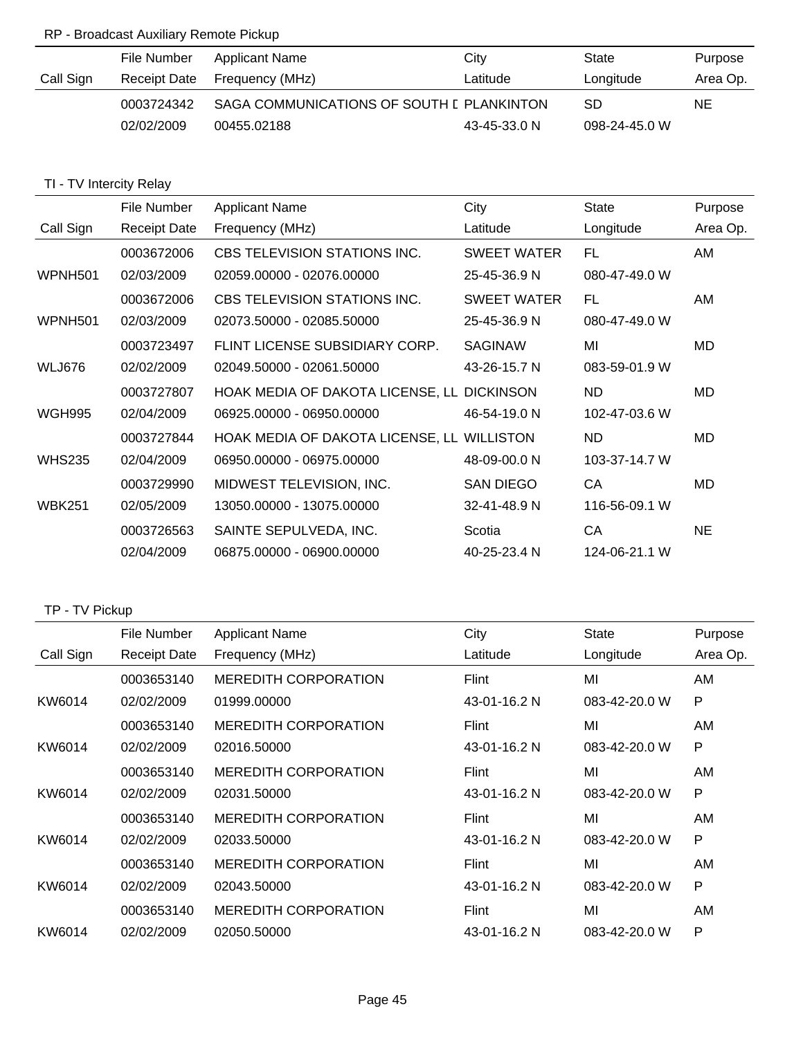# RP - Broadcast Auxiliary Remote Pickup

|           | File Number  | Applicant Name                            | City         | State         | Purpose  |
|-----------|--------------|-------------------------------------------|--------------|---------------|----------|
| Call Sign | Receipt Date | Frequency (MHz)                           | Latitude     | Longitude     | Area Op. |
|           | 0003724342   | SAGA COMMUNICATIONS OF SOUTH I PLANKINTON |              | SD            | NE       |
|           | 02/02/2009   | 00455.02188                               | 43-45-33.0 N | 098-24-45.0 W |          |

# TI - TV Intercity Relay

|                     | File Number         | <b>Applicant Name</b>            | City               | <b>State</b>  | Purpose  |
|---------------------|---------------------|----------------------------------|--------------------|---------------|----------|
| Call Sign           | <b>Receipt Date</b> | Frequency (MHz)                  | Latitude           | Longitude     | Area Op. |
|                     | 0003672006          | CBS TELEVISION STATIONS INC.     | <b>SWEET WATER</b> | FL.           | AM       |
| WPNH <sub>501</sub> | 02/03/2009          | 02059.00000 - 02076.00000        | 25-45-36.9 N       | 080-47-49.0 W |          |
|                     | 0003672006          | CBS TELEVISION STATIONS INC.     | <b>SWEET WATER</b> | FL            | AM       |
| WPNH <sub>501</sub> | 02/03/2009          | 02073.50000 - 02085.50000        | 25-45-36.9 N       | 080-47-49.0 W |          |
|                     | 0003723497          | FLINT LICENSE SUBSIDIARY CORP.   | <b>SAGINAW</b>     | MI            | MD       |
| WLJ676              | 02/02/2009          | 02049.50000 - 02061.50000        | 43-26-15.7 N       | 083-59-01.9 W |          |
|                     | 0003727807          | HOAK MEDIA OF DAKOTA LICENSE, LL | <b>DICKINSON</b>   | <b>ND</b>     | MD       |
| <b>WGH995</b>       | 02/04/2009          | 06925.00000 - 06950.00000        | 46-54-19.0 N       | 102-47-03.6 W |          |
|                     | 0003727844          | HOAK MEDIA OF DAKOTA LICENSE, LL | <b>WILLISTON</b>   | <b>ND</b>     | MD       |
| <b>WHS235</b>       | 02/04/2009          | 06950.00000 - 06975.00000        | 48-09-00.0 N       | 103-37-14.7 W |          |
|                     | 0003729990          | MIDWEST TELEVISION, INC.         | <b>SAN DIEGO</b>   | CA            | MD       |
| <b>WBK251</b>       | 02/05/2009          | 13050.00000 - 13075.00000        | 32-41-48.9 N       | 116-56-09.1 W |          |
|                     | 0003726563          | SAINTE SEPULVEDA, INC.           | Scotia             | CA            | NE.      |
|                     | 02/04/2009          | 06875.00000 - 06900.00000        | 40-25-23.4 N       | 124-06-21.1 W |          |

## TP - TV Pickup

|           | File Number         | <b>Applicant Name</b>       | City         | <b>State</b>  | Purpose      |
|-----------|---------------------|-----------------------------|--------------|---------------|--------------|
| Call Sign | <b>Receipt Date</b> | Frequency (MHz)             | Latitude     | Longitude     | Area Op.     |
|           | 0003653140          | <b>MEREDITH CORPORATION</b> | Flint        | MI            | AM           |
| KW6014    | 02/02/2009          | 01999.00000                 | 43-01-16.2 N | 083-42-20.0 W | $\mathsf{P}$ |
|           | 0003653140          | <b>MEREDITH CORPORATION</b> | Flint        | MI            | AM           |
| KW6014    | 02/02/2009          | 02016.50000                 | 43-01-16.2 N | 083-42-20.0 W | $\mathsf{P}$ |
|           | 0003653140          | <b>MEREDITH CORPORATION</b> | Flint        | MI            | AM           |
| KW6014    | 02/02/2009          | 02031.50000                 | 43-01-16.2 N | 083-42-20.0 W | P            |
|           | 0003653140          | <b>MEREDITH CORPORATION</b> | Flint        | MI            | AM           |
| KW6014    | 02/02/2009          | 02033.50000                 | 43-01-16.2 N | 083-42-20.0 W | $\mathsf{P}$ |
|           | 0003653140          | <b>MEREDITH CORPORATION</b> | Flint        | MI            | AM           |
| KW6014    | 02/02/2009          | 02043.50000                 | 43-01-16.2 N | 083-42-20.0 W | P            |
|           | 0003653140          | <b>MEREDITH CORPORATION</b> | Flint        | MI            | AM           |
| KW6014    | 02/02/2009          | 02050.50000                 | 43-01-16.2 N | 083-42-20.0 W | P            |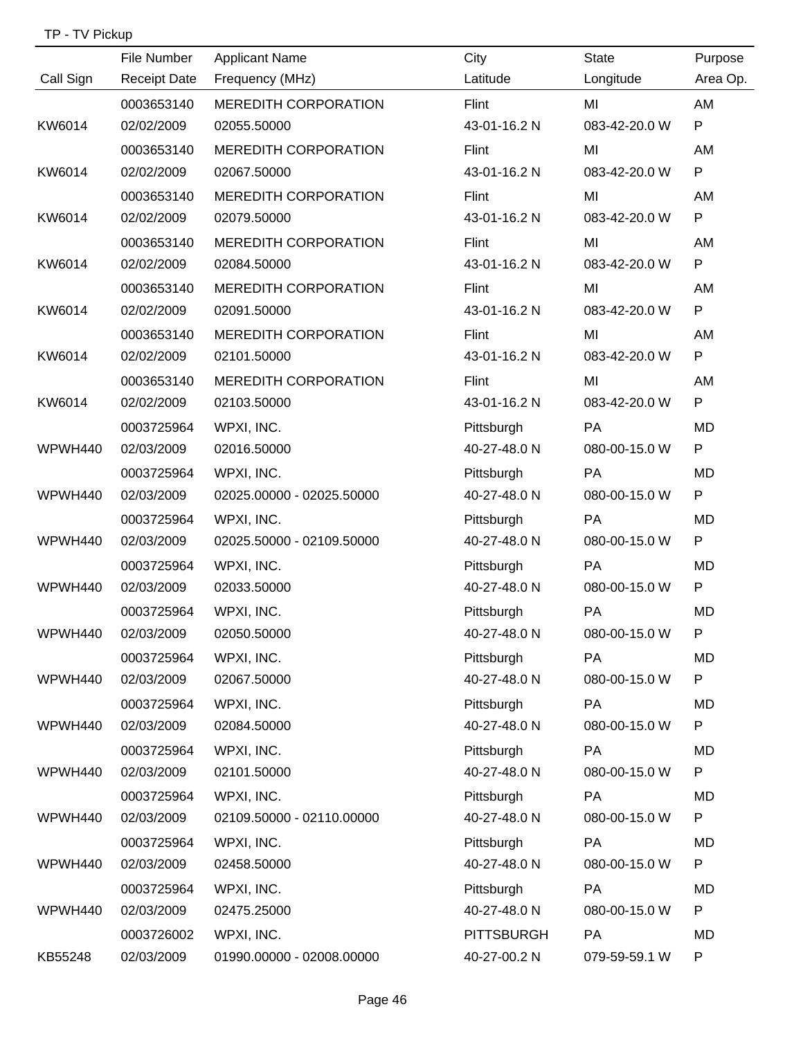|           | File Number         | <b>Applicant Name</b>       | City              | State         | Purpose   |
|-----------|---------------------|-----------------------------|-------------------|---------------|-----------|
| Call Sign | <b>Receipt Date</b> | Frequency (MHz)             | Latitude          | Longitude     | Area Op.  |
|           | 0003653140          | <b>MEREDITH CORPORATION</b> | Flint             | MI            | AM        |
| KW6014    | 02/02/2009          | 02055.50000                 | 43-01-16.2 N      | 083-42-20.0 W | P         |
|           | 0003653140          | <b>MEREDITH CORPORATION</b> | Flint             | MI            | AM        |
| KW6014    | 02/02/2009          | 02067.50000                 | 43-01-16.2 N      | 083-42-20.0 W | P         |
|           | 0003653140          | <b>MEREDITH CORPORATION</b> | Flint             | MI            | AM        |
| KW6014    | 02/02/2009          | 02079.50000                 | 43-01-16.2 N      | 083-42-20.0 W | P         |
|           | 0003653140          | <b>MEREDITH CORPORATION</b> | Flint             | MI            | AM        |
| KW6014    | 02/02/2009          | 02084.50000                 | 43-01-16.2 N      | 083-42-20.0 W | P         |
|           | 0003653140          | <b>MEREDITH CORPORATION</b> | Flint             | MI            | AM        |
| KW6014    | 02/02/2009          | 02091.50000                 | 43-01-16.2 N      | 083-42-20.0 W | P         |
|           | 0003653140          | <b>MEREDITH CORPORATION</b> | Flint             | MI            | AM        |
| KW6014    | 02/02/2009          | 02101.50000                 | 43-01-16.2 N      | 083-42-20.0 W | P         |
|           | 0003653140          | <b>MEREDITH CORPORATION</b> | Flint             | MI            | AM        |
| KW6014    | 02/02/2009          | 02103.50000                 | 43-01-16.2 N      | 083-42-20.0 W | P         |
|           | 0003725964          | WPXI, INC.                  | Pittsburgh        | PA            | MD        |
| WPWH440   | 02/03/2009          | 02016.50000                 | 40-27-48.0 N      | 080-00-15.0 W | P         |
|           | 0003725964          | WPXI, INC.                  | Pittsburgh        | <b>PA</b>     | MD        |
| WPWH440   | 02/03/2009          | 02025.00000 - 02025.50000   | 40-27-48.0 N      | 080-00-15.0 W | P         |
|           | 0003725964          | WPXI, INC.                  | Pittsburgh        | PA            | MD        |
| WPWH440   | 02/03/2009          | 02025.50000 - 02109.50000   | 40-27-48.0 N      | 080-00-15.0 W | P         |
|           | 0003725964          | WPXI, INC.                  | Pittsburgh        | PA            | MD        |
| WPWH440   | 02/03/2009          | 02033.50000                 | 40-27-48.0 N      | 080-00-15.0 W | P         |
|           | 0003725964          | WPXI, INC.                  | Pittsburgh        | PA            | <b>MD</b> |
| WPWH440   | 02/03/2009          | 02050.50000                 | 40-27-48.0 N      | 080-00-15.0 W | P         |
|           | 0003725964          | WPXI, INC.                  | Pittsburgh        | <b>PA</b>     | MD        |
| WPWH440   | 02/03/2009          | 02067.50000                 | 40-27-48.0 N      | 080-00-15.0 W | P         |
|           | 0003725964          | WPXI, INC.                  | Pittsburgh        | <b>PA</b>     | MD        |
| WPWH440   | 02/03/2009          | 02084.50000                 | 40-27-48.0 N      | 080-00-15.0 W | P         |
|           | 0003725964          | WPXI, INC.                  | Pittsburgh        | <b>PA</b>     | MD        |
| WPWH440   | 02/03/2009          | 02101.50000                 | 40-27-48.0 N      | 080-00-15.0 W | P         |
|           | 0003725964          | WPXI, INC.                  | Pittsburgh        | PA            | MD        |
| WPWH440   | 02/03/2009          | 02109.50000 - 02110.00000   | 40-27-48.0 N      | 080-00-15.0 W | P         |
|           | 0003725964          | WPXI, INC.                  | Pittsburgh        | PA            | MD        |
| WPWH440   | 02/03/2009          | 02458.50000                 | 40-27-48.0 N      | 080-00-15.0 W | P         |
|           | 0003725964          | WPXI, INC.                  | Pittsburgh        | <b>PA</b>     | MD        |
| WPWH440   | 02/03/2009          | 02475.25000                 | 40-27-48.0 N      | 080-00-15.0 W | P         |
|           | 0003726002          | WPXI, INC.                  | <b>PITTSBURGH</b> | <b>PA</b>     | MD        |
| KB55248   | 02/03/2009          | 01990.00000 - 02008.00000   | 40-27-00.2 N      | 079-59-59.1 W | P         |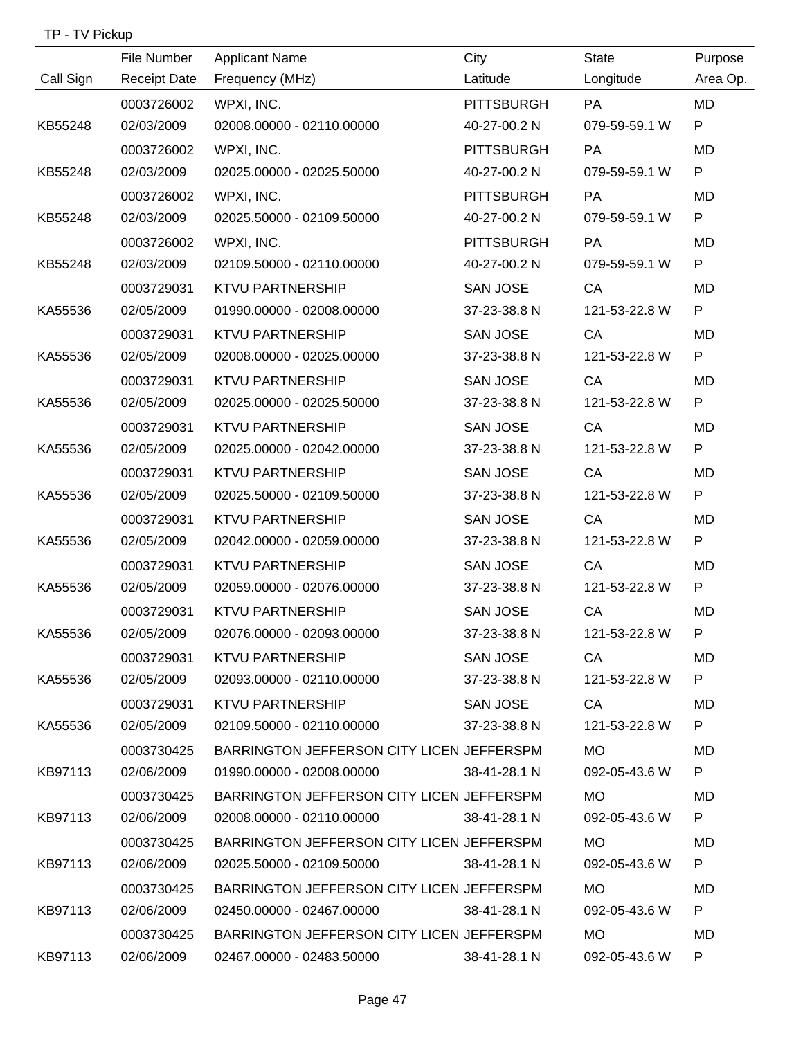# TP - TV Pickup

|           | File Number         | <b>Applicant Name</b>                     | City              | State         | Purpose   |
|-----------|---------------------|-------------------------------------------|-------------------|---------------|-----------|
| Call Sign | <b>Receipt Date</b> | Frequency (MHz)                           | Latitude          | Longitude     | Area Op.  |
|           | 0003726002          | WPXI, INC.                                | PITTSBURGH        | <b>PA</b>     | <b>MD</b> |
| KB55248   | 02/03/2009          | 02008.00000 - 02110.00000                 | 40-27-00.2 N      | 079-59-59.1 W | P         |
|           | 0003726002          | WPXI, INC.                                | <b>PITTSBURGH</b> | <b>PA</b>     | MD        |
| KB55248   | 02/03/2009          | 02025.00000 - 02025.50000                 | 40-27-00.2 N      | 079-59-59.1 W | P         |
|           | 0003726002          | WPXI, INC.                                | <b>PITTSBURGH</b> | <b>PA</b>     | MD        |
| KB55248   | 02/03/2009          | 02025.50000 - 02109.50000                 | 40-27-00.2 N      | 079-59-59.1 W | P         |
|           | 0003726002          | WPXI, INC.                                | <b>PITTSBURGH</b> | <b>PA</b>     | MD        |
| KB55248   | 02/03/2009          | 02109.50000 - 02110.00000                 | 40-27-00.2 N      | 079-59-59.1 W | P         |
|           | 0003729031          | KTVU PARTNERSHIP                          | SAN JOSE          | CA            | MD        |
| KA55536   | 02/05/2009          | 01990.00000 - 02008.00000                 | 37-23-38.8 N      | 121-53-22.8 W | P         |
|           | 0003729031          | <b>KTVU PARTNERSHIP</b>                   | SAN JOSE          | CA            | MD        |
| KA55536   | 02/05/2009          | 02008.00000 - 02025.00000                 | 37-23-38.8 N      | 121-53-22.8 W | P         |
|           | 0003729031          | KTVU PARTNERSHIP                          | SAN JOSE          | CA            | MD        |
| KA55536   | 02/05/2009          | 02025.00000 - 02025.50000                 | 37-23-38.8 N      | 121-53-22.8 W | P         |
|           | 0003729031          | <b>KTVU PARTNERSHIP</b>                   | SAN JOSE          | CA            | MD        |
| KA55536   | 02/05/2009          | 02025.00000 - 02042.00000                 | 37-23-38.8 N      | 121-53-22.8 W | P         |
|           | 0003729031          | <b>KTVU PARTNERSHIP</b>                   | SAN JOSE          | CA            | MD        |
| KA55536   | 02/05/2009          | 02025.50000 - 02109.50000                 | 37-23-38.8 N      | 121-53-22.8 W | P         |
|           | 0003729031          | KTVU PARTNERSHIP                          | SAN JOSE          | CA            | MD        |
| KA55536   | 02/05/2009          | 02042.00000 - 02059.00000                 | 37-23-38.8 N      | 121-53-22.8 W | P         |
|           | 0003729031          | <b>KTVU PARTNERSHIP</b>                   | SAN JOSE          | CA            | MD        |
| KA55536   | 02/05/2009          | 02059.00000 - 02076.00000                 | 37-23-38.8 N      | 121-53-22.8 W | P         |
|           | 0003729031          | <b>KTVU PARTNERSHIP</b>                   | SAN JOSE          | CA            | MD        |
| KA55536   | 02/05/2009          | 02076.00000 - 02093.00000                 | 37-23-38.8 N      | 121-53-22.8 W | P.        |
|           | 0003729031          | KTVU PARTNERSHIP                          | <b>SAN JOSE</b>   | CA            | MD        |
| KA55536   | 02/05/2009          | 02093.00000 - 02110.00000                 | 37-23-38.8 N      | 121-53-22.8 W | P         |
|           | 0003729031          | <b>KTVU PARTNERSHIP</b>                   | SAN JOSE          | <b>CA</b>     | MD        |
| KA55536   | 02/05/2009          | 02109.50000 - 02110.00000                 | 37-23-38.8 N      | 121-53-22.8 W | P.        |
|           | 0003730425          | BARRINGTON JEFFERSON CITY LICEN JEFFERSPM |                   | MO.           | MD        |
| KB97113   | 02/06/2009          | 01990.00000 - 02008.00000                 | 38-41-28.1 N      | 092-05-43.6 W | P.        |
|           | 0003730425          | BARRINGTON JEFFERSON CITY LICEN JEFFERSPM |                   | <b>MO</b>     | MD        |
| KB97113   | 02/06/2009          | 02008.00000 - 02110.00000                 | 38-41-28.1 N      | 092-05-43.6 W | P.        |
|           | 0003730425          | BARRINGTON JEFFERSON CITY LICEN JEFFERSPM |                   | MO.           | MD        |
| KB97113   | 02/06/2009          | 02025.50000 - 02109.50000                 | 38-41-28.1 N      | 092-05-43.6 W | P.        |
|           | 0003730425          | BARRINGTON JEFFERSON CITY LICEN JEFFERSPM |                   | <b>MO</b>     | MD        |
| KB97113   | 02/06/2009          | 02450.00000 - 02467.00000                 | 38-41-28.1 N      | 092-05-43.6 W | P         |
|           | 0003730425          | BARRINGTON JEFFERSON CITY LICEN JEFFERSPM |                   | <b>MO</b>     | MD        |
| KB97113   | 02/06/2009          | 02467.00000 - 02483.50000 38-41-28.1 N    |                   | 092-05-43.6 W | P.        |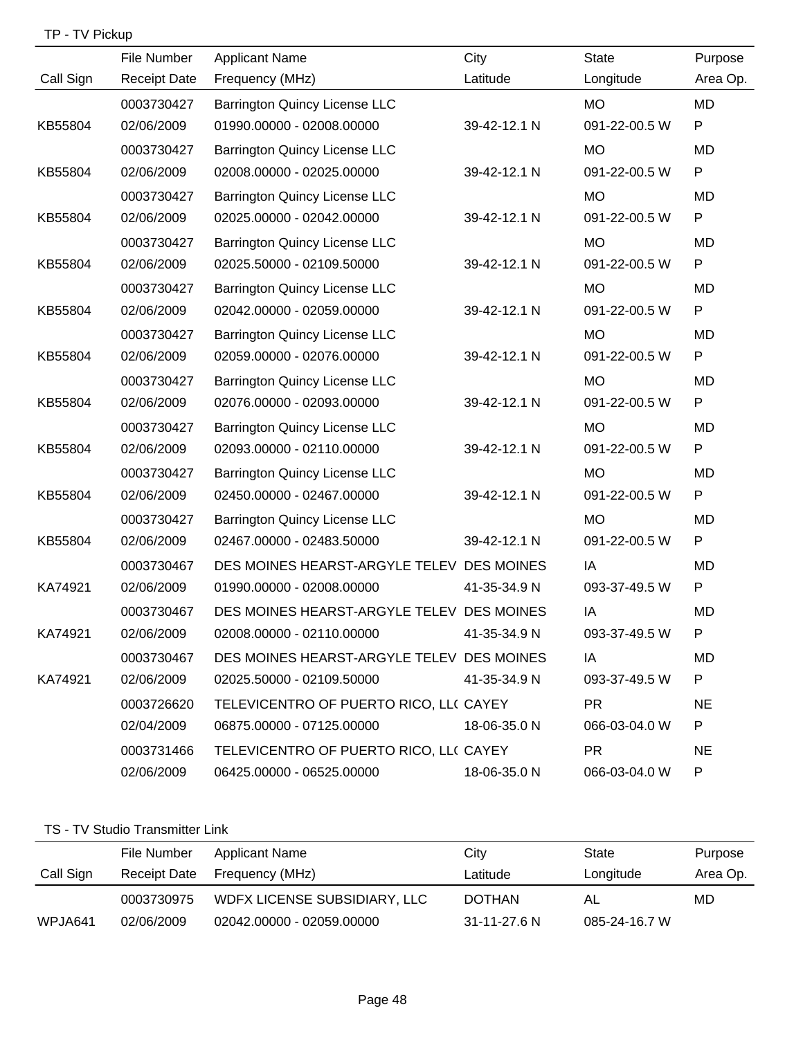| TP - TV Pickup |                     |                                           |              |               |           |
|----------------|---------------------|-------------------------------------------|--------------|---------------|-----------|
|                | File Number         | <b>Applicant Name</b>                     | City         | <b>State</b>  | Purpose   |
| Call Sign      | <b>Receipt Date</b> | Frequency (MHz)                           | Latitude     | Longitude     | Area Op.  |
|                | 0003730427          | <b>Barrington Quincy License LLC</b>      |              | <b>MO</b>     | <b>MD</b> |
| KB55804        | 02/06/2009          | 01990.00000 - 02008.00000                 | 39-42-12.1 N | 091-22-00.5 W | P         |
|                | 0003730427          | Barrington Quincy License LLC             |              | <b>MO</b>     | <b>MD</b> |
| KB55804        | 02/06/2009          | 02008.00000 - 02025.00000                 | 39-42-12.1 N | 091-22-00.5 W | P         |
|                | 0003730427          | Barrington Quincy License LLC             |              | <b>MO</b>     | MD        |
| KB55804        | 02/06/2009          | 02025.00000 - 02042.00000                 | 39-42-12.1 N | 091-22-00.5 W | P         |
|                | 0003730427          | Barrington Quincy License LLC             |              | <b>MO</b>     | MD        |
| KB55804        | 02/06/2009          | 02025.50000 - 02109.50000                 | 39-42-12.1 N | 091-22-00.5 W | P         |
|                | 0003730427          | Barrington Quincy License LLC             |              | <b>MO</b>     | MD        |
| KB55804        | 02/06/2009          | 02042.00000 - 02059.00000                 | 39-42-12.1 N | 091-22-00.5 W | P         |
|                | 0003730427          | Barrington Quincy License LLC             |              | <b>MO</b>     | MD        |
| KB55804        | 02/06/2009          | 02059.00000 - 02076.00000                 | 39-42-12.1 N | 091-22-00.5 W | ${\sf P}$ |
|                | 0003730427          | Barrington Quincy License LLC             |              | <b>MO</b>     | MD        |
| KB55804        | 02/06/2009          | 02076.00000 - 02093.00000                 | 39-42-12.1 N | 091-22-00.5 W | P         |
|                | 0003730427          | Barrington Quincy License LLC             |              | <b>MO</b>     | MD        |
| KB55804        | 02/06/2009          | 02093.00000 - 02110.00000                 | 39-42-12.1 N | 091-22-00.5 W | ${\sf P}$ |
|                | 0003730427          | Barrington Quincy License LLC             |              | <b>MO</b>     | <b>MD</b> |
| KB55804        | 02/06/2009          | 02450.00000 - 02467.00000                 | 39-42-12.1 N | 091-22-00.5 W | P         |
|                | 0003730427          | <b>Barrington Quincy License LLC</b>      |              | <b>MO</b>     | <b>MD</b> |
| KB55804        | 02/06/2009          | 02467.00000 - 02483.50000                 | 39-42-12.1 N | 091-22-00.5 W | P         |
|                | 0003730467          | DES MOINES HEARST-ARGYLE TELEV DES MOINES |              | IA            | MD        |
| KA74921        | 02/06/2009          | 01990.00000 - 02008.00000                 | 41-35-34.9 N | 093-37-49.5 W | P         |
|                | 0003730467          | DES MOINES HEARST-ARGYLE TELEV DES MOINES |              | ΙA            | MD        |
| KA74921        | 02/06/2009          | 02008.00000 - 02110.00000  41-35-34.9 N   |              | 093-37-49.5 W | P.        |
|                | 0003730467          | DES MOINES HEARST-ARGYLE TELEV DES MOINES |              | IA            | MD        |
| KA74921        | 02/06/2009          | 02025.50000 - 02109.50000                 | 41-35-34.9 N | 093-37-49.5 W | P         |
|                | 0003726620          | TELEVICENTRO OF PUERTO RICO, LL( CAYEY    |              | <b>PR</b>     | <b>NE</b> |
|                | 02/04/2009          | 06875.00000 - 07125.00000                 | 18-06-35.0 N | 066-03-04.0 W | P         |
|                | 0003731466          | TELEVICENTRO OF PUERTO RICO, LL( CAYEY    |              | <b>PR</b>     | <b>NE</b> |
|                | 02/06/2009          | 06425.00000 - 06525.00000 18-06-35.0 N    |              | 066-03-04.0 W | P.        |

#### TS - TV Studio Transmitter Link

|           | File Number  | Applicant Name               | City               | State         | Purpose  |
|-----------|--------------|------------------------------|--------------------|---------------|----------|
| Call Sign | Receipt Date | Frequency (MHz)              | Latitude           | Longitude     | Area Op. |
|           | 0003730975   | WDFX LICENSE SUBSIDIARY, LLC | <b>DOTHAN</b>      | AL            | MD       |
| WPJA641   | 02/06/2009   | 02042.00000 - 02059.00000    | $31 - 11 - 27.6$ N | 085-24-16.7 W |          |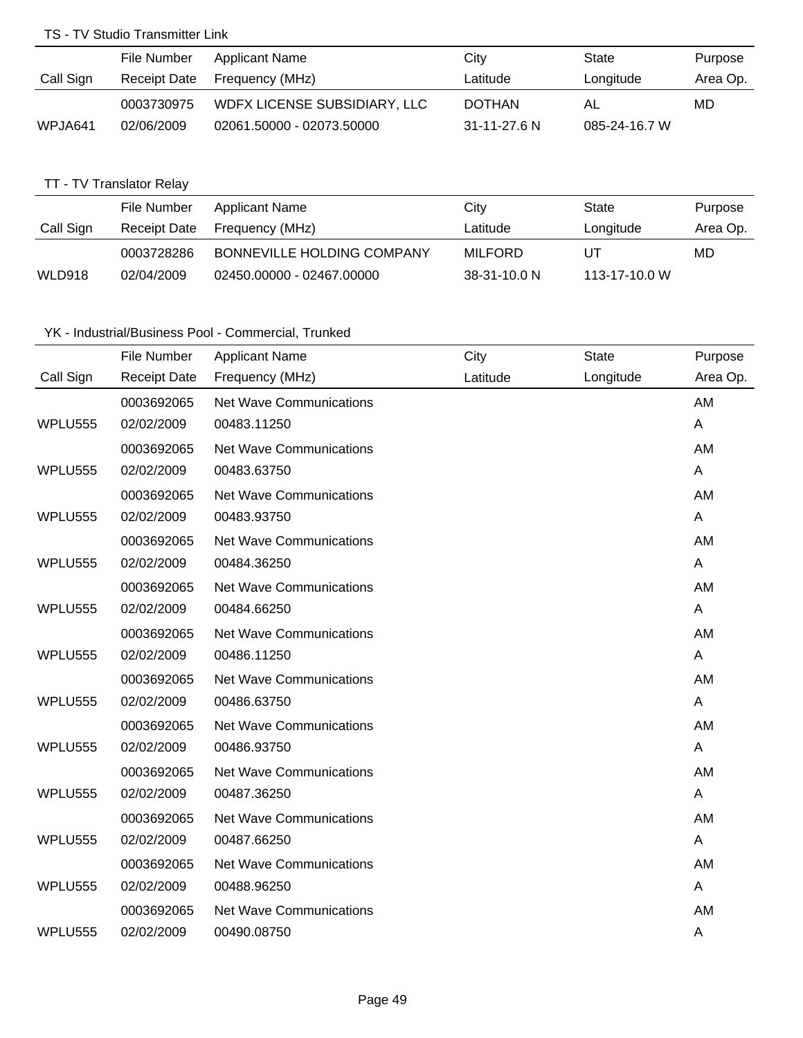#### TS - TV Studio Transmitter Link

|           | File Number  | Applicant Name               | Citv               | State         | Purpose  |
|-----------|--------------|------------------------------|--------------------|---------------|----------|
| Call Sign | Receipt Date | Frequency (MHz)              | Latitude           | Longitude     | Area Op. |
|           | 0003730975   | WDFX LICENSE SUBSIDIARY, LLC | <b>DOTHAN</b>      | AL            | MD       |
| WPJA641   | 02/06/2009   | 02061.50000 - 02073.50000    | $31 - 11 - 27.6$ N | 085-24-16.7 W |          |

# TT - TV Translator Relay

|           | File Number  | Applicant Name             | City           | State         | Purpose  |
|-----------|--------------|----------------------------|----------------|---------------|----------|
| Call Sign | Receipt Date | Frequency (MHz)            | Latitude       | Longitude     | Area Op. |
|           | 0003728286   | BONNEVILLE HOLDING COMPANY | <b>MILFORD</b> | UT            | MD       |
| WLD918    | 02/04/2009   | 02450.00000 - 02467.00000  | $38-31-10.0 N$ | 113-17-10.0 W |          |

|           | File Number         | <b>Applicant Name</b>          | City     | <b>State</b> | Purpose   |
|-----------|---------------------|--------------------------------|----------|--------------|-----------|
| Call Sign | <b>Receipt Date</b> | Frequency (MHz)                | Latitude | Longitude    | Area Op.  |
|           | 0003692065          | <b>Net Wave Communications</b> |          |              | AM        |
| WPLU555   | 02/02/2009          | 00483.11250                    |          |              | A         |
|           | 0003692065          | <b>Net Wave Communications</b> |          |              | AM        |
| WPLU555   | 02/02/2009          | 00483.63750                    |          |              | A         |
|           | 0003692065          | <b>Net Wave Communications</b> |          |              | AM        |
| WPLU555   | 02/02/2009          | 00483.93750                    |          |              | A         |
|           | 0003692065          | <b>Net Wave Communications</b> |          |              | AM        |
| WPLU555   | 02/02/2009          | 00484.36250                    |          |              | A         |
|           | 0003692065          | Net Wave Communications        |          |              | AM        |
| WPLU555   | 02/02/2009          | 00484.66250                    |          |              | A         |
|           | 0003692065          | <b>Net Wave Communications</b> |          |              | AM        |
| WPLU555   | 02/02/2009          | 00486.11250                    |          |              | A         |
|           | 0003692065          | <b>Net Wave Communications</b> |          |              | AM        |
| WPLU555   | 02/02/2009          | 00486.63750                    |          |              | A         |
|           | 0003692065          | Net Wave Communications        |          |              | AM        |
| WPLU555   | 02/02/2009          | 00486.93750                    |          |              | A         |
|           | 0003692065          | <b>Net Wave Communications</b> |          |              | AM        |
| WPLU555   | 02/02/2009          | 00487.36250                    |          |              | A         |
|           | 0003692065          | <b>Net Wave Communications</b> |          |              | AM        |
| WPLU555   | 02/02/2009          | 00487.66250                    |          |              | A         |
|           | 0003692065          | <b>Net Wave Communications</b> |          |              | AM        |
| WPLU555   | 02/02/2009          | 00488.96250                    |          |              | A         |
|           | 0003692065          | <b>Net Wave Communications</b> |          |              | <b>AM</b> |
| WPLU555   | 02/02/2009          | 00490.08750                    |          |              | A         |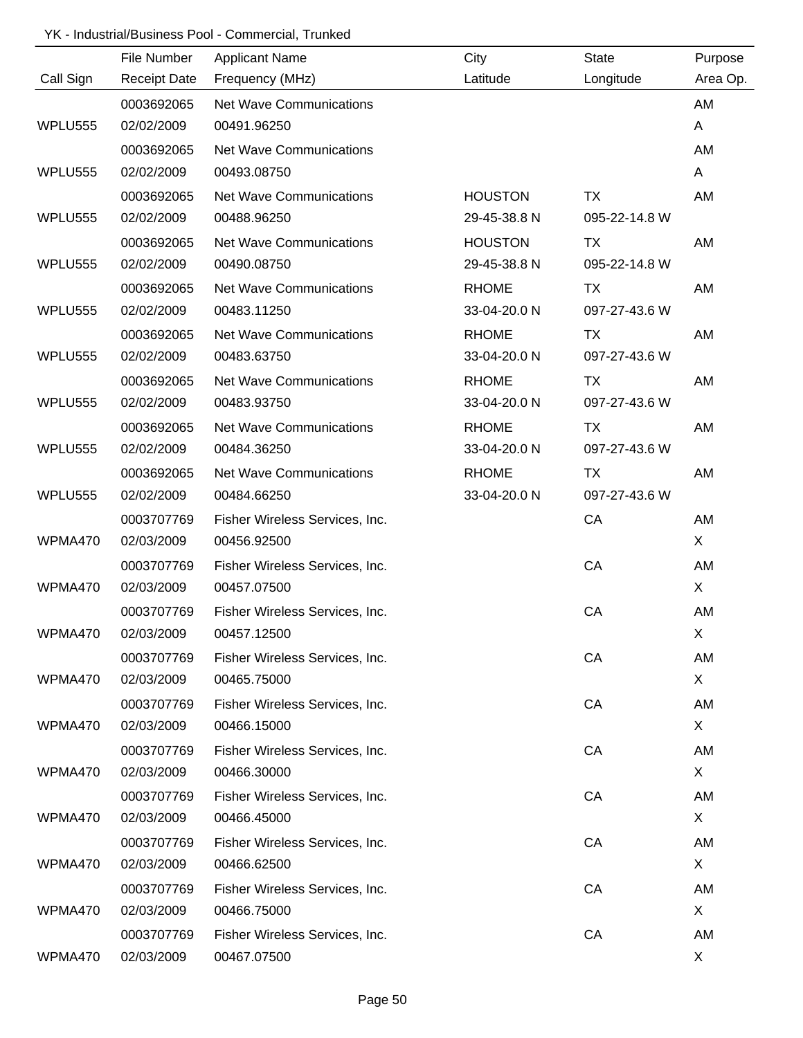|                | File Number         | <b>Applicant Name</b>          | City           | <b>State</b>  | Purpose   |
|----------------|---------------------|--------------------------------|----------------|---------------|-----------|
| Call Sign      | <b>Receipt Date</b> | Frequency (MHz)                | Latitude       | Longitude     | Area Op.  |
|                | 0003692065          | <b>Net Wave Communications</b> |                |               | AM        |
| <b>WPLU555</b> | 02/02/2009          | 00491.96250                    |                |               | A         |
|                | 0003692065          | <b>Net Wave Communications</b> |                |               | AM        |
| WPLU555        | 02/02/2009          | 00493.08750                    |                |               | A         |
|                | 0003692065          | Net Wave Communications        | <b>HOUSTON</b> | TX            | AM        |
| <b>WPLU555</b> | 02/02/2009          | 00488.96250                    | 29-45-38.8 N   | 095-22-14.8 W |           |
|                | 0003692065          | Net Wave Communications        | <b>HOUSTON</b> | TX            | AM        |
| <b>WPLU555</b> | 02/02/2009          | 00490.08750                    | 29-45-38.8 N   | 095-22-14.8 W |           |
|                | 0003692065          | Net Wave Communications        | <b>RHOME</b>   | TX            | AM        |
| WPLU555        | 02/02/2009          | 00483.11250                    | 33-04-20.0 N   | 097-27-43.6 W |           |
|                | 0003692065          | Net Wave Communications        | <b>RHOME</b>   | TX            | AM        |
| WPLU555        | 02/02/2009          | 00483.63750                    | 33-04-20.0 N   | 097-27-43.6 W |           |
|                | 0003692065          | Net Wave Communications        | <b>RHOME</b>   | <b>TX</b>     | AM        |
| WPLU555        | 02/02/2009          | 00483.93750                    | 33-04-20.0 N   | 097-27-43.6 W |           |
|                | 0003692065          | Net Wave Communications        | <b>RHOME</b>   | <b>TX</b>     | AM        |
| WPLU555        | 02/02/2009          | 00484.36250                    | 33-04-20.0 N   | 097-27-43.6 W |           |
|                | 0003692065          | Net Wave Communications        | <b>RHOME</b>   | <b>TX</b>     | AM        |
| WPLU555        | 02/02/2009          | 00484.66250                    | 33-04-20.0 N   | 097-27-43.6 W |           |
|                | 0003707769          | Fisher Wireless Services, Inc. |                | CA            | AM        |
| WPMA470        | 02/03/2009          | 00456.92500                    |                |               | X         |
|                | 0003707769          | Fisher Wireless Services, Inc. |                | CA            | AM        |
| WPMA470        | 02/03/2009          | 00457.07500                    |                |               | X         |
|                | 0003707769          | Fisher Wireless Services, Inc. |                | CA            | AM        |
| WPMA470        | 02/03/2009          | 00457.12500                    |                |               | X         |
|                | 0003707769          | Fisher Wireless Services, Inc. |                | CA            | AM        |
| WPMA470        | 02/03/2009          | 00465.75000                    |                |               | X         |
|                | 0003707769          | Fisher Wireless Services, Inc. |                | CA            | <b>AM</b> |
| WPMA470        | 02/03/2009          | 00466.15000                    |                |               | X         |
|                | 0003707769          | Fisher Wireless Services, Inc. |                | CA            | AM        |
| WPMA470        | 02/03/2009          | 00466.30000                    |                |               | X         |
|                | 0003707769          | Fisher Wireless Services, Inc. |                | CA            | AM        |
| WPMA470        | 02/03/2009          | 00466.45000                    |                |               | X         |
|                | 0003707769          | Fisher Wireless Services, Inc. |                | CA            | AM        |
| WPMA470        | 02/03/2009          | 00466.62500                    |                |               | X         |
|                | 0003707769          | Fisher Wireless Services, Inc. |                | CA            | AM        |
| WPMA470        | 02/03/2009          | 00466.75000                    |                |               | X.        |
|                | 0003707769          | Fisher Wireless Services, Inc. |                | CA            | AM        |
| WPMA470        | 02/03/2009          | 00467.07500                    |                |               | X         |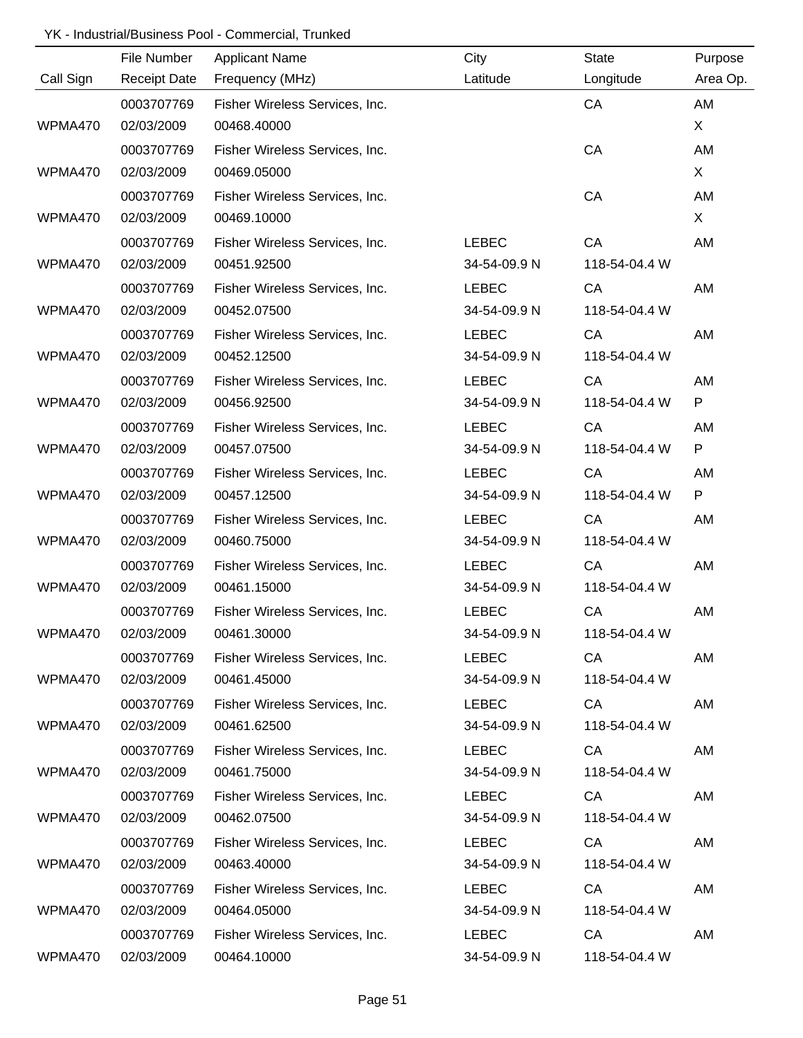|           | File Number         | <b>Applicant Name</b>          | City         | <b>State</b>  | Purpose  |
|-----------|---------------------|--------------------------------|--------------|---------------|----------|
| Call Sign | <b>Receipt Date</b> | Frequency (MHz)                | Latitude     | Longitude     | Area Op. |
|           | 0003707769          | Fisher Wireless Services, Inc. |              | CA            | AM       |
| WPMA470   | 02/03/2009          | 00468.40000                    |              |               | X        |
|           | 0003707769          | Fisher Wireless Services, Inc. |              | CA            | AM       |
| WPMA470   | 02/03/2009          | 00469.05000                    |              |               | X        |
|           | 0003707769          | Fisher Wireless Services, Inc. |              | CA            | AM       |
| WPMA470   | 02/03/2009          | 00469.10000                    |              |               | X        |
|           | 0003707769          | Fisher Wireless Services, Inc. | <b>LEBEC</b> | CA            | AM       |
| WPMA470   | 02/03/2009          | 00451.92500                    | 34-54-09.9 N | 118-54-04.4 W |          |
|           | 0003707769          | Fisher Wireless Services, Inc. | <b>LEBEC</b> | CA            | AM       |
| WPMA470   | 02/03/2009          | 00452.07500                    | 34-54-09.9 N | 118-54-04.4 W |          |
|           | 0003707769          | Fisher Wireless Services, Inc. | <b>LEBEC</b> | CA            | AM       |
| WPMA470   | 02/03/2009          | 00452.12500                    | 34-54-09.9 N | 118-54-04.4 W |          |
|           | 0003707769          | Fisher Wireless Services, Inc. | <b>LEBEC</b> | CA            | AM       |
| WPMA470   | 02/03/2009          | 00456.92500                    | 34-54-09.9 N | 118-54-04.4 W | P        |
|           | 0003707769          | Fisher Wireless Services, Inc. | <b>LEBEC</b> | CA            | AM       |
| WPMA470   | 02/03/2009          | 00457.07500                    | 34-54-09.9 N | 118-54-04.4 W | P        |
|           | 0003707769          | Fisher Wireless Services, Inc. | <b>LEBEC</b> | CA            | AM       |
| WPMA470   | 02/03/2009          | 00457.12500                    | 34-54-09.9 N | 118-54-04.4 W | P        |
|           | 0003707769          | Fisher Wireless Services, Inc. | <b>LEBEC</b> | CA            | AM       |
| WPMA470   | 02/03/2009          | 00460.75000                    | 34-54-09.9 N | 118-54-04.4 W |          |
|           | 0003707769          | Fisher Wireless Services, Inc. | <b>LEBEC</b> | CA            | AM       |
| WPMA470   | 02/03/2009          | 00461.15000                    | 34-54-09.9 N | 118-54-04.4 W |          |
|           | 0003707769          | Fisher Wireless Services, Inc. | <b>LEBEC</b> | CA            | AM       |
| WPMA470   | 02/03/2009          | 00461.30000                    | 34-54-09.9 N | 118-54-04.4 W |          |
|           | 0003707769          | Fisher Wireless Services, Inc. | <b>LEBEC</b> | CA            | AM       |
| WPMA470   | 02/03/2009          | 00461.45000                    | 34-54-09.9 N | 118-54-04.4 W |          |
|           | 0003707769          | Fisher Wireless Services, Inc. | <b>LEBEC</b> | CA            | AM       |
| WPMA470   | 02/03/2009          | 00461.62500                    | 34-54-09.9 N | 118-54-04.4 W |          |
|           | 0003707769          | Fisher Wireless Services, Inc. | <b>LEBEC</b> | CA            | AM       |
| WPMA470   | 02/03/2009          | 00461.75000                    | 34-54-09.9 N | 118-54-04.4 W |          |
|           | 0003707769          | Fisher Wireless Services, Inc. | LEBEC        | CA            | AM       |
| WPMA470   | 02/03/2009          | 00462.07500                    | 34-54-09.9 N | 118-54-04.4 W |          |
|           | 0003707769          | Fisher Wireless Services, Inc. | <b>LEBEC</b> | CA            | AM       |
| WPMA470   | 02/03/2009          | 00463.40000                    | 34-54-09.9 N | 118-54-04.4 W |          |
|           | 0003707769          | Fisher Wireless Services, Inc. | <b>LEBEC</b> | CA            | AM       |
| WPMA470   | 02/03/2009          | 00464.05000                    | 34-54-09.9 N | 118-54-04.4 W |          |
|           | 0003707769          | Fisher Wireless Services, Inc. | <b>LEBEC</b> | CA            | AM       |
| WPMA470   | 02/03/2009          | 00464.10000                    | 34-54-09.9 N | 118-54-04.4 W |          |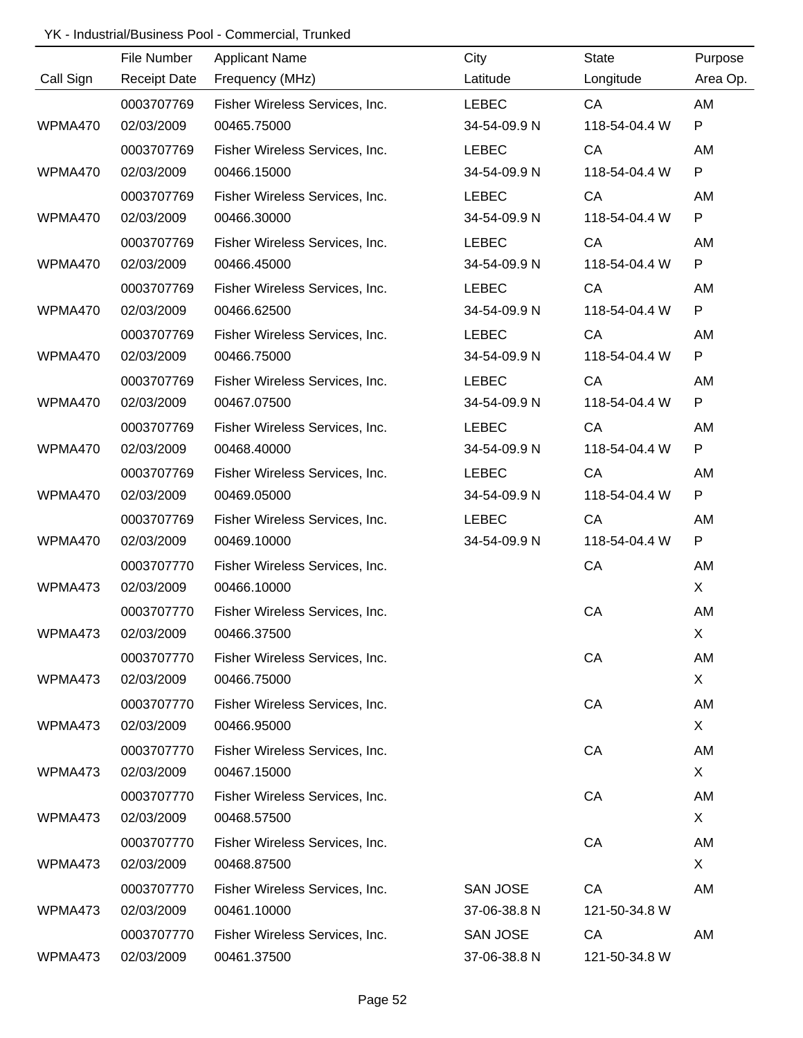|           | File Number         | <b>Applicant Name</b>          | City            | <b>State</b>  | Purpose  |
|-----------|---------------------|--------------------------------|-----------------|---------------|----------|
| Call Sign | <b>Receipt Date</b> | Frequency (MHz)                | Latitude        | Longitude     | Area Op. |
|           | 0003707769          | Fisher Wireless Services, Inc. | <b>LEBEC</b>    | CA            | AM       |
| WPMA470   | 02/03/2009          | 00465.75000                    | 34-54-09.9 N    | 118-54-04.4 W | P        |
|           | 0003707769          | Fisher Wireless Services, Inc. | <b>LEBEC</b>    | CA            | AM       |
| WPMA470   | 02/03/2009          | 00466.15000                    | 34-54-09.9 N    | 118-54-04.4 W | P        |
|           | 0003707769          | Fisher Wireless Services, Inc. | <b>LEBEC</b>    | CA            | AM       |
| WPMA470   | 02/03/2009          | 00466.30000                    | 34-54-09.9 N    | 118-54-04.4 W | P        |
|           | 0003707769          | Fisher Wireless Services, Inc. | <b>LEBEC</b>    | CA            | AM       |
| WPMA470   | 02/03/2009          | 00466.45000                    | 34-54-09.9 N    | 118-54-04.4 W | P        |
|           | 0003707769          | Fisher Wireless Services, Inc. | <b>LEBEC</b>    | CA            | AM       |
| WPMA470   | 02/03/2009          | 00466.62500                    | 34-54-09.9 N    | 118-54-04.4 W | P        |
|           | 0003707769          | Fisher Wireless Services, Inc. | <b>LEBEC</b>    | CA            | AM       |
| WPMA470   | 02/03/2009          | 00466.75000                    | 34-54-09.9 N    | 118-54-04.4 W | P        |
|           | 0003707769          | Fisher Wireless Services, Inc. | <b>LEBEC</b>    | CA            | AM       |
| WPMA470   | 02/03/2009          | 00467.07500                    | 34-54-09.9 N    | 118-54-04.4 W | P        |
|           | 0003707769          | Fisher Wireless Services, Inc. | <b>LEBEC</b>    | CA            | AM       |
| WPMA470   | 02/03/2009          | 00468.40000                    | 34-54-09.9 N    | 118-54-04.4 W | P        |
|           | 0003707769          | Fisher Wireless Services, Inc. | <b>LEBEC</b>    | CA            | AM       |
| WPMA470   | 02/03/2009          | 00469.05000                    | 34-54-09.9 N    | 118-54-04.4 W | P        |
|           | 0003707769          | Fisher Wireless Services, Inc. | <b>LEBEC</b>    | CA            | AM       |
| WPMA470   | 02/03/2009          | 00469.10000                    | 34-54-09.9 N    | 118-54-04.4 W | P        |
|           | 0003707770          | Fisher Wireless Services, Inc. |                 | CA            | AM       |
| WPMA473   | 02/03/2009          | 00466.10000                    |                 |               | X        |
|           | 0003707770          | Fisher Wireless Services, Inc. |                 | CA            | AM       |
| WPMA473   | 02/03/2009          | 00466.37500                    |                 |               | X        |
|           | 0003707770          | Fisher Wireless Services, Inc. |                 | CA            | AM       |
| WPMA473   | 02/03/2009          | 00466.75000                    |                 |               | X        |
|           | 0003707770          | Fisher Wireless Services, Inc. |                 | CA            | AM       |
| WPMA473   | 02/03/2009          | 00466.95000                    |                 |               | X        |
|           | 0003707770          | Fisher Wireless Services, Inc. |                 | CA            | AM       |
| WPMA473   | 02/03/2009          | 00467.15000                    |                 |               | X        |
|           | 0003707770          | Fisher Wireless Services, Inc. |                 | CA            | AM       |
| WPMA473   | 02/03/2009          | 00468.57500                    |                 |               | X        |
|           | 0003707770          | Fisher Wireless Services, Inc. |                 | CA            | AM       |
| WPMA473   | 02/03/2009          | 00468.87500                    |                 |               | X.       |
|           | 0003707770          | Fisher Wireless Services, Inc. | <b>SAN JOSE</b> | CA            | AM       |
| WPMA473   | 02/03/2009          | 00461.10000                    | 37-06-38.8 N    | 121-50-34.8 W |          |
|           | 0003707770          | Fisher Wireless Services, Inc. | <b>SAN JOSE</b> | CA            | AM       |
| WPMA473   | 02/03/2009          | 00461.37500                    | 37-06-38.8 N    | 121-50-34.8 W |          |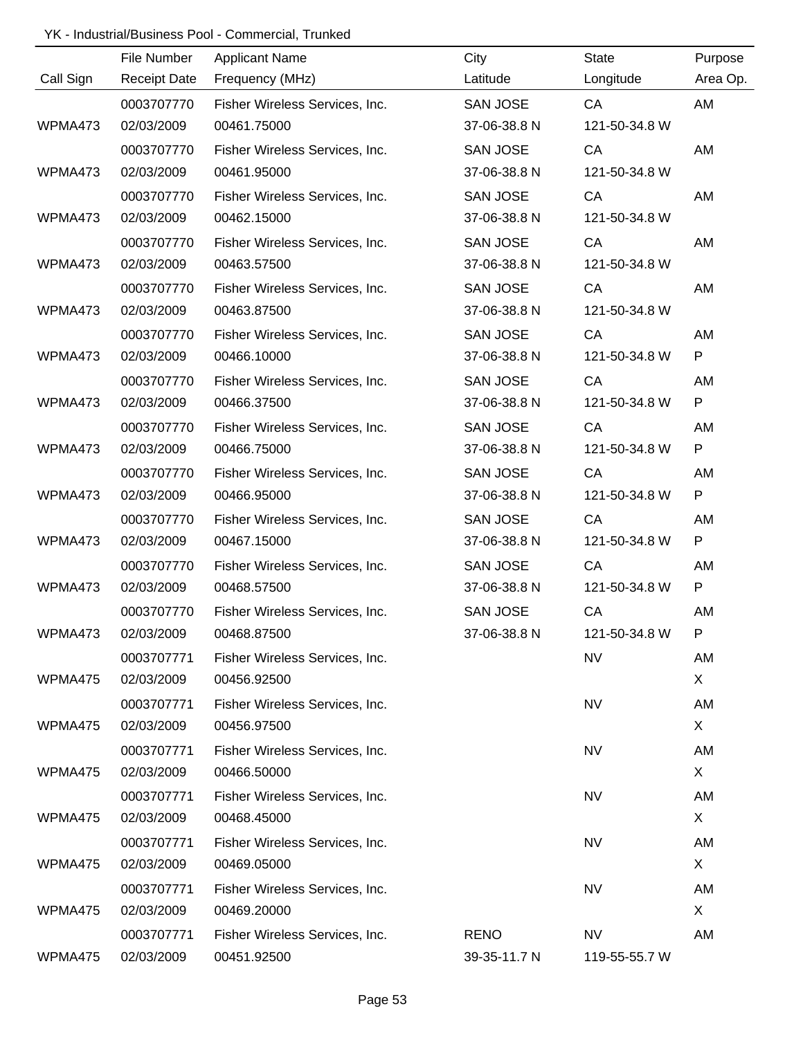|           | File Number         | <b>Applicant Name</b>          | City            | <b>State</b>  | Purpose      |
|-----------|---------------------|--------------------------------|-----------------|---------------|--------------|
| Call Sign | <b>Receipt Date</b> | Frequency (MHz)                | Latitude        | Longitude     | Area Op.     |
|           | 0003707770          | Fisher Wireless Services, Inc. | <b>SAN JOSE</b> | CA            | AM           |
| WPMA473   | 02/03/2009          | 00461.75000                    | 37-06-38.8 N    | 121-50-34.8 W |              |
|           | 0003707770          | Fisher Wireless Services, Inc. | <b>SAN JOSE</b> | CA            | AM           |
| WPMA473   | 02/03/2009          | 00461.95000                    | 37-06-38.8 N    | 121-50-34.8 W |              |
|           | 0003707770          | Fisher Wireless Services, Inc. | <b>SAN JOSE</b> | CA            | AM           |
| WPMA473   | 02/03/2009          | 00462.15000                    | 37-06-38.8 N    | 121-50-34.8 W |              |
|           | 0003707770          | Fisher Wireless Services, Inc. | <b>SAN JOSE</b> | CA            | AM           |
| WPMA473   | 02/03/2009          | 00463.57500                    | 37-06-38.8 N    | 121-50-34.8 W |              |
|           | 0003707770          | Fisher Wireless Services, Inc. | <b>SAN JOSE</b> | CA            | AM           |
| WPMA473   | 02/03/2009          | 00463.87500                    | 37-06-38.8 N    | 121-50-34.8 W |              |
|           | 0003707770          | Fisher Wireless Services, Inc. | <b>SAN JOSE</b> | CA            | AM           |
| WPMA473   | 02/03/2009          | 00466.10000                    | 37-06-38.8 N    | 121-50-34.8 W | P            |
|           | 0003707770          | Fisher Wireless Services, Inc. | <b>SAN JOSE</b> | CA            | AM           |
| WPMA473   | 02/03/2009          | 00466.37500                    | 37-06-38.8 N    | 121-50-34.8 W | P            |
|           | 0003707770          | Fisher Wireless Services, Inc. | <b>SAN JOSE</b> | CA            | AM           |
| WPMA473   | 02/03/2009          | 00466.75000                    | 37-06-38.8 N    | 121-50-34.8 W | P            |
|           | 0003707770          | Fisher Wireless Services, Inc. | <b>SAN JOSE</b> | CA            | AM           |
| WPMA473   | 02/03/2009          | 00466.95000                    | 37-06-38.8 N    | 121-50-34.8 W | P            |
|           | 0003707770          | Fisher Wireless Services, Inc. | <b>SAN JOSE</b> | CA            | AM           |
| WPMA473   | 02/03/2009          | 00467.15000                    | 37-06-38.8 N    | 121-50-34.8 W | P            |
|           | 0003707770          | Fisher Wireless Services, Inc. | <b>SAN JOSE</b> | CA            | AM           |
| WPMA473   | 02/03/2009          | 00468.57500                    | 37-06-38.8 N    | 121-50-34.8 W | P            |
|           | 0003707770          | Fisher Wireless Services, Inc. | <b>SAN JOSE</b> | CA            | AM           |
| WPMA473   | 02/03/2009          | 00468.87500                    | 37-06-38.8 N    | 121-50-34.8 W |              |
|           | 0003707771          | Fisher Wireless Services, Inc. |                 | <b>NV</b>     | AM           |
| WPMA475   | 02/03/2009          | 00456.92500                    |                 |               | $\mathsf{X}$ |
|           | 0003707771          | Fisher Wireless Services, Inc. |                 | <b>NV</b>     | AM           |
| WPMA475   | 02/03/2009          | 00456.97500                    |                 |               | X            |
|           | 0003707771          | Fisher Wireless Services, Inc. |                 | <b>NV</b>     | AM           |
| WPMA475   | 02/03/2009          | 00466.50000                    |                 |               | X            |
|           | 0003707771          | Fisher Wireless Services, Inc. |                 | <b>NV</b>     | AM           |
| WPMA475   | 02/03/2009          | 00468.45000                    |                 |               | X            |
|           | 0003707771          | Fisher Wireless Services, Inc. |                 | <b>NV</b>     | AM           |
| WPMA475   | 02/03/2009          | 00469.05000                    |                 |               | X            |
|           | 0003707771          | Fisher Wireless Services, Inc. |                 | <b>NV</b>     | AM           |
| WPMA475   | 02/03/2009          | 00469.20000                    |                 |               | X            |
|           | 0003707771          | Fisher Wireless Services, Inc. | <b>RENO</b>     | <b>NV</b>     | AM           |
| WPMA475   | 02/03/2009          | 00451.92500                    | 39-35-11.7 N    | 119-55-55.7 W |              |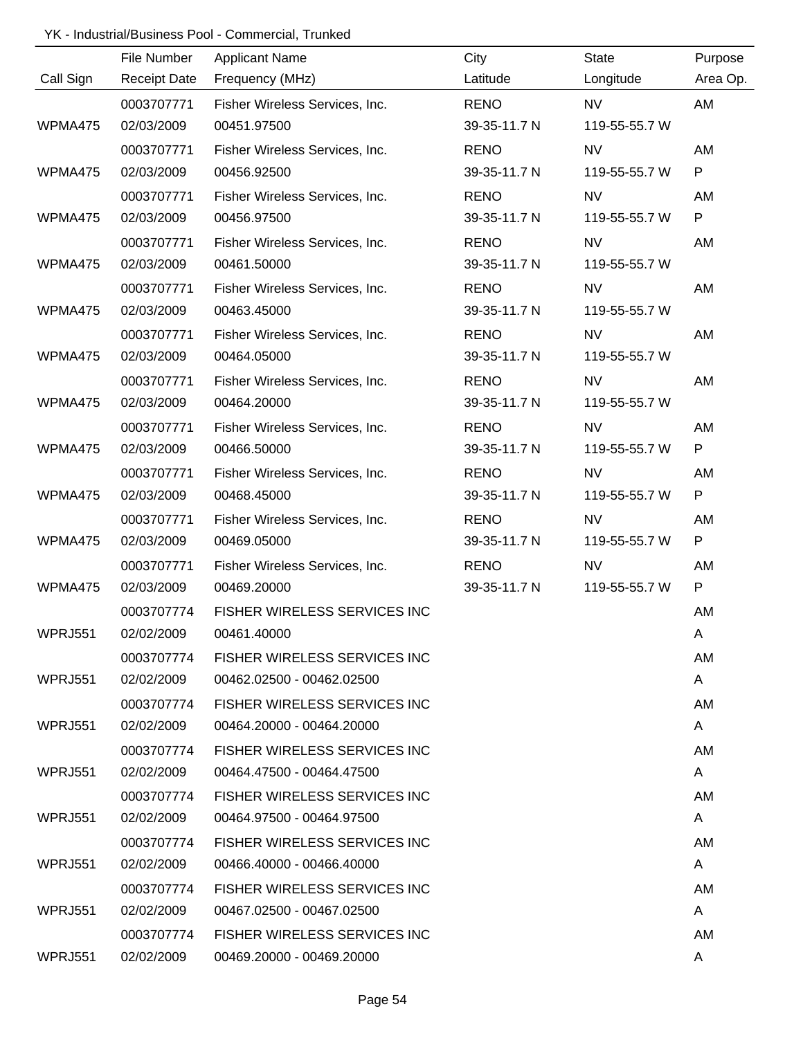|                | File Number         | <b>Applicant Name</b>                | City         | <b>State</b>  | Purpose      |
|----------------|---------------------|--------------------------------------|--------------|---------------|--------------|
| Call Sign      | <b>Receipt Date</b> | Frequency (MHz)                      | Latitude     | Longitude     | Area Op.     |
|                | 0003707771          | Fisher Wireless Services, Inc.       | <b>RENO</b>  | <b>NV</b>     | AM           |
| WPMA475        | 02/03/2009          | 00451.97500                          | 39-35-11.7 N | 119-55-55.7 W |              |
|                | 0003707771          | Fisher Wireless Services, Inc.       | <b>RENO</b>  | <b>NV</b>     | AM           |
| WPMA475        | 02/03/2009          | 00456.92500                          | 39-35-11.7 N | 119-55-55.7 W | P            |
|                | 0003707771          | Fisher Wireless Services, Inc.       | <b>RENO</b>  | <b>NV</b>     | AM           |
| WPMA475        | 02/03/2009          | 00456.97500                          | 39-35-11.7 N | 119-55-55.7 W | P            |
|                | 0003707771          | Fisher Wireless Services, Inc.       | <b>RENO</b>  | <b>NV</b>     | AM           |
| WPMA475        | 02/03/2009          | 00461.50000                          | 39-35-11.7 N | 119-55-55.7 W |              |
|                | 0003707771          | Fisher Wireless Services, Inc.       | <b>RENO</b>  | <b>NV</b>     | AM           |
| WPMA475        | 02/03/2009          | 00463.45000                          | 39-35-11.7 N | 119-55-55.7 W |              |
|                | 0003707771          | Fisher Wireless Services, Inc.       | <b>RENO</b>  | <b>NV</b>     | AM           |
| WPMA475        | 02/03/2009          | 00464.05000                          | 39-35-11.7 N | 119-55-55.7 W |              |
|                | 0003707771          | Fisher Wireless Services, Inc.       | <b>RENO</b>  | <b>NV</b>     | AM           |
| WPMA475        | 02/03/2009          | 00464.20000                          | 39-35-11.7 N | 119-55-55.7 W |              |
|                | 0003707771          | Fisher Wireless Services, Inc.       | <b>RENO</b>  | <b>NV</b>     | AM           |
| WPMA475        | 02/03/2009          | 00466.50000                          | 39-35-11.7 N | 119-55-55.7 W | P            |
|                | 0003707771          | Fisher Wireless Services, Inc.       | <b>RENO</b>  | <b>NV</b>     | AM           |
| WPMA475        | 02/03/2009          | 00468.45000                          | 39-35-11.7 N | 119-55-55.7 W | $\mathsf{P}$ |
|                | 0003707771          | Fisher Wireless Services, Inc.       | <b>RENO</b>  | <b>NV</b>     | AM           |
| WPMA475        | 02/03/2009          | 00469.05000                          | 39-35-11.7 N | 119-55-55.7 W | P            |
|                | 0003707771          | Fisher Wireless Services, Inc.       | <b>RENO</b>  | <b>NV</b>     | AM           |
| WPMA475        | 02/03/2009          | 00469.20000                          | 39-35-11.7 N | 119-55-55.7 W | P            |
|                | 0003707774          | FISHER WIRELESS SERVICES INC         |              |               | AM           |
| <b>WPRJ551</b> | 02/02/2009          | 00461.40000                          |              |               | A            |
|                | 0003707774          | <b>FISHER WIRELESS SERVICES INC</b>  |              |               | AM           |
| WPRJ551        | 02/02/2009          | 00462.02500 - 00462.02500            |              |               | A            |
|                | 0003707774          | FISHER WIRELESS SERVICES INC         |              |               | AM           |
| <b>WPRJ551</b> | 02/02/2009          | 00464.20000 - 00464.20000            |              |               | A            |
|                | 0003707774          | <b>FISHER WIRELESS SERVICES INC.</b> |              |               | AM           |
| WPRJ551        | 02/02/2009          | 00464.47500 - 00464.47500            |              |               | A            |
|                | 0003707774          | FISHER WIRELESS SERVICES INC         |              |               | AM           |
| WPRJ551        | 02/02/2009          | 00464.97500 - 00464.97500            |              |               | A            |
|                | 0003707774          | FISHER WIRELESS SERVICES INC.        |              |               | AM           |
| WPRJ551        | 02/02/2009          | 00466.40000 - 00466.40000            |              |               | A            |
|                | 0003707774          | FISHER WIRELESS SERVICES INC         |              |               | AM           |
| WPRJ551        | 02/02/2009          | 00467.02500 - 00467.02500            |              |               | A            |
|                | 0003707774          | FISHER WIRELESS SERVICES INC         |              |               | AM           |
| WPRJ551        | 02/02/2009          | 00469.20000 - 00469.20000            |              |               | A            |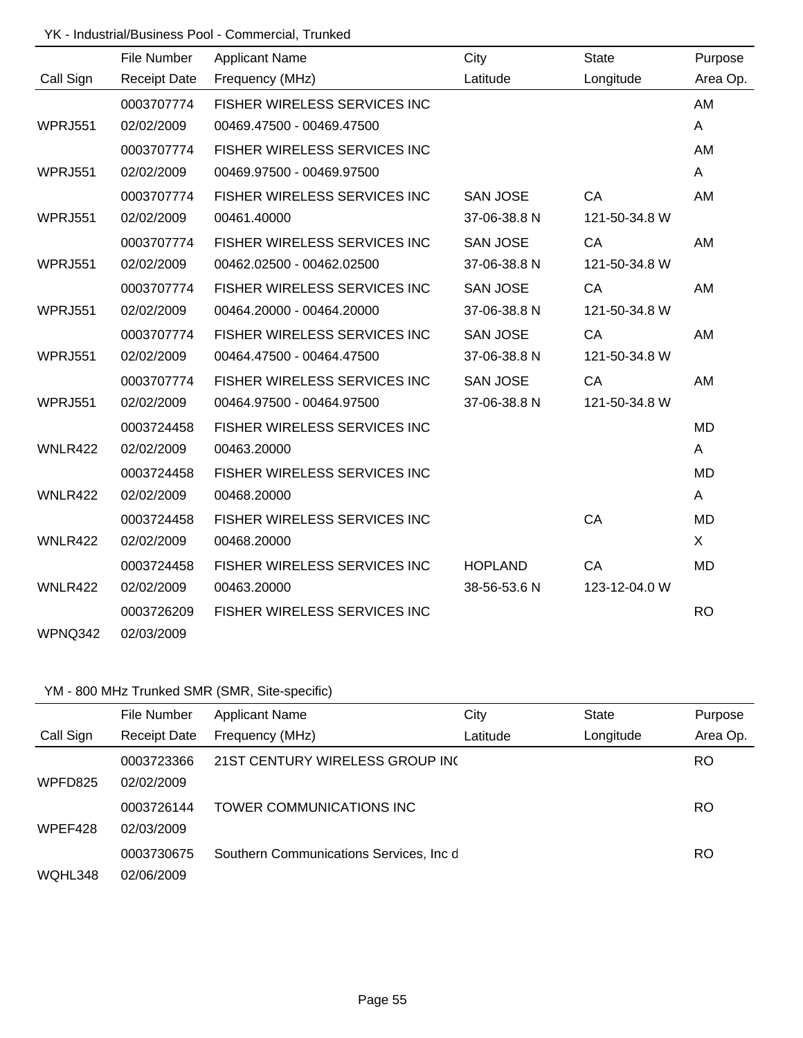|                | File Number         | <b>Applicant Name</b>               | City            | <b>State</b>  | Purpose   |
|----------------|---------------------|-------------------------------------|-----------------|---------------|-----------|
| Call Sign      | <b>Receipt Date</b> | Frequency (MHz)                     | Latitude        | Longitude     | Area Op.  |
|                | 0003707774          | FISHER WIRELESS SERVICES INC        |                 |               | AM        |
| <b>WPRJ551</b> | 02/02/2009          | 00469.47500 - 00469.47500           |                 |               | A         |
|                | 0003707774          | FISHER WIRELESS SERVICES INC        |                 |               | AM        |
| <b>WPRJ551</b> | 02/02/2009          | 00469.97500 - 00469.97500           |                 |               | A         |
|                | 0003707774          | FISHER WIRELESS SERVICES INC        | SAN JOSE        | CA            | AM        |
| <b>WPRJ551</b> | 02/02/2009          | 00461.40000                         | 37-06-38.8 N    | 121-50-34.8 W |           |
|                | 0003707774          | FISHER WIRELESS SERVICES INC        | <b>SAN JOSE</b> | <b>CA</b>     | AM        |
| WPRJ551        | 02/02/2009          | 00462.02500 - 00462.02500           | 37-06-38.8 N    | 121-50-34.8 W |           |
|                | 0003707774          | <b>FISHER WIRELESS SERVICES INC</b> | <b>SAN JOSE</b> | <b>CA</b>     | AM        |
| WPRJ551        | 02/02/2009          | 00464.20000 - 00464.20000           | 37-06-38.8 N    | 121-50-34.8 W |           |
|                | 0003707774          | FISHER WIRELESS SERVICES INC        | SAN JOSE        | CA            | AM        |
| <b>WPRJ551</b> | 02/02/2009          | 00464.47500 - 00464.47500           | 37-06-38.8 N    | 121-50-34.8 W |           |
|                | 0003707774          | FISHER WIRELESS SERVICES INC        | <b>SAN JOSE</b> | CA            | AM        |
| <b>WPRJ551</b> | 02/02/2009          | 00464.97500 - 00464.97500           | 37-06-38.8 N    | 121-50-34.8 W |           |
|                | 0003724458          | FISHER WIRELESS SERVICES INC        |                 |               | <b>MD</b> |
| WNLR422        | 02/02/2009          | 00463.20000                         |                 |               | A         |
|                | 0003724458          | FISHER WIRELESS SERVICES INC        |                 |               | <b>MD</b> |
| WNLR422        | 02/02/2009          | 00468.20000                         |                 |               | A         |
|                | 0003724458          | FISHER WIRELESS SERVICES INC        |                 | CA            | <b>MD</b> |
| <b>WNLR422</b> | 02/02/2009          | 00468.20000                         |                 |               | X         |
|                | 0003724458          | FISHER WIRELESS SERVICES INC        | <b>HOPLAND</b>  | CA            | <b>MD</b> |
| WNLR422        | 02/02/2009          | 00463.20000                         | 38-56-53.6 N    | 123-12-04.0 W |           |
|                | 0003726209          | FISHER WIRELESS SERVICES INC        |                 |               | <b>RO</b> |
| WPNQ342        | 02/03/2009          |                                     |                 |               |           |

## YM - 800 MHz Trunked SMR (SMR, Site-specific)

|           | File Number              | <b>Applicant Name</b>                   | City     | <b>State</b> | Purpose  |
|-----------|--------------------------|-----------------------------------------|----------|--------------|----------|
| Call Sign | <b>Receipt Date</b>      | Frequency (MHz)                         | Latitude | Longitude    | Area Op. |
| WPFD825   | 0003723366<br>02/02/2009 | 21ST CENTURY WIRELESS GROUP INC         |          |              | RO.      |
| WPEF428   | 0003726144<br>02/03/2009 | TOWER COMMUNICATIONS INC                |          |              | RO.      |
| WQHL348   | 0003730675<br>02/06/2009 | Southern Communications Services, Inc d |          |              | RO       |